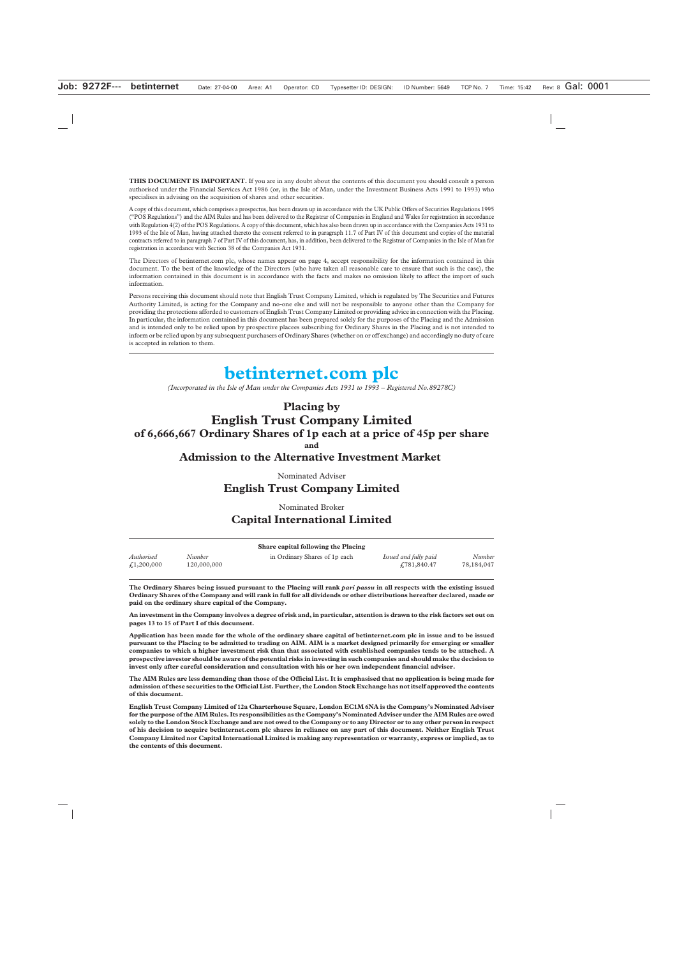**THIS DOCUMENT IS IMPORTANT.** If you are in any doubt about the contents of this document you should consult a person authorised under the Financial Services Act 1986 (or, in the Isle of Man, under the Investment Business Acts 1991 to 1993) who specialises in advising on the acquisition of shares and other securities.

A copy of this document, which comprises a prospectus, has been drawn up in accordance with the UK Public Offers of Securities Regulations 1995 ("POS Regulations") and the AIM Rules and has been delivered to the Registrar of Companies in England and Wales for registration in accordance with Regulation 4(2) of the POS Regulations. A copy of this document, which has also been drawn up in accordance with the Companies Acts 1931 to 1993 of the Isle of Man, having attached thereto the consent referred to in paragraph 11.7 of Part IV of this document and copies of the material contracts referred to in paragraph 7 of Part IV of this document, has, in addition, been delivered to the Registrar of Companies in the Isle of Man for registration in accordance with Section 38 of the Companies Act 1931.

The Directors of betinternet.com plc, whose names appear on page 4, accept responsibility for the information contained in this document. To the best of the knowledge of the Directors (who have taken all reasonable care to ensure that such is the case), the information contained in this document is in accordance with the facts and makes no omission likely to affect the import of such information.

Persons receiving this document should note that English Trust Company Limited, which is regulated by The Securities and Futures Authority Limited, is acting for the Company and no-one else and will not be responsible to anyone other than the Company for providing the protections afforded to customers of English Trust Company Limited or providing advice in connection with the Placing. In particular, the information contained in this document has been prepared solely for the purposes of the Placing and the Admission and is intended only to be relied upon by prospective placees subscribing for Ordinary Shares in the Placing and is not intended to inform or be relied upon by any subsequent purchasers of Ordinary Shares (whether on or off exchange) and accordingly no duty of care is accepted in relation to them.

# **betinternet.com plc**

*(Incorporated in the Isle of Man under the Companies Acts 1931 to 1993 – Registered No.89278C)*

## **Placing by English Trust Company Limited of 6,666,667 Ordinary Shares of 1p each at a price of 45p per share and**

**Admission to the Alternative Investment Market** 

Nominated Adviser

## **English Trust Company Limited**

Nominated Broker **Capital International Limited**

| Share capital following the Placing |             |                               |                       |            |
|-------------------------------------|-------------|-------------------------------|-----------------------|------------|
| Authorised                          | Number      | in Ordinary Shares of 1p each | Issued and fully paid | Number     |
| £1,200,000                          | 120,000,000 |                               | £781,840.47           | 78,184,047 |

**The Ordinary Shares being issued pursuant to the Placing will rank** *pari passu* **in all respects with the existing issued Ordinary Shares of the Company and will rank in full for all dividends or other distributions hereafter declared, made or paid on the ordinary share capital of the Company.** 

**An investment in the Company involves a degree of risk and, in particular, attention is drawn to the risk factors set out on pages 13 to 15 of Part I of this document.** 

**Application has been made for the whole of the ordinary share capital of betinternet.com plc in issue and to be issued pursuant to the Placing to be admitted to trading on AIM. AIM is a market designed primarily for emerging or smaller companies to which a higher investment risk than that associated with established companies tends to be attached. A prospective investor should be aware of the potential risks in investing in such companies and should make the decision to invest only after careful consideration and consultation with his or her own independent financial adviser.**

**The AIM Rules are less demanding than those of the Official List. It is emphasised that no application is being made for admission of these securities to the Official List. Further, the London Stock Exchange has not itself approved the contents of this document.**

**English Trust Company Limited of 12a Charterhouse Square, London EC1M 6NA is the Company's Nominated Adviser for the purpose of the AIM Rules. Its responsibilities as the Company's Nominated Adviser under the AIM Rules are owed solely to the London Stock Exchange and are not owed to the Company or to any Director or to any other person in respect of his decision to acquire betinternet.com plc shares in reliance on any part of this document. Neither English Trust Company Limited nor Capital International Limited is making any representation or warranty, express or implied, as to the contents of this document.**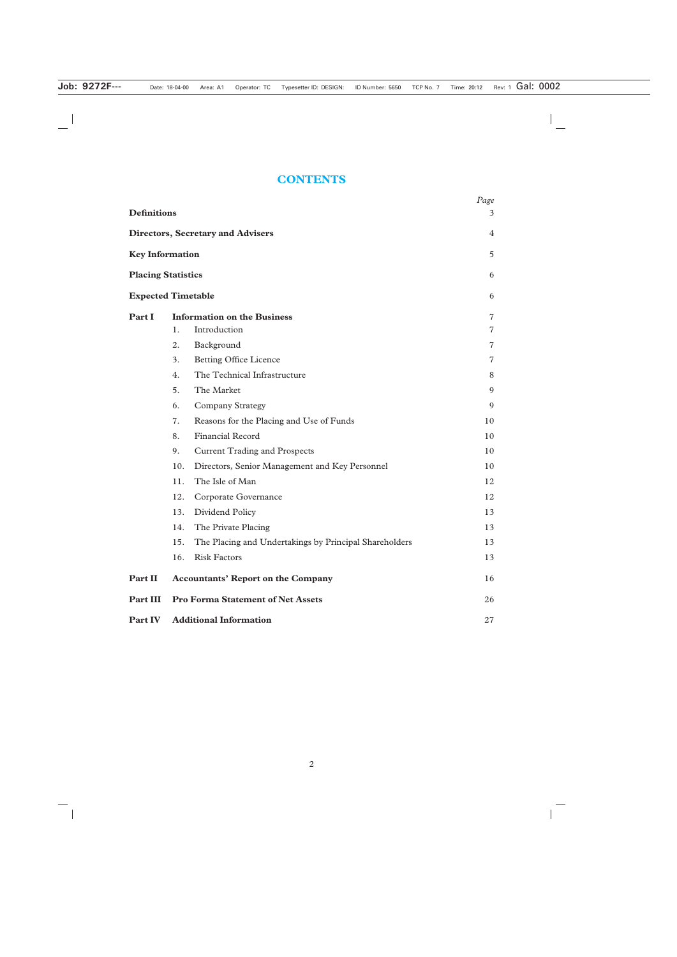## **CONTENTS**

|                           |     |                                                        | Page           |
|---------------------------|-----|--------------------------------------------------------|----------------|
| <b>Definitions</b>        |     |                                                        | 3              |
|                           |     | <b>Directors, Secretary and Advisers</b>               | 4              |
| <b>Key Information</b>    |     |                                                        | 5              |
| <b>Placing Statistics</b> |     |                                                        | 6              |
| <b>Expected Timetable</b> |     |                                                        | 6              |
| Part I                    |     | <b>Information on the Business</b>                     | 7              |
|                           | 1.  | Introduction                                           | $\overline{7}$ |
|                           | 2.  | Background                                             | 7              |
|                           | 3.  | <b>Betting Office Licence</b>                          | 7              |
|                           | 4.  | The Technical Infrastructure                           | 8              |
|                           | 5.  | The Market                                             | 9              |
|                           | 6.  | <b>Company Strategy</b>                                | 9              |
|                           | 7.  | Reasons for the Placing and Use of Funds               | 10             |
|                           | 8.  | <b>Financial Record</b>                                | 10             |
|                           | 9.  | <b>Current Trading and Prospects</b>                   | 10             |
|                           | 10. | Directors, Senior Management and Key Personnel         | 10             |
|                           | 11. | The Isle of Man                                        | 12             |
|                           | 12. | Corporate Governance                                   | 12             |
|                           | 13. | Dividend Policy                                        | 13             |
|                           | 14. | The Private Placing                                    | 13             |
|                           | 15. | The Placing and Undertakings by Principal Shareholders | 13             |
|                           | 16. | <b>Risk Factors</b>                                    | 13             |
| Part II                   |     | <b>Accountants' Report on the Company</b>              | 16             |
| <b>Part III</b>           |     | <b>Pro Forma Statement of Net Assets</b>               | 26             |
| Part IV                   |     | <b>Additional Information</b>                          | 27             |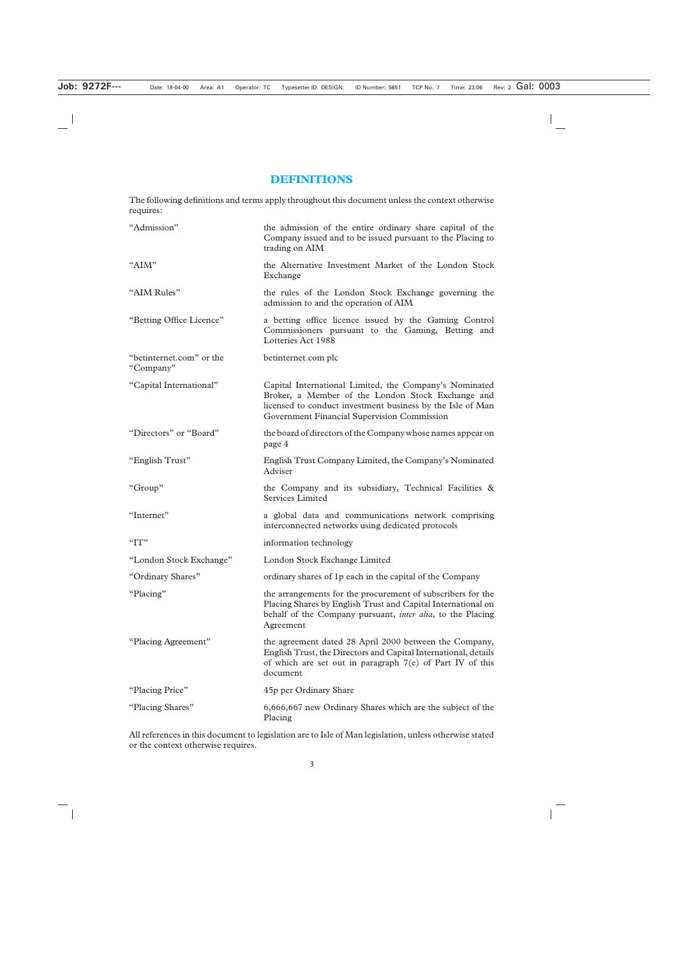## **DEFINITIONS**

The following definitions and terms apply throughout this document unless the context otherwise requires:

| "Admission"                           | the admission of the entire ordinary share capital of the<br>Company issued and to be issued pursuant to the Placing to<br>trading on AIM                                                                                |
|---------------------------------------|--------------------------------------------------------------------------------------------------------------------------------------------------------------------------------------------------------------------------|
| "AIM"                                 | the Alternative Investment Market of the London Stock<br>Exchange                                                                                                                                                        |
| "AIM Rules"                           | the rules of the London Stock Exchange governing the<br>admission to and the operation of AIM                                                                                                                            |
| "Betting Office Licence"              | a betting office licence issued by the Gaming Control<br>Commissioners pursuant to the Gaming, Betting and<br>Lotteries Act 1988                                                                                         |
| "betinternet.com" or the<br>"Company" | betinternet.com plc                                                                                                                                                                                                      |
| "Capital International"               | Capital International Limited, the Company's Nominated<br>Broker, a Member of the London Stock Exchange and<br>licensed to conduct investment business by the Isle of Man<br>Government Financial Supervision Commission |
| "Directors" or "Board"                | the board of directors of the Company whose names appear on<br>page 4                                                                                                                                                    |
| "English Trust"                       | English Trust Company Limited, the Company's Nominated<br>Adviser                                                                                                                                                        |
| "Group"                               | the Company and its subsidiary, Technical Facilities &<br>Services Limited                                                                                                                                               |
| "Internet"                            | a global data and communications network comprising<br>interconnected networks using dedicated protocols                                                                                                                 |
| "IT"                                  | information technology                                                                                                                                                                                                   |
| "London Stock Exchange"               | London Stock Exchange Limited                                                                                                                                                                                            |
| "Ordinary Shares"                     | ordinary shares of 1p each in the capital of the Company                                                                                                                                                                 |
| "Placing"                             | the arrangements for the procurement of subscribers for the<br>Placing Shares by English Trust and Capital International on<br>behalf of the Company pursuant, <i>inter alia</i> , to the Placing<br>Agreement           |
| "Placing Agreement"                   | the agreement dated 28 April 2000 between the Company,<br>English Trust, the Directors and Capital International, details<br>of which are set out in paragraph $7(e)$ of Part IV of this<br>document                     |
| "Placing Price"                       | 45p per Ordinary Share                                                                                                                                                                                                   |
| "Placing Shares"                      | 6,666,667 new Ordinary Shares which are the subject of the<br>Placing                                                                                                                                                    |

All references in this document to legislation are to Isle of Man legislation, unless otherwise stated or the context otherwise requires.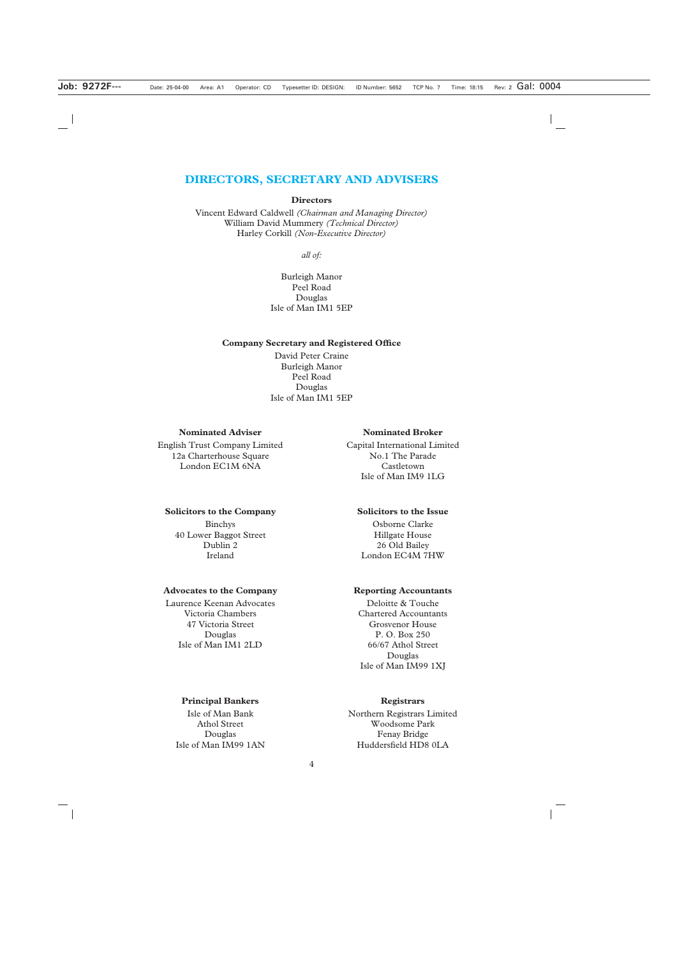## **DIRECTORS, SECRETARY AND ADVISERS**

#### **Directors**

Vincent Edward Caldwell *(Chairman and Managing Director)* William David Mummery *(Technical Director)* Harley Corkill *(Non-Executive Director)*

*all of:*

Burleigh Manor Peel Road Douglas Isle of Man IM1 5EP

#### **Company Secretary and Registered Office**

David Peter Craine Burleigh Manor Peel Road Douglas Isle of Man IM1 5EP

#### **Nominated Adviser**

English Trust Company Limited 12a Charterhouse Square London EC1M 6NA

#### **Solicitors to the Company**

Binchys 40 Lower Baggot Street Dublin 2 Ireland

#### **Advocates to the Company**

Laurence Keenan Advocates Victoria Chambers 47 Victoria Street Douglas Isle of Man IM1 2LD

## **Nominated Broker**

Capital International Limited No.1 The Parade Castletown Isle of Man IM9 1LG

#### **Solicitors to the Issue**

Osborne Clarke Hillgate House 26 Old Bailey London EC4M 7HW

#### **Reporting Accountants**

Deloitte & Touche Chartered Accountants Grosvenor House P. O. Box 250 66/67 Athol Street Douglas Isle of Man IM99 1XJ

#### **Principal Bankers**

Isle of Man Bank Athol Street Douglas Isle of Man IM99 1AN

#### **Registrars**

Northern Registrars Limited Woodsome Park Fenay Bridge Huddersfield HD8 0LA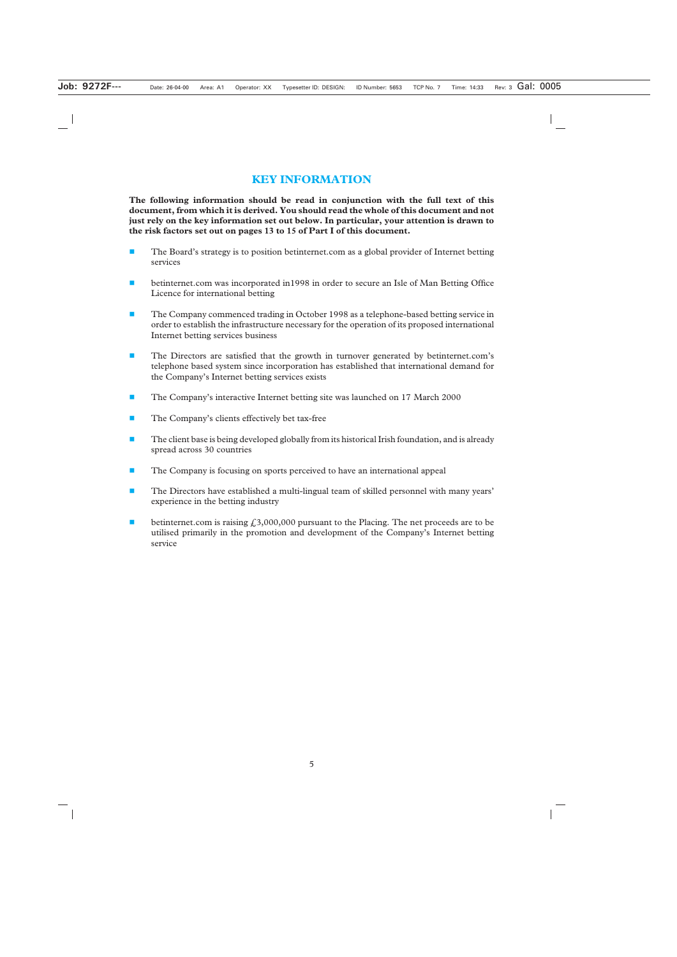## **KEY INFORMATION**

**The following information should be read in conjunction with the full text of this document, from which it is derived. You should read the whole of this document and not just rely on the key information set out below. In particular, your attention is drawn to the risk factors set out on pages 13 to 15 of Part I of this document.**

- The Board's strategy is to position betinternet.com as a global provider of Internet betting services
- betinternet.com was incorporated in1998 in order to secure an Isle of Man Betting Office Licence for international betting
- **The Company commenced trading in October 1998 as a telephone-based betting service in** order to establish the infrastructure necessary for the operation of its proposed international Internet betting services business
- The Directors are satisfied that the growth in turnover generated by betinternet.com's telephone based system since incorporation has established that international demand for the Company's Internet betting services exists
- **The Company's interactive Internet betting site was launched on 17 March 2000**
- The Company's clients effectively bet tax-free
- The client base is being developed globally from its historical Irish foundation, and is already spread across 30 countries
- The Company is focusing on sports perceived to have an international appeal
- **The Directors have established a multi-lingual team of skilled personnel with many years'** experience in the betting industry
- **betinternet.com** is raising  $\hat{\mathcal{L}}$  3,000,000 pursuant to the Placing. The net proceeds are to be utilised primarily in the promotion and development of the Company's Internet betting service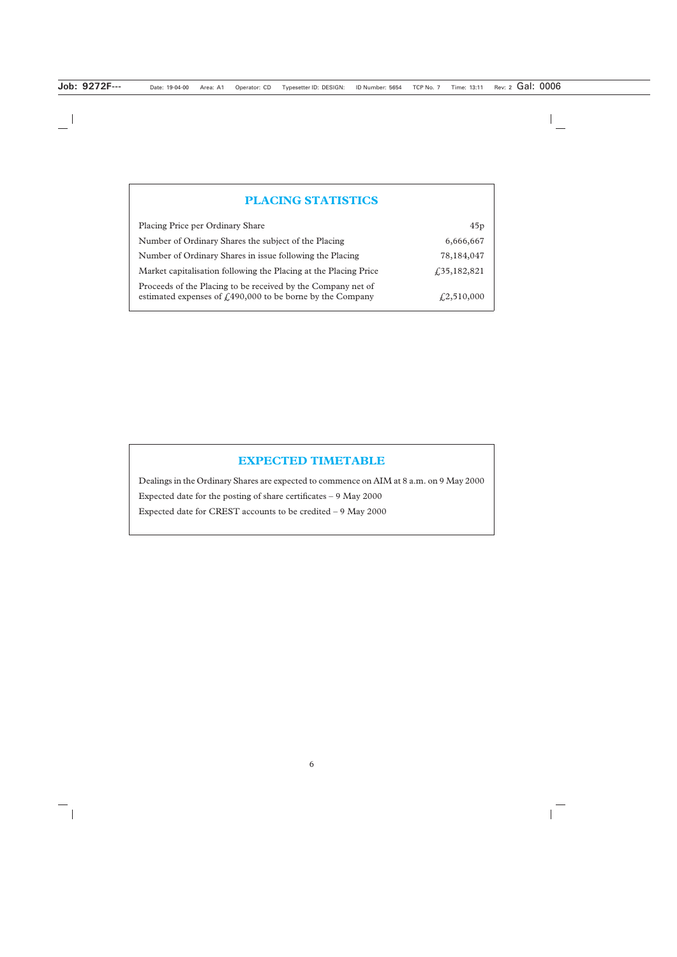## **PLACING STATISTICS**

| Placing Price per Ordinary Share                                                                                             | 45p                |
|------------------------------------------------------------------------------------------------------------------------------|--------------------|
| Number of Ordinary Shares the subject of the Placing                                                                         | 6,666,667          |
| Number of Ordinary Shares in issue following the Placing                                                                     | 78,184,047         |
| Market capitalisation following the Placing at the Placing Price                                                             | f35,182,821        |
| Proceeds of the Placing to be received by the Company net of<br>estimated expenses of $f1490,000$ to be borne by the Company | $\sqrt{2,510,000}$ |

## **EXPECTED TIMETABLE**

Dealings in the Ordinary Shares are expected to commence on AIM at 8 a.m. on 9 May 2000 Expected date for the posting of share certificates – 9 May 2000 Expected date for CREST accounts to be credited – 9 May 2000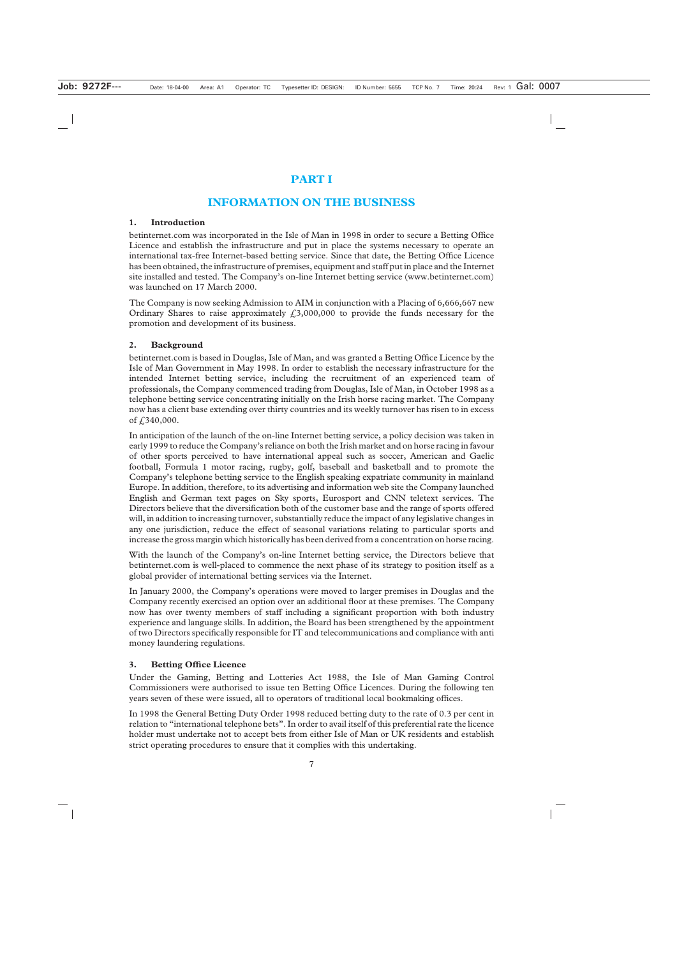## **PART I**

## **INFORMATION ON THE BUSINESS**

## **1. Introduction**

betinternet.com was incorporated in the Isle of Man in 1998 in order to secure a Betting Office Licence and establish the infrastructure and put in place the systems necessary to operate an international tax-free Internet-based betting service. Since that date, the Betting Office Licence has been obtained, the infrastructure of premises, equipment and staff put in place and the Internet site installed and tested. The Company's on-line Internet betting service (www.betinternet.com) was launched on 17 March 2000.

The Company is now seeking Admission to AIM in conjunction with a Placing of 6,666,667 new Ordinary Shares to raise approximately  $\text{\textsterling}3,000,000$  to provide the funds necessary for the promotion and development of its business.

## **2. Background**

betinternet.com is based in Douglas, Isle of Man, and was granted a Betting Office Licence by the Isle of Man Government in May 1998. In order to establish the necessary infrastructure for the intended Internet betting service, including the recruitment of an experienced team of professionals, the Company commenced trading from Douglas, Isle of Man, in October 1998 as a telephone betting service concentrating initially on the Irish horse racing market. The Company now has a client base extending over thirty countries and its weekly turnover has risen to in excess of £340,000.

In anticipation of the launch of the on-line Internet betting service, a policy decision was taken in early 1999 to reduce the Company's reliance on both the Irish market and on horse racing in favour of other sports perceived to have international appeal such as soccer, American and Gaelic football, Formula 1 motor racing, rugby, golf, baseball and basketball and to promote the Company's telephone betting service to the English speaking expatriate community in mainland Europe. In addition, therefore, to its advertising and information web site the Company launched English and German text pages on Sky sports, Eurosport and CNN teletext services. The Directors believe that the diversification both of the customer base and the range of sports offered will, in addition to increasing turnover, substantially reduce the impact of any legislative changes in any one jurisdiction, reduce the effect of seasonal variations relating to particular sports and increase the gross margin which historically has been derived from a concentration on horse racing.

With the launch of the Company's on-line Internet betting service, the Directors believe that betinternet.com is well-placed to commence the next phase of its strategy to position itself as a global provider of international betting services via the Internet.

In January 2000, the Company's operations were moved to larger premises in Douglas and the Company recently exercised an option over an additional floor at these premises. The Company now has over twenty members of staff including a significant proportion with both industry experience and language skills. In addition, the Board has been strengthened by the appointment of two Directors specifically responsible for IT and telecommunications and compliance with anti money laundering regulations.

## **3. Betting Office Licence**

Under the Gaming, Betting and Lotteries Act 1988, the Isle of Man Gaming Control Commissioners were authorised to issue ten Betting Office Licences. During the following ten years seven of these were issued, all to operators of traditional local bookmaking offices.

In 1998 the General Betting Duty Order 1998 reduced betting duty to the rate of 0.3 per cent in relation to "international telephone bets". In order to avail itself of this preferential rate the licence holder must undertake not to accept bets from either Isle of Man or UK residents and establish strict operating procedures to ensure that it complies with this undertaking.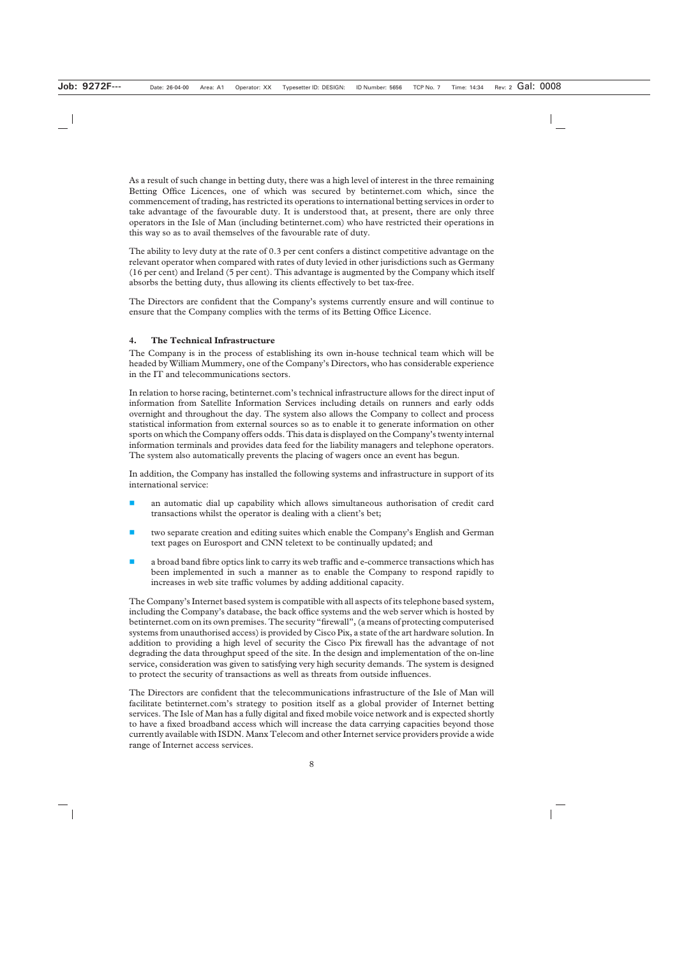As a result of such change in betting duty, there was a high level of interest in the three remaining Betting Office Licences, one of which was secured by betinternet.com which, since the commencement of trading, has restricted its operations to international betting services in order to take advantage of the favourable duty. It is understood that, at present, there are only three operators in the Isle of Man (including betinternet.com) who have restricted their operations in this way so as to avail themselves of the favourable rate of duty.

The ability to levy duty at the rate of 0.3 per cent confers a distinct competitive advantage on the relevant operator when compared with rates of duty levied in other jurisdictions such as Germany (16 per cent) and Ireland (5 per cent). This advantage is augmented by the Company which itself absorbs the betting duty, thus allowing its clients effectively to bet tax-free.

The Directors are confident that the Company's systems currently ensure and will continue to ensure that the Company complies with the terms of its Betting Office Licence.

## **4. The Technical Infrastructure**

The Company is in the process of establishing its own in-house technical team which will be headed by William Mummery, one of the Company's Directors, who has considerable experience in the IT and telecommunications sectors.

In relation to horse racing, betinternet.com's technical infrastructure allows for the direct input of information from Satellite Information Services including details on runners and early odds overnight and throughout the day. The system also allows the Company to collect and process statistical information from external sources so as to enable it to generate information on other sports on which the Company offers odds. This data is displayed on the Company's twenty internal information terminals and provides data feed for the liability managers and telephone operators. The system also automatically prevents the placing of wagers once an event has begun.

In addition, the Company has installed the following systems and infrastructure in support of its international service:

- an automatic dial up capability which allows simultaneous authorisation of credit card transactions whilst the operator is dealing with a client's bet;
- two separate creation and editing suites which enable the Company's English and German text pages on Eurosport and CNN teletext to be continually updated; and
- a broad band fibre optics link to carry its web traffic and e-commerce transactions which has been implemented in such a manner as to enable the Company to respond rapidly to increases in web site traffic volumes by adding additional capacity.

The Company's Internet based system is compatible with all aspects of its telephone based system, including the Company's database, the back office systems and the web server which is hosted by betinternet.com on its own premises. The security "firewall", (a means of protecting computerised systems from unauthorised access) is provided by Cisco Pix, a state of the art hardware solution. In addition to providing a high level of security the Cisco Pix firewall has the advantage of not degrading the data throughput speed of the site. In the design and implementation of the on-line service, consideration was given to satisfying very high security demands. The system is designed to protect the security of transactions as well as threats from outside influences.

The Directors are confident that the telecommunications infrastructure of the Isle of Man will facilitate betinternet.com's strategy to position itself as a global provider of Internet betting services. The Isle of Man has a fully digital and fixed mobile voice network and is expected shortly to have a fixed broadband access which will increase the data carrying capacities beyond those currently available with ISDN. Manx Telecom and other Internet service providers provide a wide range of Internet access services.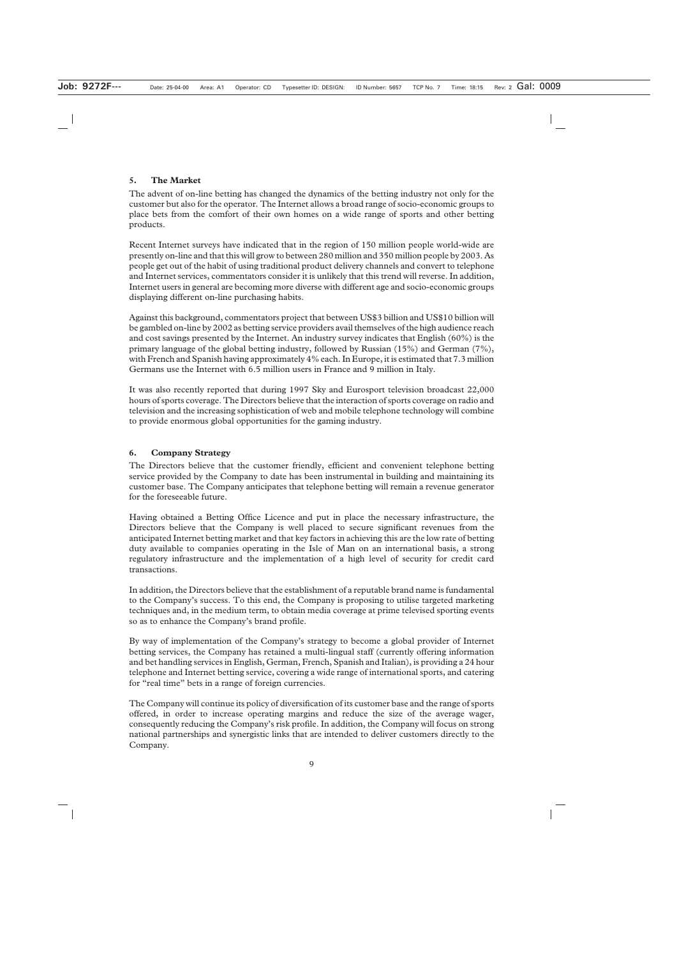## **5. The Market**

The advent of on-line betting has changed the dynamics of the betting industry not only for the customer but also for the operator*.* The Internet allows a broad range of socio-economic groups to place bets from the comfort of their own homes on a wide range of sports and other betting products.

Recent Internet surveys have indicated that in the region of 150 million people world-wide are presently on-line and that this will grow to between 280 million and 350 million people by 2003. As people get out of the habit of using traditional product delivery channels and convert to telephone and Internet services, commentators consider it is unlikely that this trend will reverse. In addition, Internet users in general are becoming more diverse with different age and socio-economic groups displaying different on-line purchasing habits.

Against this background, commentators project that between US\$3 billion and US\$10 billion will be gambled on-line by 2002 as betting service providers avail themselves of the high audience reach and cost savings presented by the Internet. An industry survey indicates that English (60%) is the primary language of the global betting industry, followed by Russian (15%) and German (7%), with French and Spanish having approximately 4% each. In Europe, it is estimated that 7.3 million Germans use the Internet with 6.5 million users in France and 9 million in Italy.

It was also recently reported that during 1997 Sky and Eurosport television broadcast 22,000 hours of sports coverage. The Directors believe that the interaction of sports coverage on radio and television and the increasing sophistication of web and mobile telephone technology will combine to provide enormous global opportunities for the gaming industry.

## **6. Company Strategy**

The Directors believe that the customer friendly, efficient and convenient telephone betting service provided by the Company to date has been instrumental in building and maintaining its customer base. The Company anticipates that telephone betting will remain a revenue generator for the foreseeable future.

Having obtained a Betting Office Licence and put in place the necessary infrastructure, the Directors believe that the Company is well placed to secure significant revenues from the anticipated Internet betting market and that key factors in achieving this are the low rate of betting duty available to companies operating in the Isle of Man on an international basis, a strong regulatory infrastructure and the implementation of a high level of security for credit card transactions.

In addition, the Directors believe that the establishment of a reputable brand name is fundamental to the Company's success. To this end, the Company is proposing to utilise targeted marketing techniques and, in the medium term, to obtain media coverage at prime televised sporting events so as to enhance the Company's brand profile.

By way of implementation of the Company's strategy to become a global provider of Internet betting services, the Company has retained a multi-lingual staff (currently offering information and bet handling services in English, German, French, Spanish and Italian), is providing a 24 hour telephone and Internet betting service, covering a wide range of international sports, and catering for "real time" bets in a range of foreign currencies.

The Company will continue its policy of diversification of its customer base and the range of sports offered, in order to increase operating margins and reduce the size of the average wager, consequently reducing the Company's risk profile. In addition, the Company will focus on strong national partnerships and synergistic links that are intended to deliver customers directly to the Company.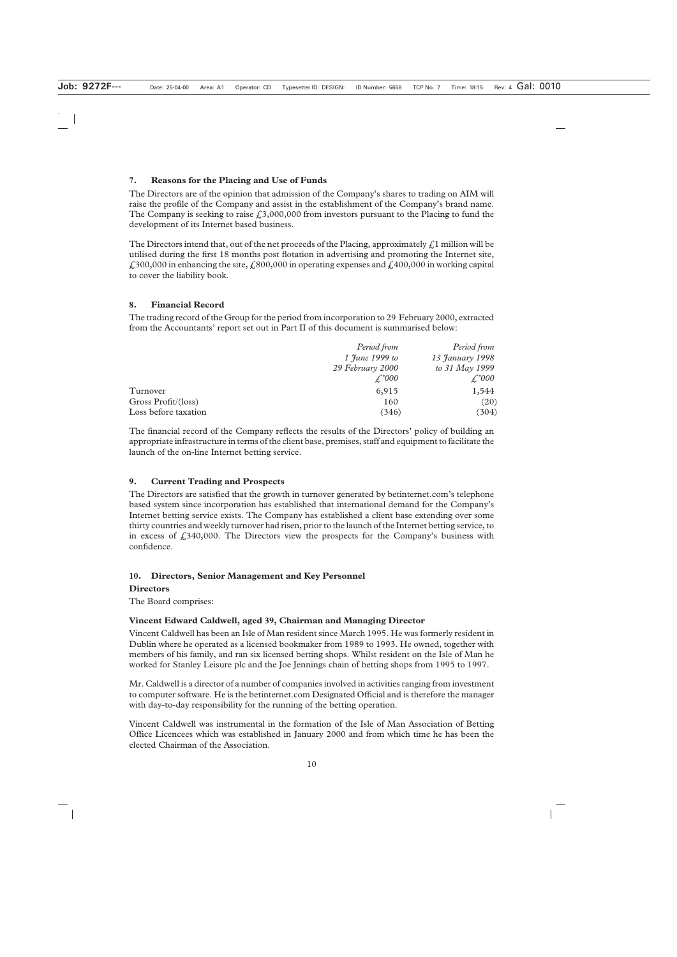## **7. Reasons for the Placing and Use of Funds**

The Directors are of the opinion that admission of the Company's shares to trading on AIM will raise the profile of the Company and assist in the establishment of the Company's brand name. The Company is seeking to raise  $\ell$ , 3,000,000 from investors pursuant to the Placing to fund the development of its Internet based business.

The Directors intend that, out of the net proceeds of the Placing, approximately  $\mathcal{L}$ 1 million will be utilised during the first 18 months post flotation in advertising and promoting the Internet site,  $\text{\emph{£}}300,000$  in enhancing the site,  $\text{\emph{£}}800,000$  in operating expenses and  $\text{\emph{£}}400,000$  in working capital to cover the liability book.

## **8. Financial Record**

The trading record of the Group for the period from incorporation to 29 February 2000, extracted from the Accountants' report set out in Part II of this document is summarised below:

|                      | Period from         | Period from     |
|----------------------|---------------------|-----------------|
|                      | 1 June 1999 to      | 13 January 1998 |
|                      | 29 February 2000    | to 31 May 1999  |
|                      | $\mathcal{L}^2 000$ | f'000           |
| Turnover             | 6,915               | 1,544           |
| Gross Profit/(loss)  | 160                 | (20)            |
| Loss before taxation | (346)               | (304)           |

The financial record of the Company reflects the results of the Directors' policy of building an appropriate infrastructure in terms of the client base, premises, staff and equipment to facilitate the launch of the on-line Internet betting service.

## **9. Current Trading and Prospects**

The Directors are satisfied that the growth in turnover generated by betinternet.com's telephone based system since incorporation has established that international demand for the Company's Internet betting service exists. The Company has established a client base extending over some thirty countries and weekly turnover had risen, prior to the launch of the Internet betting service, to in excess of  $\text{\textsterling}340,000$ . The Directors view the prospects for the Company's business with confidence.

## **10. Directors, Senior Management and Key Personnel**

## **Directors**

The Board comprises:

## **Vincent Edward Caldwell, aged 39, Chairman and Managing Director**

Vincent Caldwell has been an Isle of Man resident since March 1995. He was formerly resident in Dublin where he operated as a licensed bookmaker from 1989 to 1993. He owned, together with members of his family, and ran six licensed betting shops. Whilst resident on the Isle of Man he worked for Stanley Leisure plc and the Joe Jennings chain of betting shops from 1995 to 1997.

Mr. Caldwell is a director of a number of companies involved in activities ranging from investment to computer software. He is the betinternet.com Designated Official and is therefore the manager with day-to-day responsibility for the running of the betting operation.

Vincent Caldwell was instrumental in the formation of the Isle of Man Association of Betting Office Licencees which was established in January 2000 and from which time he has been the elected Chairman of the Association.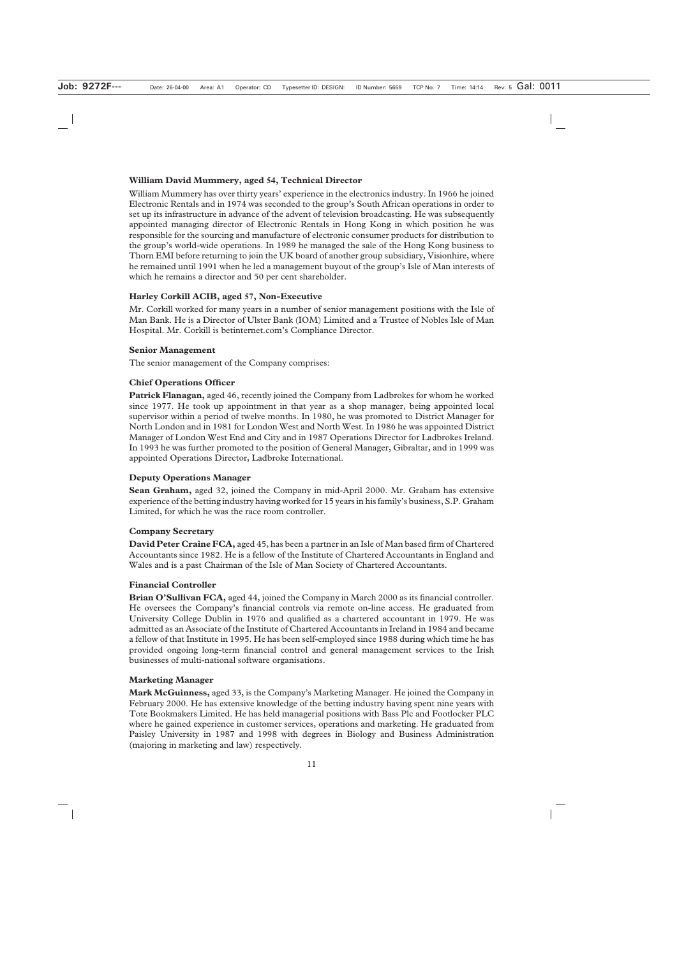## **William David Mummery, aged 54, Technical Director**

William Mummery has over thirty years' experience in the electronics industry. In 1966 he joined Electronic Rentals and in 1974 was seconded to the group's South African operations in order to set up its infrastructure in advance of the advent of television broadcasting. He was subsequently appointed managing director of Electronic Rentals in Hong Kong in which position he was responsible for the sourcing and manufacture of electronic consumer products for distribution to the group's world-wide operations. In 1989 he managed the sale of the Hong Kong business to Thorn EMI before returning to join the UK board of another group subsidiary, Visionhire, where he remained until 1991 when he led a management buyout of the group's Isle of Man interests of which he remains a director and 50 per cent shareholder.

## **Harley Corkill ACIB, aged 57, Non-Executive**

Mr. Corkill worked for many years in a number of senior management positions with the Isle of Man Bank. He is a Director of Ulster Bank (IOM) Limited and a Trustee of Nobles Isle of Man Hospital. Mr. Corkill is betinternet.com's Compliance Director.

## **Senior Management**

The senior management of the Company comprises:

## **Chief Operations Officer**

**Patrick Flanagan,** aged 46, recently joined the Company from Ladbrokes for whom he worked since 1977. He took up appointment in that year as a shop manager, being appointed local supervisor within a period of twelve months. In 1980, he was promoted to District Manager for North London and in 1981 for London West and North West. In 1986 he was appointed District Manager of London West End and City and in 1987 Operations Director for Ladbrokes Ireland. In 1993 he was further promoted to the position of General Manager, Gibraltar, and in 1999 was appointed Operations Director, Ladbroke International.

## **Deputy Operations Manager**

**Sean Graham,** aged 32, joined the Company in mid-April 2000. Mr. Graham has extensive experience of the betting industry having worked for 15 years in his family's business, S.P. Graham Limited, for which he was the race room controller.

## **Company Secretary**

**David Peter Craine FCA,** aged 45, has been a partner in an Isle of Man based firm of Chartered Accountants since 1982. He is a fellow of the Institute of Chartered Accountants in England and Wales and is a past Chairman of the Isle of Man Society of Chartered Accountants.

## **Financial Controller**

**Brian O'Sullivan FCA,** aged 44, joined the Company in March 2000 as its financial controller. He oversees the Company's financial controls via remote on-line access. He graduated from University College Dublin in 1976 and qualified as a chartered accountant in 1979. He was admitted as an Associate of the Institute of Chartered Accountants in Ireland in 1984 and became a fellow of that Institute in 1995. He has been self-employed since 1988 during which time he has provided ongoing long-term financial control and general management services to the Irish businesses of multi-national software organisations.

## **Marketing Manager**

**Mark McGuinness,** aged 33, is the Company's Marketing Manager. He joined the Company in February 2000. He has extensive knowledge of the betting industry having spent nine years with Tote Bookmakers Limited. He has held managerial positions with Bass Plc and Footlocker PLC where he gained experience in customer services, operations and marketing. He graduated from Paisley University in 1987 and 1998 with degrees in Biology and Business Administration (majoring in marketing and law) respectively.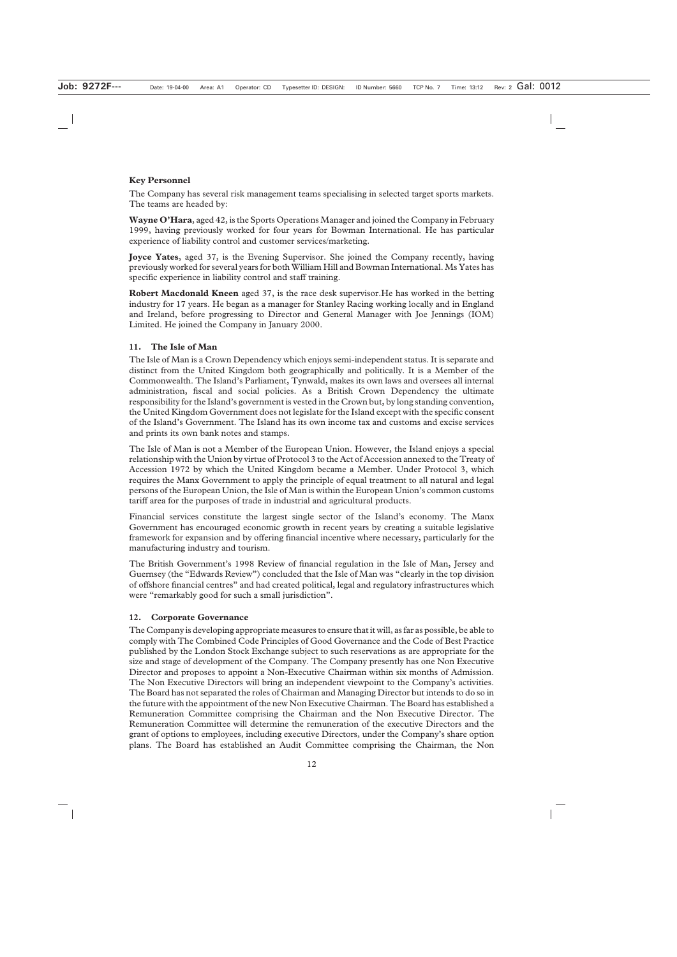## **Key Personnel**

The Company has several risk management teams specialising in selected target sports markets. The teams are headed by:

**Wayne O'Hara**, aged 42, is the Sports Operations Manager and joined the Company in February 1999, having previously worked for four years for Bowman International. He has particular experience of liability control and customer services/marketing.

**Joyce Yates**, aged 37, is the Evening Supervisor. She joined the Company recently, having previously worked for several years for both William Hill and Bowman International. Ms Yates has specific experience in liability control and staff training.

**Robert Macdonald Kneen** aged 37, is the race desk supervisor.He has worked in the betting industry for 17 years. He began as a manager for Stanley Racing working locally and in England and Ireland, before progressing to Director and General Manager with Joe Jennings (IOM) Limited. He joined the Company in January 2000.

## **11. The Isle of Man**

The Isle of Man is a Crown Dependency which enjoys semi-independent status. It is separate and distinct from the United Kingdom both geographically and politically. It is a Member of the Commonwealth. The Island's Parliament, Tynwald, makes its own laws and oversees all internal administration, fiscal and social policies. As a British Crown Dependency the ultimate responsibility for the Island's government is vested in the Crown but, by long standing convention, the United Kingdom Government does not legislate for the Island except with the specific consent of the Island's Government. The Island has its own income tax and customs and excise services and prints its own bank notes and stamps.

The Isle of Man is not a Member of the European Union. However, the Island enjoys a special relationship with the Union by virtue of Protocol 3 to the Act of Accession annexed to the Treaty of Accession 1972 by which the United Kingdom became a Member. Under Protocol 3, which requires the Manx Government to apply the principle of equal treatment to all natural and legal persons of the European Union, the Isle of Man is within the European Union's common customs tariff area for the purposes of trade in industrial and agricultural products.

Financial services constitute the largest single sector of the Island's economy. The Manx Government has encouraged economic growth in recent years by creating a suitable legislative framework for expansion and by offering financial incentive where necessary, particularly for the manufacturing industry and tourism.

The British Government's 1998 Review of financial regulation in the Isle of Man, Jersey and Guernsey (the "Edwards Review") concluded that the Isle of Man was "clearly in the top division of offshore financial centres" and had created political, legal and regulatory infrastructures which were "remarkably good for such a small jurisdiction".

## **12. Corporate Governance**

The Company is developing appropriate measures to ensure that it will, as far as possible, be able to comply with The Combined Code Principles of Good Governance and the Code of Best Practice published by the London Stock Exchange subject to such reservations as are appropriate for the size and stage of development of the Company. The Company presently has one Non Executive Director and proposes to appoint a Non-Executive Chairman within six months of Admission. The Non Executive Directors will bring an independent viewpoint to the Company's activities. The Board has not separated the roles of Chairman and Managing Director but intends to do so in the future with the appointment of the new Non Executive Chairman. The Board has established a Remuneration Committee comprising the Chairman and the Non Executive Director. The Remuneration Committee will determine the remuneration of the executive Directors and the grant of options to employees, including executive Directors, under the Company's share option plans. The Board has established an Audit Committee comprising the Chairman, the Non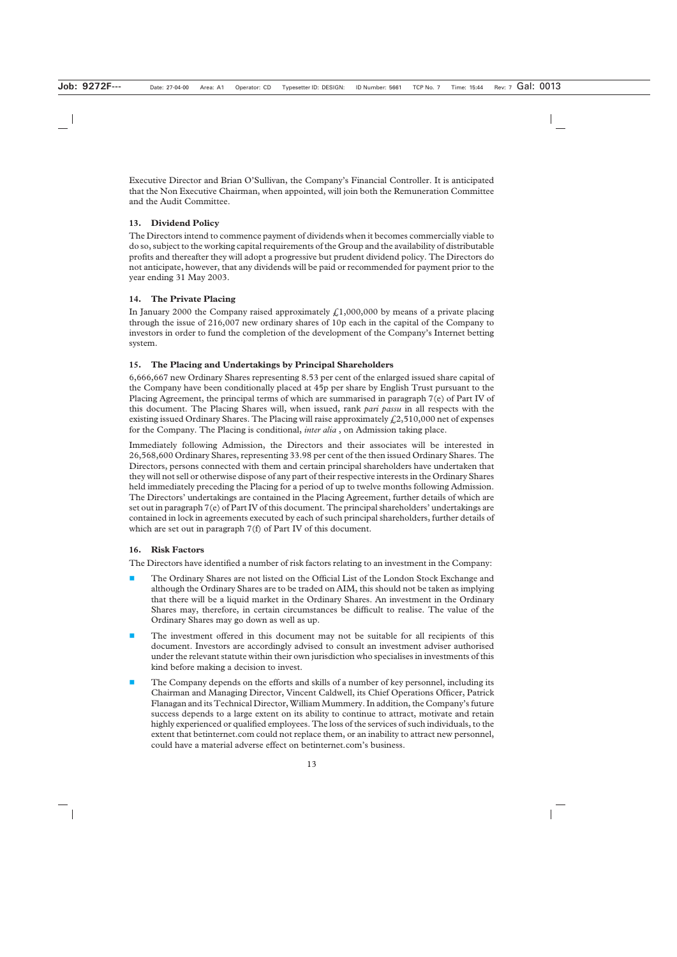Executive Director and Brian O'Sullivan, the Company's Financial Controller. It is anticipated that the Non Executive Chairman, when appointed, will join both the Remuneration Committee and the Audit Committee.

## **13. Dividend Policy**

The Directors intend to commence payment of dividends when it becomes commercially viable to do so, subject to the working capital requirements of the Group and the availability of distributable profits and thereafter they will adopt a progressive but prudent dividend policy. The Directors do not anticipate, however, that any dividends will be paid or recommended for payment prior to the year ending 31 May 2003.

## **14. The Private Placing**

In January 2000 the Company raised approximately  $\text{\textsterling}1,000,000$  by means of a private placing through the issue of 216,007 new ordinary shares of 10p each in the capital of the Company to investors in order to fund the completion of the development of the Company's Internet betting system.

## **15. The Placing and Undertakings by Principal Shareholders**

6,666,667 new Ordinary Shares representing 8.53 per cent of the enlarged issued share capital of the Company have been conditionally placed at 45p per share by English Trust pursuant to the Placing Agreement, the principal terms of which are summarised in paragraph 7(e) of Part IV of this document. The Placing Shares will, when issued, rank *pari passu* in all respects with the existing issued Ordinary Shares. The Placing will raise approximately  $f(2,510,000$  net of expenses for the Company. The Placing is conditional, *inter alia* , on Admission taking place.

Immediately following Admission, the Directors and their associates will be interested in 26,568,600 Ordinary Shares, representing 33.98 per cent of the then issued Ordinary Shares. The Directors, persons connected with them and certain principal shareholders have undertaken that they will not sell or otherwise dispose of any part of their respective interests in the Ordinary Shares held immediately preceding the Placing for a period of up to twelve months following Admission. The Directors' undertakings are contained in the Placing Agreement, further details of which are set out in paragraph 7(e) of Part IV of this document. The principal shareholders' undertakings are contained in lock in agreements executed by each of such principal shareholders, further details of which are set out in paragraph 7(f) of Part IV of this document.

## **16. Risk Factors**

The Directors have identified a number of risk factors relating to an investment in the Company:

- **The Ordinary Shares are not listed on the Official List of the London Stock Exchange and** although the Ordinary Shares are to be traded on AIM, this should not be taken as implying that there will be a liquid market in the Ordinary Shares. An investment in the Ordinary Shares may, therefore, in certain circumstances be difficult to realise. The value of the Ordinary Shares may go down as well as up.
- The investment offered in this document may not be suitable for all recipients of this document. Investors are accordingly advised to consult an investment adviser authorised under the relevant statute within their own jurisdiction who specialises in investments of this kind before making a decision to invest.
- **The Company depends on the efforts and skills of a number of key personnel, including its** Chairman and Managing Director, Vincent Caldwell, its Chief Operations Officer, Patrick Flanagan and its Technical Director, William Mummery. In addition, the Company's future success depends to a large extent on its ability to continue to attract, motivate and retain highly experienced or qualified employees. The loss of the services of such individuals, to the extent that betinternet.com could not replace them, or an inability to attract new personnel, could have a material adverse effect on betinternet.com's business.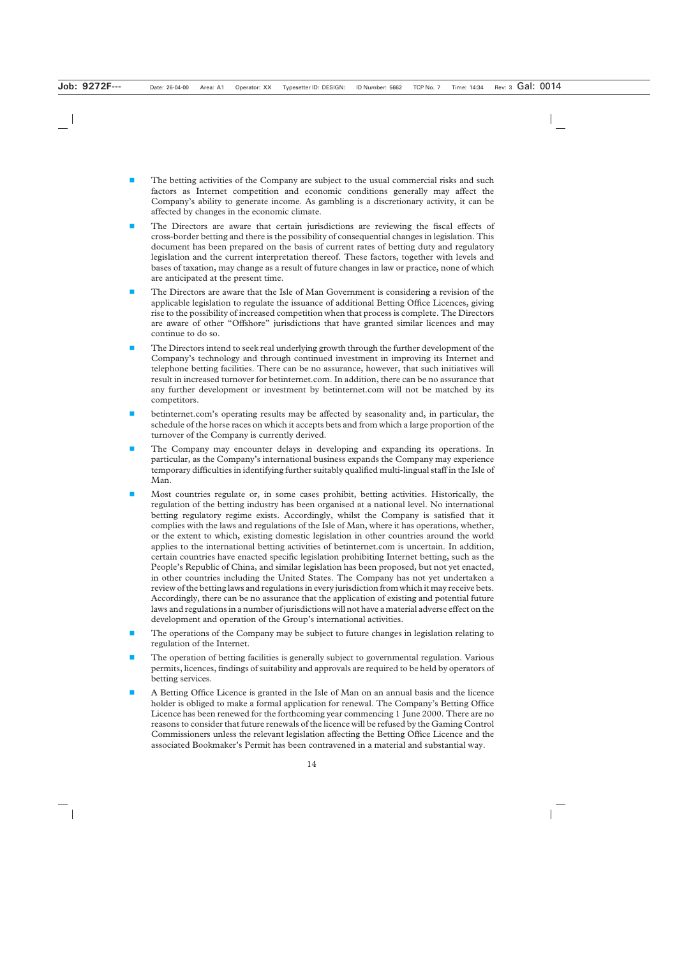- The betting activities of the Company are subject to the usual commercial risks and such factors as Internet competition and economic conditions generally may affect the Company's ability to generate income. As gambling is a discretionary activity, it can be affected by changes in the economic climate.
- The Directors are aware that certain jurisdictions are reviewing the fiscal effects of cross-border betting and there is the possibility of consequential changes in legislation. This document has been prepared on the basis of current rates of betting duty and regulatory legislation and the current interpretation thereof. These factors, together with levels and bases of taxation, may change as a result of future changes in law or practice, none of which are anticipated at the present time.
- The Directors are aware that the Isle of Man Government is considering a revision of the applicable legislation to regulate the issuance of additional Betting Office Licences, giving rise to the possibility of increased competition when that process is complete. The Directors are aware of other "Offshore" jurisdictions that have granted similar licences and may continue to do so.
- The Directors intend to seek real underlying growth through the further development of the Company's technology and through continued investment in improving its Internet and telephone betting facilities. There can be no assurance, however, that such initiatives will result in increased turnover for betinternet.com. In addition, there can be no assurance that any further development or investment by betinternet.com will not be matched by its competitors.
- betinternet.com's operating results may be affected by seasonality and, in particular, the schedule of the horse races on which it accepts bets and from which a large proportion of the turnover of the Company is currently derived.
- The Company may encounter delays in developing and expanding its operations. In particular, as the Company's international business expands the Company may experience temporary difficulties in identifying further suitably qualified multi-lingual staff in the Isle of Man.
- Most countries regulate or, in some cases prohibit, betting activities. Historically, the regulation of the betting industry has been organised at a national level. No international betting regulatory regime exists. Accordingly, whilst the Company is satisfied that it complies with the laws and regulations of the Isle of Man, where it has operations, whether, or the extent to which, existing domestic legislation in other countries around the world applies to the international betting activities of betinternet.com is uncertain. In addition, certain countries have enacted specific legislation prohibiting Internet betting, such as the People's Republic of China, and similar legislation has been proposed, but not yet enacted, in other countries including the United States. The Company has not yet undertaken a review of the betting laws and regulations in every jurisdiction from which it may receive bets. Accordingly, there can be no assurance that the application of existing and potential future laws and regulations in a number of jurisdictions will not have a material adverse effect on the development and operation of the Group's international activities.
- **The operations of the Company may be subject to future changes in legislation relating to** regulation of the Internet.
- The operation of betting facilities is generally subject to governmental regulation. Various permits, licences, findings of suitability and approvals are required to be held by operators of betting services.
- A Betting Office Licence is granted in the Isle of Man on an annual basis and the licence holder is obliged to make a formal application for renewal. The Company's Betting Office Licence has been renewed for the forthcoming year commencing 1 June 2000. There are no reasons to consider that future renewals of the licence will be refused by the Gaming Control Commissioners unless the relevant legislation affecting the Betting Office Licence and the associated Bookmaker's Permit has been contravened in a material and substantial way.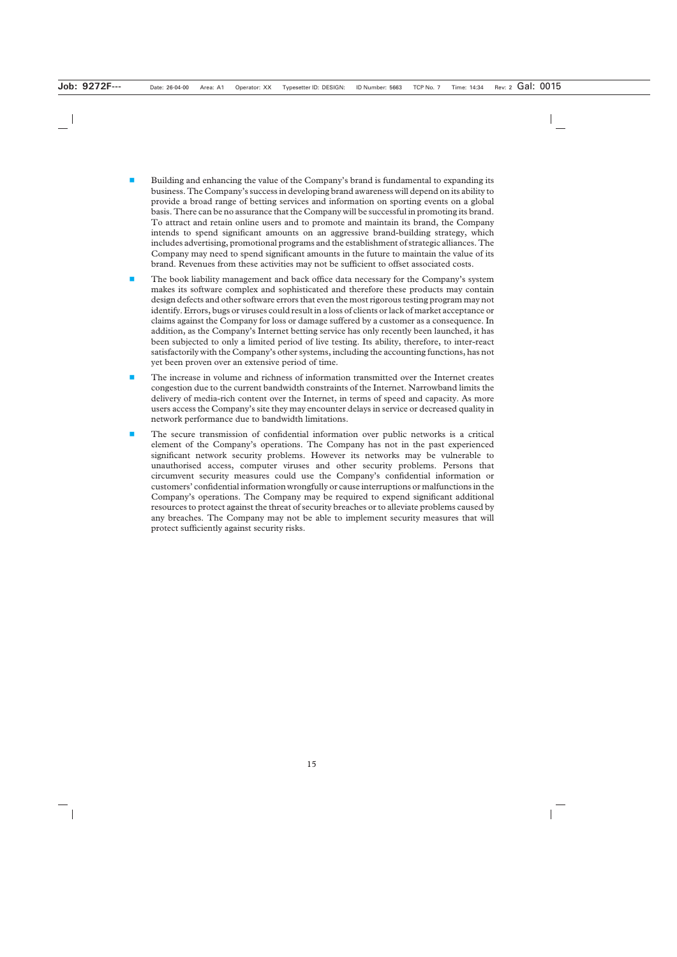- Building and enhancing the value of the Company's brand is fundamental to expanding its business. The Company's success in developing brand awareness will depend on its ability to provide a broad range of betting services and information on sporting events on a global basis. There can be no assurance that the Company will be successful in promoting its brand. To attract and retain online users and to promote and maintain its brand, the Company intends to spend significant amounts on an aggressive brand-building strategy, which includes advertising, promotional programs and the establishment of strategic alliances. The Company may need to spend significant amounts in the future to maintain the value of its brand. Revenues from these activities may not be sufficient to offset associated costs.
- The book liability management and back office data necessary for the Company's system makes its software complex and sophisticated and therefore these products may contain design defects and other software errors that even the most rigorous testing program may not identify. Errors, bugs or viruses could result in a loss of clients or lack of market acceptance or claims against the Company for loss or damage suffered by a customer as a consequence. In addition, as the Company's Internet betting service has only recently been launched, it has been subjected to only a limited period of live testing. Its ability, therefore, to inter-react satisfactorily with the Company's other systems, including the accounting functions, has not yet been proven over an extensive period of time.
- The increase in volume and richness of information transmitted over the Internet creates congestion due to the current bandwidth constraints of the Internet. Narrowband limits the delivery of media-rich content over the Internet, in terms of speed and capacity. As more users access the Company's site they may encounter delays in service or decreased quality in network performance due to bandwidth limitations.
- **The secure transmission of confidential information over public networks is a critical** element of the Company's operations. The Company has not in the past experienced significant network security problems. However its networks may be vulnerable to unauthorised access, computer viruses and other security problems. Persons that circumvent security measures could use the Company's confidential information or customers' confidential information wrongfully or cause interruptions or malfunctions in the Company's operations. The Company may be required to expend significant additional resources to protect against the threat of security breaches or to alleviate problems caused by any breaches. The Company may not be able to implement security measures that will protect sufficiently against security risks.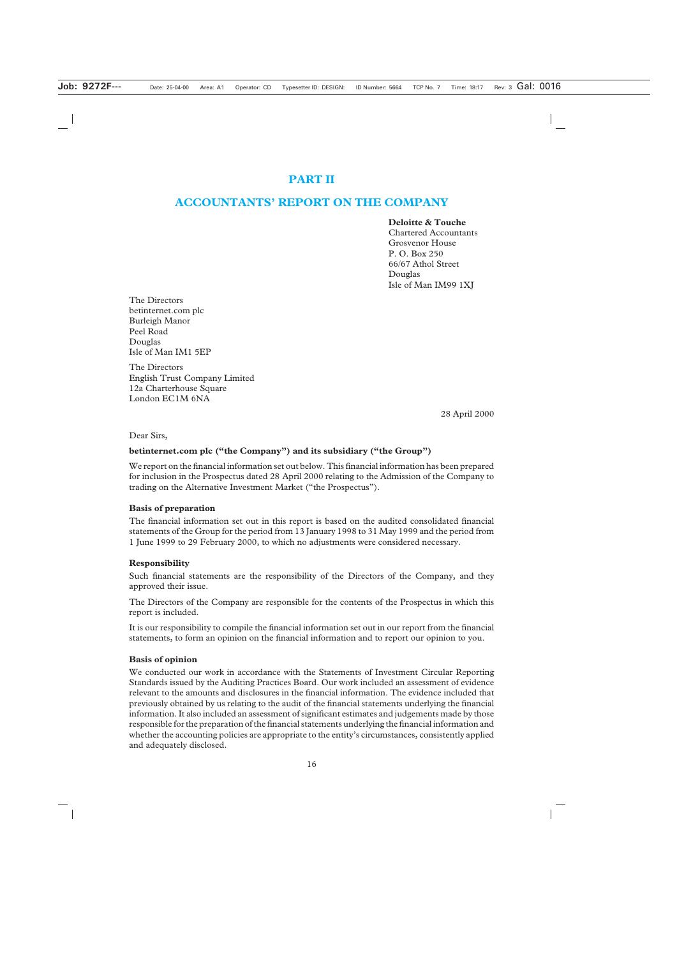## **PART II**

## **ACCOUNTANTS' REPORT ON THE COMPANY**

#### **Deloitte & Touche**

Chartered Accountants Grosvenor House P. O. Box 250 66/67 Athol Street Douglas Isle of Man IM99 1XJ

The Directors betinternet.com plc Burleigh Manor Peel Road Douglas Isle of Man IM1 5EP

The Directors English Trust Company Limited 12a Charterhouse Square London EC1M 6NA

28 April 2000

Dear Sirs,

#### **betinternet.com plc ("the Company") and its subsidiary ("the Group")**

We report on the financial information set out below. This financial information has been prepared for inclusion in the Prospectus dated 28 April 2000 relating to the Admission of the Company to trading on the Alternative Investment Market ("the Prospectus").

#### **Basis of preparation**

The financial information set out in this report is based on the audited consolidated financial statements of the Group for the period from 13 January 1998 to 31 May 1999 and the period from 1 June 1999 to 29 February 2000, to which no adjustments were considered necessary.

#### **Responsibility**

Such financial statements are the responsibility of the Directors of the Company, and they approved their issue.

The Directors of the Company are responsible for the contents of the Prospectus in which this report is included.

It is our responsibility to compile the financial information set out in our report from the financial statements, to form an opinion on the financial information and to report our opinion to you.

#### **Basis of opinion**

We conducted our work in accordance with the Statements of Investment Circular Reporting Standards issued by the Auditing Practices Board. Our work included an assessment of evidence relevant to the amounts and disclosures in the financial information. The evidence included that previously obtained by us relating to the audit of the financial statements underlying the financial information. It also included an assessment of significant estimates and judgements made by those responsible for the preparation of the financial statements underlying the financial information and whether the accounting policies are appropriate to the entity's circumstances, consistently applied and adequately disclosed.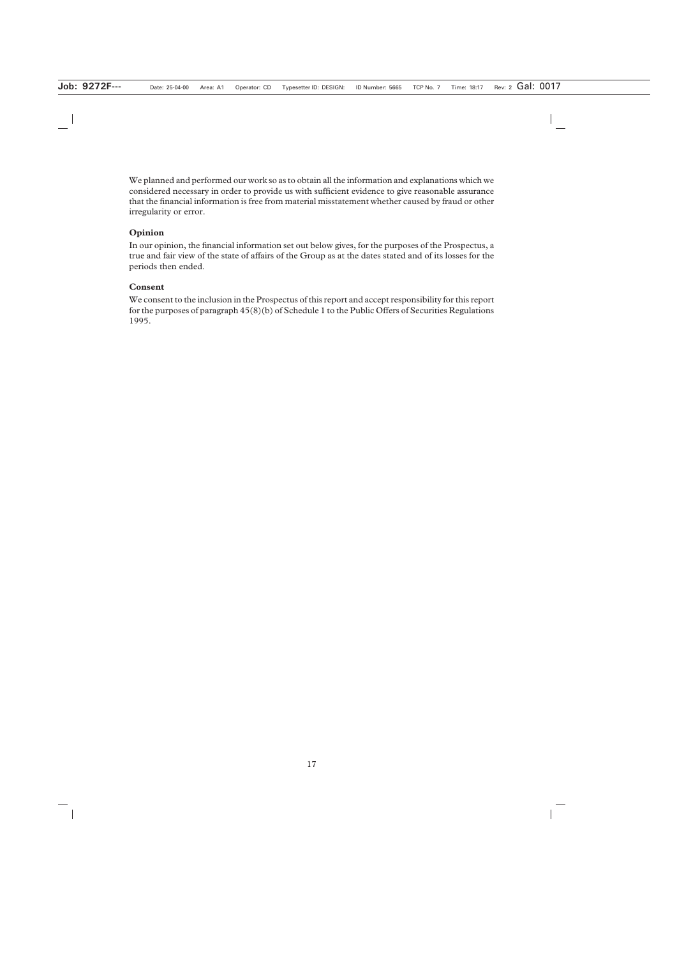We planned and performed our work so as to obtain all the information and explanations which we considered necessary in order to provide us with sufficient evidence to give reasonable assurance that the financial information is free from material misstatement whether caused by fraud or other irregularity or error.

## **Opinion**

In our opinion, the financial information set out below gives, for the purposes of the Prospectus, a true and fair view of the state of affairs of the Group as at the dates stated and of its losses for the periods then ended.

## **Consent**

We consent to the inclusion in the Prospectus of this report and accept responsibility for this report for the purposes of paragraph 45(8)(b) of Schedule 1 to the Public Offers of Securities Regulations 1995.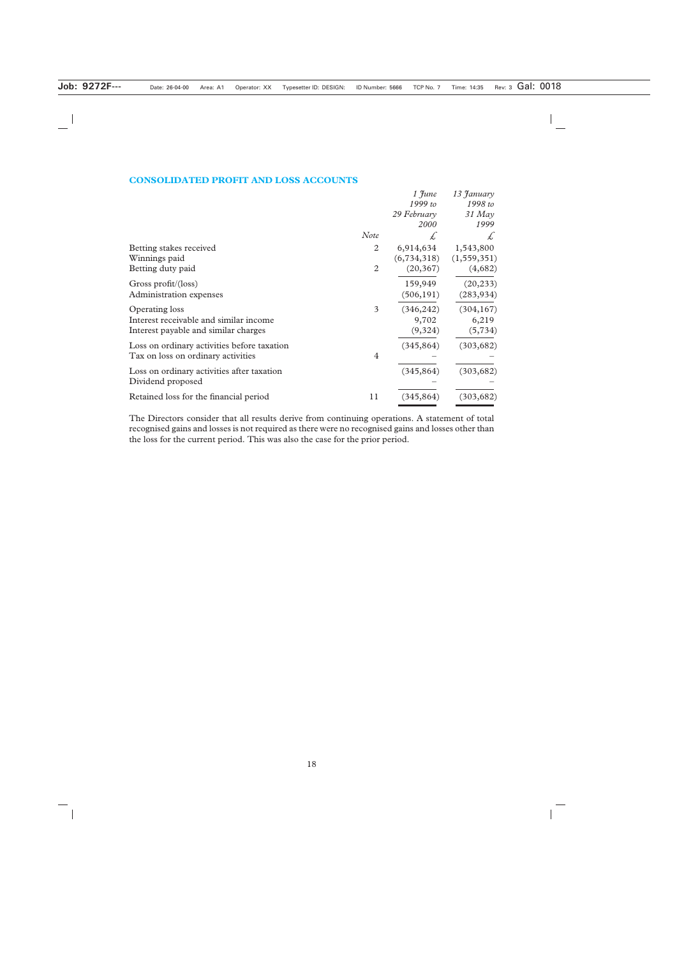#### **CONSOLIDATED PROFIT AND LOSS ACCOUNTS**

|                                             |                | $1$ June      | 13 January    |
|---------------------------------------------|----------------|---------------|---------------|
|                                             |                | 1999 to       | 1998 to       |
|                                             |                | 29 February   | $31$ May      |
|                                             |                | 2000          | 1999          |
|                                             | <b>Note</b>    | Ł             | £             |
| Betting stakes received                     | 2              | 6,914,634     | 1,543,800     |
| Winnings paid                               |                | (6, 734, 318) | (1, 559, 351) |
| Betting duty paid                           | $\overline{2}$ | (20, 367)     | (4,682)       |
| Gross profit/(loss)                         |                | 159,949       | (20, 233)     |
| Administration expenses                     |                | (506, 191)    | (283, 934)    |
| Operating loss                              | 3              | (346, 242)    | (304, 167)    |
| Interest receivable and similar income      |                | 9,702         | 6,219         |
| Interest payable and similar charges        |                | (9,324)       | (5, 734)      |
| Loss on ordinary activities before taxation |                | (345, 864)    | (303, 682)    |
| Tax on loss on ordinary activities          | $\overline{4}$ |               |               |
| Loss on ordinary activities after taxation  |                | (345, 864)    | (303, 682)    |
| Dividend proposed                           |                |               |               |
| Retained loss for the financial period      | 11             | (345, 864)    | (303, 682)    |

The Directors consider that all results derive from continuing operations. A statement of total recognised gains and losses is not required as there were no recognised gains and losses other than the loss for the current period. This was also the case for the prior period.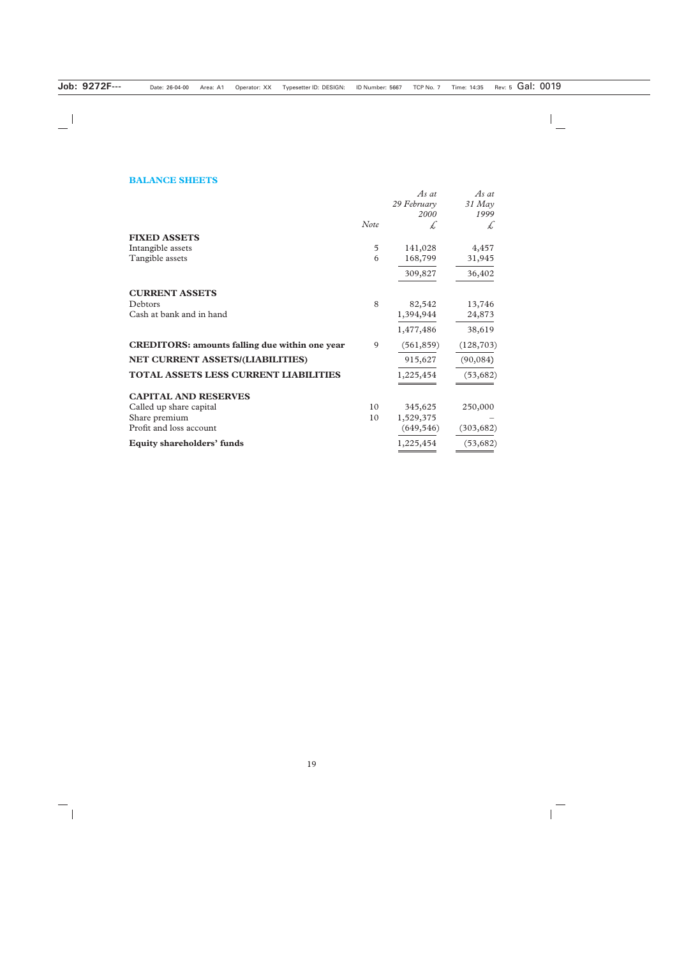## **BALANCE SHEETS**

|                                                       |      | As at       | As at      |
|-------------------------------------------------------|------|-------------|------------|
|                                                       |      | 29 February | 31 May     |
|                                                       |      | 2000        | 1999       |
|                                                       | Note | £           | £          |
| <b>FIXED ASSETS</b>                                   |      |             |            |
| Intangible assets                                     | 5    | 141,028     | 4,457      |
| Tangible assets                                       | 6    | 168,799     | 31,945     |
|                                                       |      | 309,827     | 36,402     |
| <b>CURRENT ASSETS</b>                                 |      |             |            |
| Debtors                                               | 8    | 82,542      | 13,746     |
| Cash at bank and in hand                              |      | 1,394,944   | 24,873     |
|                                                       |      | 1,477,486   | 38,619     |
| <b>CREDITORS: amounts falling due within one year</b> | 9    | (561, 859)  | (128, 703) |
| NET CURRENT ASSETS/(LIABILITIES)                      |      | 915,627     | (90, 084)  |
| <b>TOTAL ASSETS LESS CURRENT LIABILITIES</b>          |      | 1,225,454   | (53, 682)  |
| <b>CAPITAL AND RESERVES</b>                           |      |             |            |
| Called up share capital                               | 10   | 345,625     | 250,000    |
| Share premium                                         | 10   | 1,529,375   |            |
| Profit and loss account                               |      | (649, 546)  | (303, 682) |
| <b>Equity shareholders' funds</b>                     |      | 1,225,454   | (53, 682)  |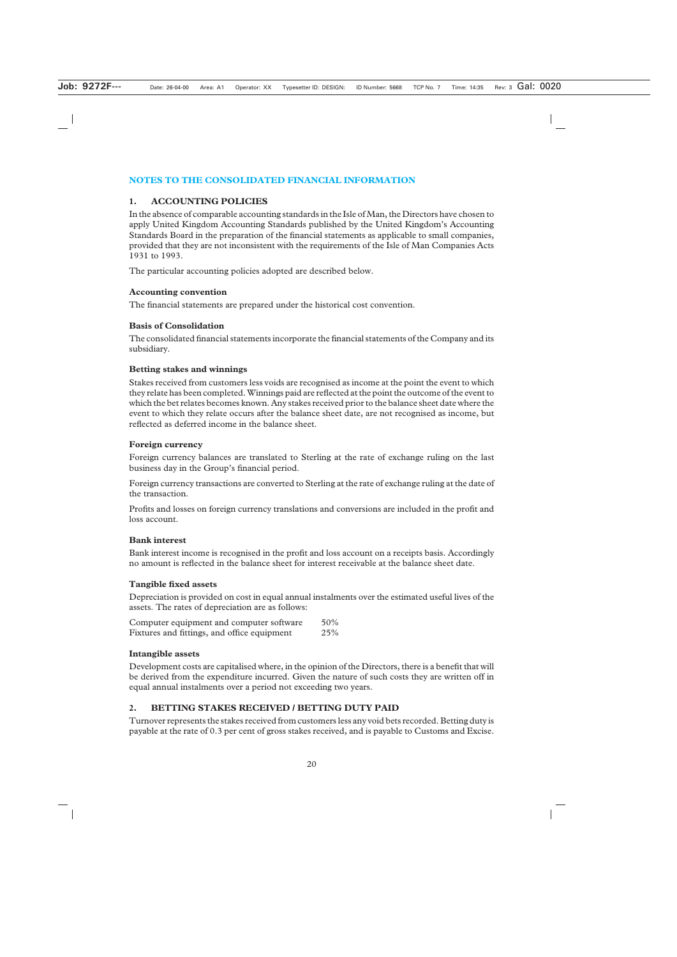## **NOTES TO THE CONSOLIDATED FINANCIAL INFORMATION**

## **1. ACCOUNTING POLICIES**

In the absence of comparable accounting standards in the Isle of Man, the Directors have chosen to apply United Kingdom Accounting Standards published by the United Kingdom's Accounting Standards Board in the preparation of the financial statements as applicable to small companies, provided that they are not inconsistent with the requirements of the Isle of Man Companies Acts 1931 to 1993.

The particular accounting policies adopted are described below.

#### **Accounting convention**

The financial statements are prepared under the historical cost convention.

#### **Basis of Consolidation**

The consolidated financial statements incorporate the financial statements of the Company and its subsidiary.

#### **Betting stakes and winnings**

Stakes received from customers less voids are recognised as income at the point the event to which they relate has been completed. Winnings paid are reflected at the point the outcome of the event to which the bet relates becomes known. Any stakes received prior to the balance sheet date where the event to which they relate occurs after the balance sheet date, are not recognised as income, but reflected as deferred income in the balance sheet.

#### **Foreign currency**

Foreign currency balances are translated to Sterling at the rate of exchange ruling on the last business day in the Group's financial period.

Foreign currency transactions are converted to Sterling at the rate of exchange ruling at the date of the transaction.

Profits and losses on foreign currency translations and conversions are included in the profit and loss account.

## **Bank interest**

Bank interest income is recognised in the profit and loss account on a receipts basis. Accordingly no amount is reflected in the balance sheet for interest receivable at the balance sheet date.

## **Tangible fixed assets**

Depreciation is provided on cost in equal annual instalments over the estimated useful lives of the assets. The rates of depreciation are as follows:

| Computer equipment and computer software    | $50\%$ |
|---------------------------------------------|--------|
| Fixtures and fittings, and office equipment | 25%    |

#### **Intangible assets**

Development costs are capitalised where, in the opinion of the Directors, there is a benefit that will be derived from the expenditure incurred. Given the nature of such costs they are written off in equal annual instalments over a period not exceeding two years.

## **2. BETTING STAKES RECEIVED / BETTING DUTY PAID**

Turnover represents the stakes received from customers less any void bets recorded. Betting duty is payable at the rate of 0.3 per cent of gross stakes received, and is payable to Customs and Excise.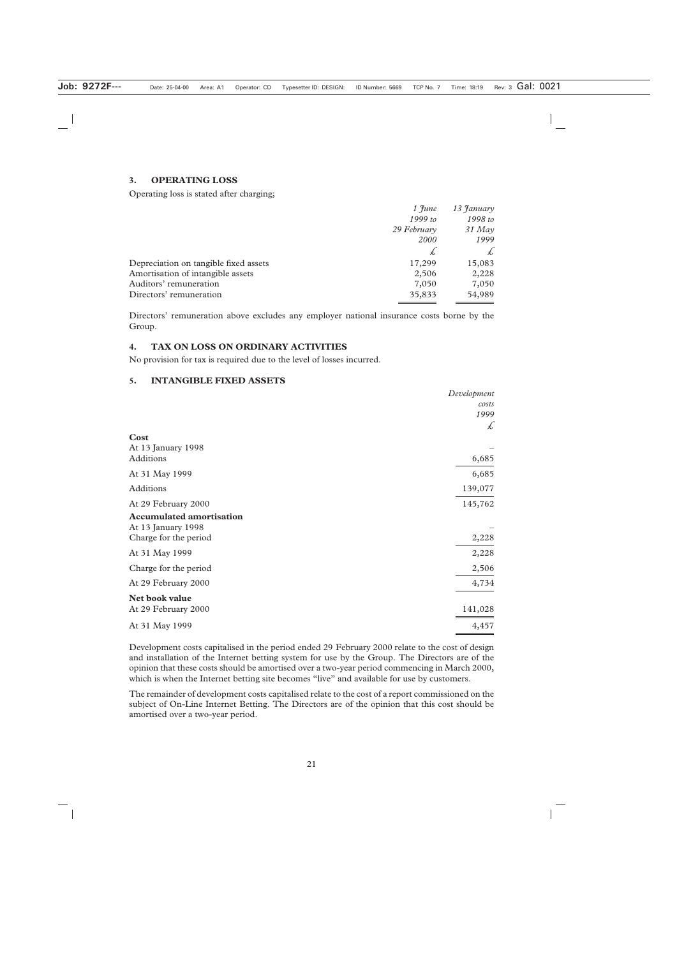#### **3. OPERATING LOSS**

Operating loss is stated after charging;

|                                       | $1$ June    | 13 January |
|---------------------------------------|-------------|------------|
|                                       | $1999$ to   | 1998 to    |
|                                       | 29 February | $31$ May   |
|                                       | <b>2000</b> | 1999       |
|                                       |             | £          |
| Depreciation on tangible fixed assets | 17,299      | 15,083     |
| Amortisation of intangible assets     | 2,506       | 2,228      |
| Auditors' remuneration                | 7,050       | 7,050      |
| Directors' remuneration               | 35,833      | 54,989     |

Directors' remuneration above excludes any employer national insurance costs borne by the Group.

## **4. TAX ON LOSS ON ORDINARY ACTIVITIES**

No provision for tax is required due to the level of losses incurred.

#### **5. INTANGIBLE FIXED ASSETS**

|                                 | Development |
|---------------------------------|-------------|
|                                 | costs       |
|                                 | 1999        |
|                                 | £           |
| Cost                            |             |
| At 13 January 1998              |             |
| Additions                       | 6,685       |
| At 31 May 1999                  | 6,685       |
| <b>Additions</b>                | 139,077     |
| At 29 February 2000             | 145,762     |
| <b>Accumulated amortisation</b> |             |
| At 13 January 1998              |             |
| Charge for the period           | 2,228       |
| At 31 May 1999                  | 2,228       |
| Charge for the period           | 2,506       |
| At 29 February 2000             | 4,734       |
| Net book value                  |             |
| At 29 February 2000             | 141,028     |
| At 31 May 1999                  | 4,457       |

Development costs capitalised in the period ended 29 February 2000 relate to the cost of design and installation of the Internet betting system for use by the Group. The Directors are of the opinion that these costs should be amortised over a two-year period commencing in March 2000, which is when the Internet betting site becomes "live" and available for use by customers.

The remainder of development costs capitalised relate to the cost of a report commissioned on the subject of On-Line Internet Betting. The Directors are of the opinion that this cost should be amortised over a two-year period.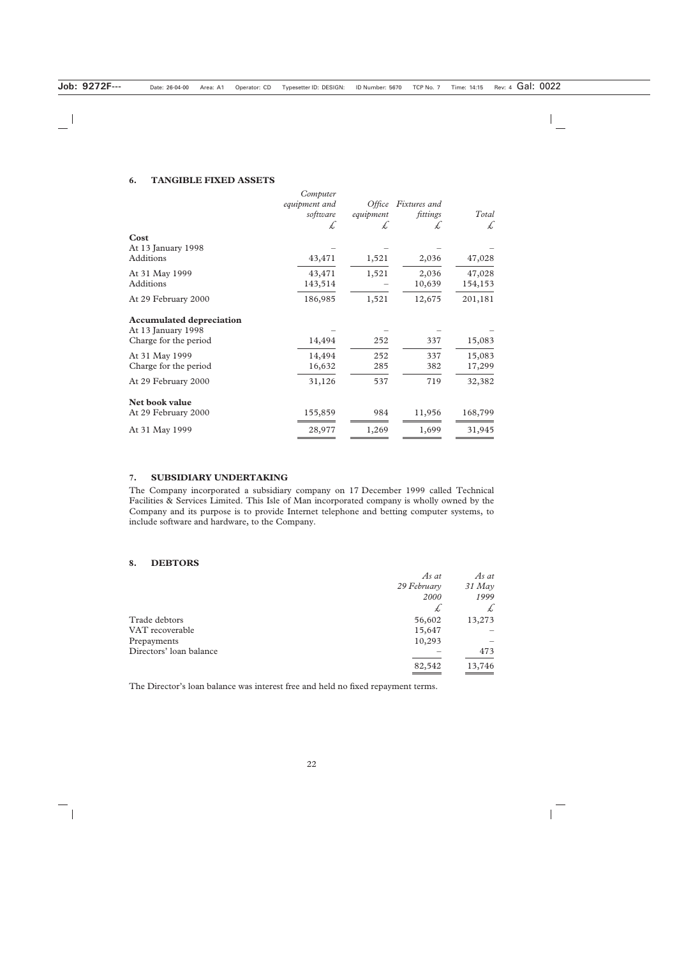#### **6. TANGIBLE FIXED ASSETS**

| Cost                                                                           | Computer<br>equipment and<br>software<br>£ | Office<br>equipment<br>£ | Fixtures and<br>fittings<br>$\star$ | Total<br>£        |
|--------------------------------------------------------------------------------|--------------------------------------------|--------------------------|-------------------------------------|-------------------|
| At 13 January 1998<br>Additions                                                | 43,471                                     | 1,521                    | 2,036                               | 47,028            |
| At 31 May 1999<br>Additions                                                    | 43,471<br>143,514                          | 1,521                    | 2,036<br>10,639                     | 47,028<br>154,153 |
| At 29 February 2000                                                            | 186,985                                    | 1,521                    | 12,675                              | 201,181           |
| <b>Accumulated depreciation</b><br>At 13 January 1998<br>Charge for the period | 14,494                                     | 252                      | 337                                 | 15,083            |
| At 31 May 1999<br>Charge for the period                                        | 14,494<br>16,632                           | 252<br>285               | 337<br>382                          | 15,083<br>17,299  |
| At 29 February 2000                                                            | 31,126                                     | 537                      | 719                                 | 32,382            |
| Net book value<br>At 29 February 2000                                          | 155,859                                    | 984                      | 11,956                              | 168,799           |
| At 31 May 1999                                                                 | 28,977                                     | 1,269                    | 1,699                               | 31,945            |

#### **7. SUBSIDIARY UNDERTAKING**

The Company incorporated a subsidiary company on 17 December 1999 called Technical Facilities & Services Limited. This Isle of Man incorporated company is wholly owned by the Company and its purpose is to provide Internet telephone and betting computer systems, to include software and hardware, to the Company.

#### **8. DEBTORS**

|                         | As at       | As at    |
|-------------------------|-------------|----------|
|                         | 29 February | $31$ May |
|                         | 2000        | 1999     |
|                         | £           | £        |
| Trade debtors           | 56,602      | 13,273   |
| VAT recoverable         | 15,647      |          |
| Prepayments             | 10,293      |          |
| Directors' loan balance |             | 473      |
|                         | 82,542      | 13,746   |

The Director's loan balance was interest free and held no fixed repayment terms.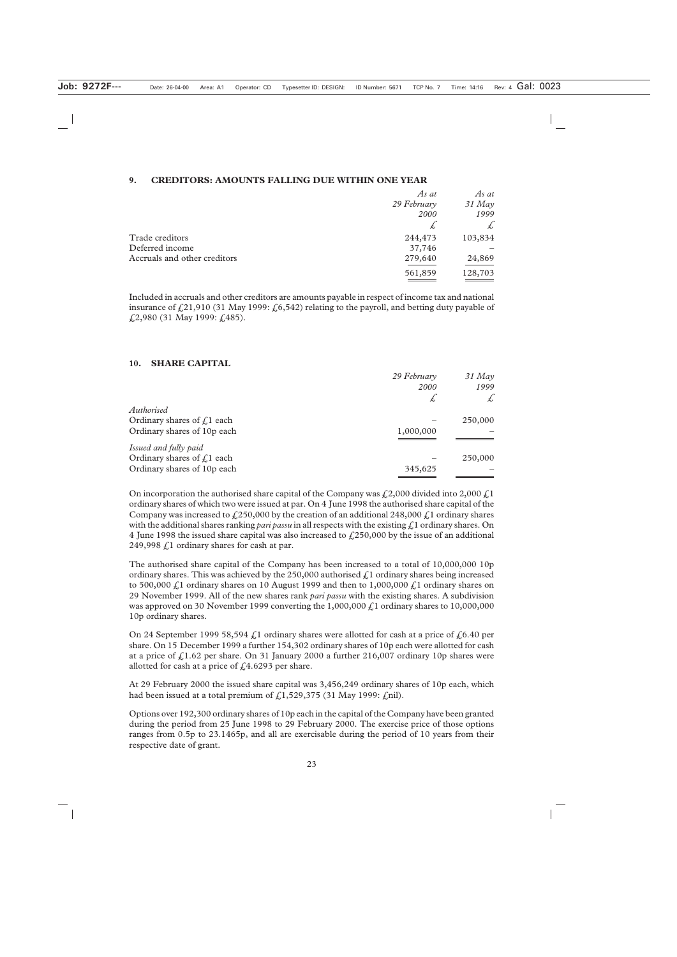#### **9. CREDITORS: AMOUNTS FALLING DUE WITHIN ONE YEAR**

|                              | As at       | As at         |
|------------------------------|-------------|---------------|
|                              | 29 February | 31 May        |
|                              | 2000        | 1999          |
|                              | $\star$     | $\mathcal{L}$ |
| Trade creditors              | 244,473     | 103,834       |
| Deferred income              | 37,746      |               |
| Accruals and other creditors | 279,640     | 24,869        |
|                              | 561,859     | 128,703       |
|                              |             |               |

Included in accruals and other creditors are amounts payable in respect of income tax and national insurance of £21,910 (31 May 1999: £6,542) relating to the payroll, and betting duty payable of £2,980 (31 May 1999: £485).

#### **10. SHARE CAPITAL**

|                              | 29 February | $31$ May |
|------------------------------|-------------|----------|
|                              | <b>2000</b> | 1999     |
|                              | Ł           | £        |
| Authorised                   |             |          |
| Ordinary shares of $f1$ each |             | 250,000  |
| Ordinary shares of 10p each  | 1,000,000   |          |
| Issued and fully paid        |             |          |
| Ordinary shares of $f1$ each |             | 250,000  |
| Ordinary shares of 10p each  | 345,625     |          |

On incorporation the authorised share capital of the Company was  $\text{\textsterling}2,000$  divided into 2,000  $\text{\textsterling}1$ ordinary shares of which two were issued at par. On 4 June 1998 the authorised share capital of the Company was increased to  $\frac{250,000}{250,000}$  by the creation of an additional 248,000  $\frac{1}{2}$  ordinary shares with the additional shares ranking *pari passu* in all respects with the existing £1 ordinary shares. On 4 June 1998 the issued share capital was also increased to  $f<sub>1</sub>250,000$  by the issue of an additional 249,998  $\zeta$ 1 ordinary shares for cash at par.

The authorised share capital of the Company has been increased to a total of 10,000,000 10p ordinary shares. This was achieved by the 250,000 authorised  $\zeta$ 1 ordinary shares being increased to 500,000  $\ell$ ,1 ordinary shares on 10 August 1999 and then to 1,000,000  $\ell$ ,1 ordinary shares on 29 November 1999. All of the new shares rank *pari passu* with the existing shares. A subdivision was approved on 30 November 1999 converting the  $1,000,000 f$ , ordinary shares to 10,000,000 10p ordinary shares.

On 24 September 1999 58,594  $\zeta$ 1 ordinary shares were allotted for cash at a price of  $\zeta$ 6.40 per share. On 15 December 1999 a further 154,302 ordinary shares of 10p each were allotted for cash at a price of  $\frac{1.62}{1.62}$  per share. On 31 January 2000 a further 216,007 ordinary 10p shares were allotted for cash at a price of  $\text{\emph{f}}\,4.6293$  per share.

At 29 February 2000 the issued share capital was 3,456,249 ordinary shares of 10p each, which had been issued at a total premium of  $\text{\textsterling}1,529,375$  (31 May 1999:  $\text{\textsterling}nil$ ).

Options over 192,300 ordinary shares of 10p each in the capital of the Company have been granted during the period from 25 June 1998 to 29 February 2000. The exercise price of those options ranges from 0.5p to 23.1465p, and all are exercisable during the period of 10 years from their respective date of grant.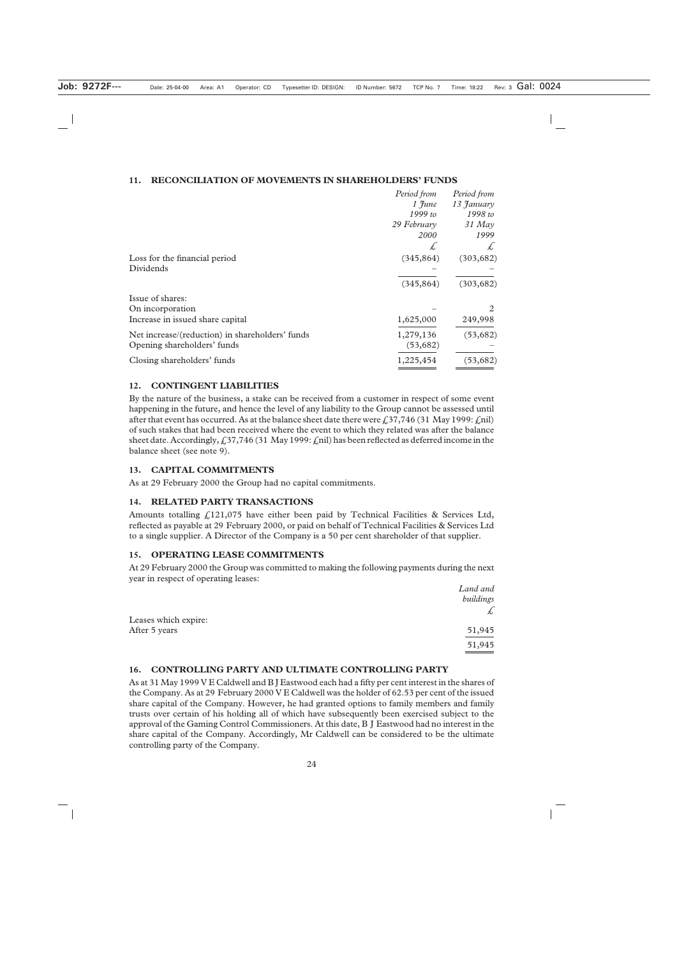#### **11. RECONCILIATION OF MOVEMENTS IN SHAREHOLDERS' FUNDS**

|                                                                                | Period from<br>$1$ $\mathfrak{F}$ une<br>1999 to<br>29 February<br><i>2000</i> | Period from<br>13 January<br>1998 to<br>$31$ May<br>1999 |
|--------------------------------------------------------------------------------|--------------------------------------------------------------------------------|----------------------------------------------------------|
|                                                                                | Ł,                                                                             | £                                                        |
| Loss for the financial period<br>Dividends                                     | (345, 864)<br>(345, 864)                                                       | (303, 682)<br>(303, 682)                                 |
| Issue of shares:                                                               |                                                                                |                                                          |
| On incorporation                                                               |                                                                                | $\mathcal{D}_{\mathcal{L}}$                              |
| Increase in issued share capital                                               | 1,625,000                                                                      | 249,998                                                  |
| Net increase/(reduction) in shareholders' funds<br>Opening shareholders' funds | 1,279,136<br>(53, 682)                                                         | (53, 682)                                                |
| Closing shareholders' funds                                                    | 1,225,454                                                                      | (53, 682)                                                |

#### **12. CONTINGENT LIABILITIES**

By the nature of the business, a stake can be received from a customer in respect of some event happening in the future, and hence the level of any liability to the Group cannot be assessed until after that event has occurred. As at the balance sheet date there were  $\ell$ , 37,746 (31 May 1999:  $\ell$ ,nil) of such stakes that had been received where the event to which they related was after the balance sheet date. Accordingly,  $\text{\textsterling}37,746$  (31 May 1999:  $\text{\textsterling}$ nil) has been reflected as deferred income in the balance sheet (see note 9).

#### **13. CAPITAL COMMITMENTS**

As at 29 February 2000 the Group had no capital commitments.

## **14. RELATED PARTY TRANSACTIONS**

Amounts totalling  $f(121,075)$  have either been paid by Technical Facilities & Services Ltd, reflected as payable at 29 February 2000, or paid on behalf of Technical Facilities & Services Ltd to a single supplier. A Director of the Company is a 50 per cent shareholder of that supplier.

## **15. OPERATING LEASE COMMITMENTS**

At 29 February 2000 the Group was committed to making the following payments during the next year in respect of operating leases:

|                      | Land and  |
|----------------------|-----------|
|                      | buildings |
| Leases which expire: | $\star$   |
| After 5 years        | 51,945    |
|                      | 51,945    |

## **16. CONTROLLING PARTY AND ULTIMATE CONTROLLING PARTY**

As at 31 May 1999 V E Caldwell and B J Eastwood each had a fifty per cent interest in the shares of the Company. As at 29 February 2000 V E Caldwell was the holder of 62.53 per cent of the issued share capital of the Company. However, he had granted options to family members and family trusts over certain of his holding all of which have subsequently been exercised subject to the approval of the Gaming Control Commissioners. At this date, B J Eastwood had no interest in the share capital of the Company. Accordingly, Mr Caldwell can be considered to be the ultimate controlling party of the Company.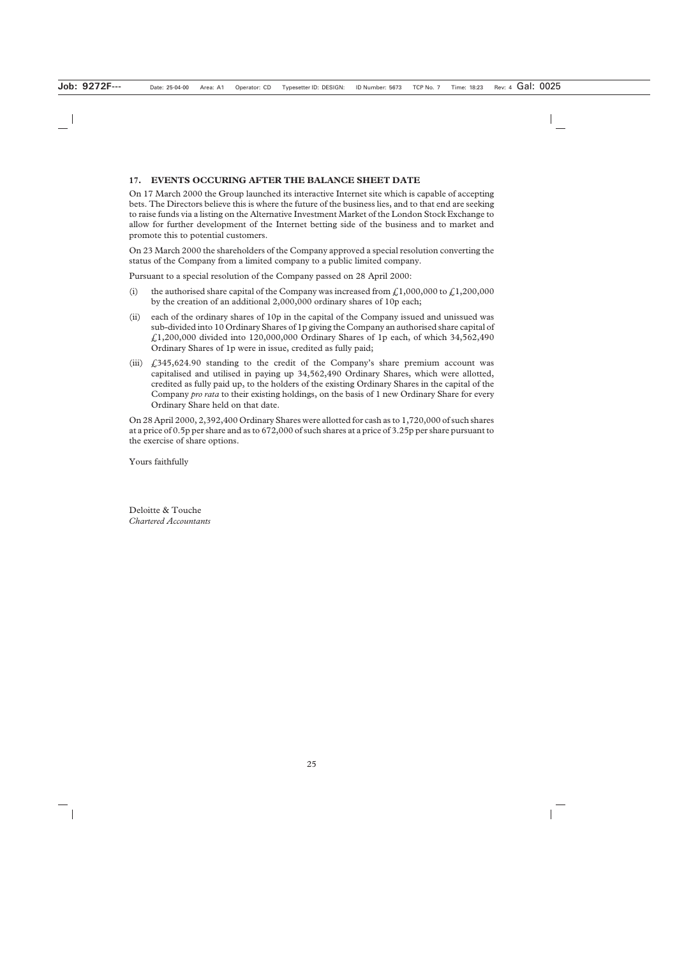## **17. EVENTS OCCURING AFTER THE BALANCE SHEET DATE**

On 17 March 2000 the Group launched its interactive Internet site which is capable of accepting bets. The Directors believe this is where the future of the business lies, and to that end are seeking to raise funds via a listing on the Alternative Investment Market of the London Stock Exchange to allow for further development of the Internet betting side of the business and to market and promote this to potential customers.

On 23 March 2000 the shareholders of the Company approved a special resolution converting the status of the Company from a limited company to a public limited company.

Pursuant to a special resolution of the Company passed on 28 April 2000:

- (i) the authorised share capital of the Company was increased from  $f(1,000,000$  to  $f(1,200,000)$ by the creation of an additional 2,000,000 ordinary shares of 10p each;
- (ii) each of the ordinary shares of 10p in the capital of the Company issued and unissued was sub-divided into 10 Ordinary Shares of 1p giving the Company an authorised share capital of  $f(1,200,000)$  divided into 120,000,000 Ordinary Shares of 1p each, of which 34,562,490 Ordinary Shares of 1p were in issue, credited as fully paid;
- (iii)  $\text{\textsterling}345,624.90$  standing to the credit of the Company's share premium account was capitalised and utilised in paying up 34,562,490 Ordinary Shares, which were allotted, credited as fully paid up, to the holders of the existing Ordinary Shares in the capital of the Company *pro rata* to their existing holdings, on the basis of 1 new Ordinary Share for every Ordinary Share held on that date.

On 28 April 2000, 2,392,400 Ordinary Shares were allotted for cash as to 1,720,000 of such shares at a price of 0.5p per share and as to 672,000 of such shares at a price of 3.25p per share pursuant to the exercise of share options.

Yours faithfully

Deloitte & Touche *Chartered Accountants*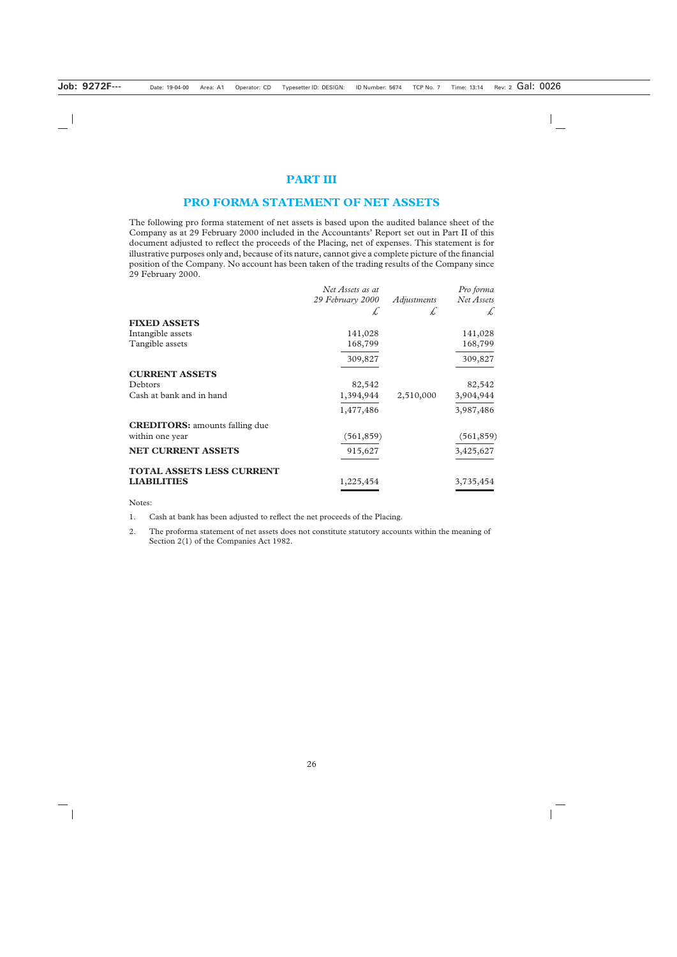## **PART III**

## **PRO FORMA STATEMENT OF NET ASSETS**

The following pro forma statement of net assets is based upon the audited balance sheet of the Company as at 29 February 2000 included in the Accountants' Report set out in Part II of this document adjusted to reflect the proceeds of the Placing, net of expenses. This statement is for illustrative purposes only and, because of its nature, cannot give a complete picture of the financial position of the Company. No account has been taken of the trading results of the Company since 29 February 2000.

|                                       | Net Assets as at |             | Pro forma        |
|---------------------------------------|------------------|-------------|------------------|
|                                       | 29 February 2000 | Adjustments | Net Assets       |
|                                       | £                | Ł,          | $\overline{f}$ . |
| <b>FIXED ASSETS</b>                   |                  |             |                  |
| Intangible assets                     | 141,028          |             | 141,028          |
| Tangible assets                       | 168,799          |             | 168,799          |
|                                       | 309,827          |             | 309,827          |
| <b>CURRENT ASSETS</b>                 |                  |             |                  |
| Debtors                               | 82,542           |             | 82,542           |
| Cash at bank and in hand              | 1,394,944        | 2,510,000   | 3,904,944        |
|                                       | 1,477,486        |             | 3,987,486        |
| <b>CREDITORS:</b> amounts falling due |                  |             |                  |
| within one year                       | (561, 859)       |             | (561, 859)       |
| <b>NET CURRENT ASSETS</b>             | 915,627          |             | 3,425,627        |
| <b>TOTAL ASSETS LESS CURRENT</b>      |                  |             |                  |
| <b>LIABILITIES</b>                    | 1,225,454        |             | 3,735,454        |

Notes:

1. Cash at bank has been adjusted to reflect the net proceeds of the Placing.

2. The proforma statement of net assets does not constitute statutory accounts within the meaning of Section 2(1) of the Companies Act 1982.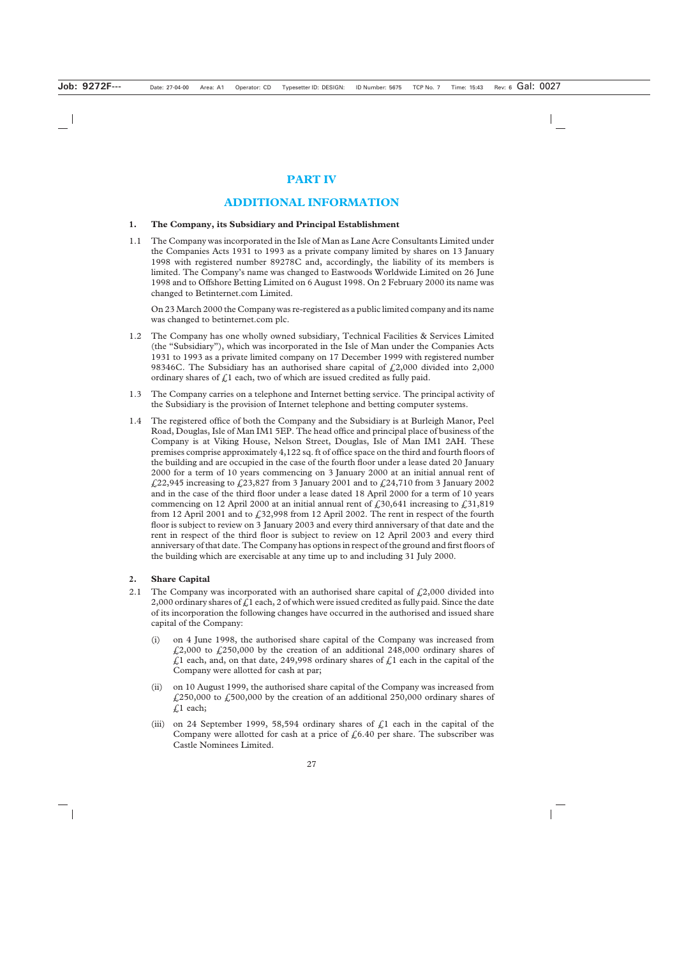## **PART IV**

## **ADDITIONAL INFORMATION**

## **1. The Company, its Subsidiary and Principal Establishment**

1.1 The Company was incorporated in the Isle of Man as Lane Acre Consultants Limited under the Companies Acts 1931 to 1993 as a private company limited by shares on 13 January 1998 with registered number 89278C and, accordingly, the liability of its members is limited. The Company's name was changed to Eastwoods Worldwide Limited on 26 June 1998 and to Offshore Betting Limited on 6 August 1998. On 2 February 2000 its name was changed to Betinternet.com Limited.

On 23 March 2000 the Company was re-registered as a public limited company and its name was changed to betinternet.com plc.

- 1.2 The Company has one wholly owned subsidiary, Technical Facilities & Services Limited (the "Subsidiary"), which was incorporated in the Isle of Man under the Companies Acts 1931 to 1993 as a private limited company on 17 December 1999 with registered number 98346C. The Subsidiary has an authorised share capital of  $f(2,000)$  divided into 2,000 ordinary shares of  $f<sub>i</sub>1$  each, two of which are issued credited as fully paid.
- 1.3 The Company carries on a telephone and Internet betting service. The principal activity of the Subsidiary is the provision of Internet telephone and betting computer systems.
- 1.4 The registered office of both the Company and the Subsidiary is at Burleigh Manor, Peel Road, Douglas, Isle of Man IM1 5EP. The head office and principal place of business of the Company is at Viking House, Nelson Street, Douglas, Isle of Man IM1 2AH. These premises comprise approximately 4,122 sq. ft of office space on the third and fourth floors of the building and are occupied in the case of the fourth floor under a lease dated 20 January 2000 for a term of 10 years commencing on 3 January 2000 at an initial annual rent of  $\text{\emph{4}}.22,945$  increasing to  $\text{\emph{4}}.23,827$  from 3 January 2001 and to  $\text{\emph{4}}.24,710$  from 3 January 2002 and in the case of the third floor under a lease dated 18 April 2000 for a term of 10 years commencing on 12 April 2000 at an initial annual rent of  $\text{\emph{f}}_330,641$  increasing to  $\text{\emph{f}}_331,819$ from 12 April 2001 and to  $\text{\textsterling}32,998$  from 12 April 2002. The rent in respect of the fourth floor is subject to review on 3 January 2003 and every third anniversary of that date and the rent in respect of the third floor is subject to review on 12 April 2003 and every third anniversary of that date. The Company has options in respect of the ground and first floors of the building which are exercisable at any time up to and including 31 July 2000.

## **2. Share Capital**

- 2.1 The Company was incorporated with an authorised share capital of  $\text{\textsterling}2,000$  divided into 2,000 ordinary shares of  $f<sub>i</sub>1$  each, 2 of which were issued credited as fully paid. Since the date of its incorporation the following changes have occurred in the authorised and issued share capital of the Company:
	- (i) on 4 June 1998, the authorised share capital of the Company was increased from  $\text{\emph{£}}2,000$  to  $\text{\emph{£}}250,000$  by the creation of an additional 248,000 ordinary shares of  $\hat{L}$ 1 each, and, on that date, 249,998 ordinary shares of  $\hat{L}$ 1 each in the capital of the Company were allotted for cash at par;
	- (ii) on 10 August 1999, the authorised share capital of the Company was increased from  $\text{\emph{£}}250,000$  to  $\text{\emph{£}}500,000$  by the creation of an additional 250,000 ordinary shares of £1 each;
	- (iii) on 24 September 1999, 58,594 ordinary shares of  $\zeta$ 1 each in the capital of the Company were allotted for cash at a price of  $\ell$ , 6.40 per share. The subscriber was Castle Nominees Limited.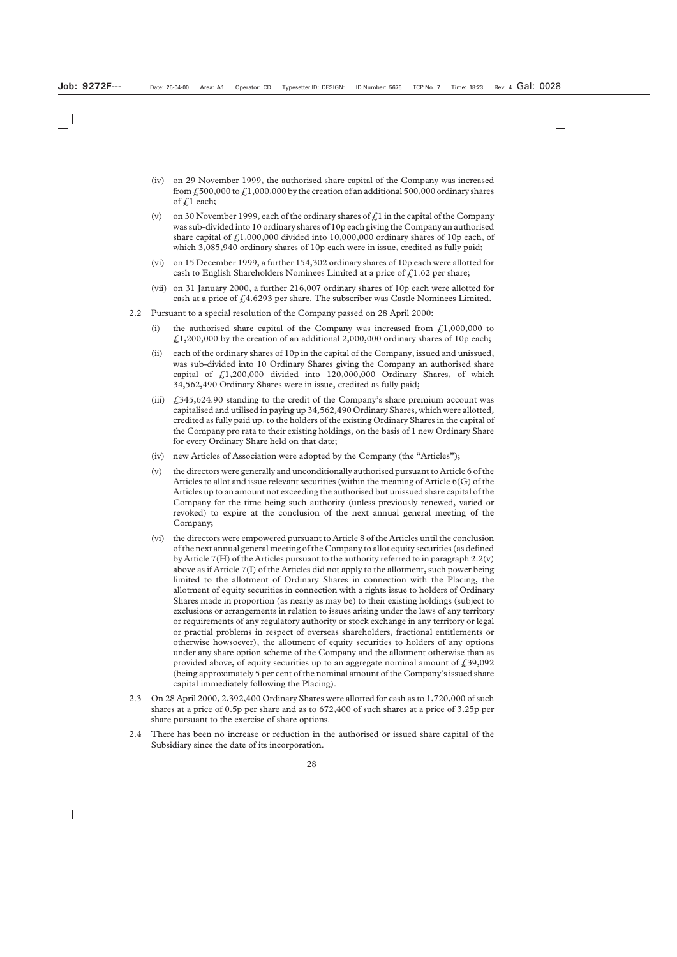- (iv) on 29 November 1999, the authorised share capital of the Company was increased from  $\hat{F}_1$ 500,000 to  $\hat{F}_1$ ,000,000 by the creation of an additional 500,000 ordinary shares of  $f<sub>i</sub>$  each;
- (v) on 30 November 1999, each of the ordinary shares of  $f<sub>i</sub>$  in the capital of the Company was sub-divided into 10 ordinary shares of 10p each giving the Company an authorised share capital of  $f_11,000,000$  divided into 10,000,000 ordinary shares of 10p each, of which 3,085,940 ordinary shares of 10p each were in issue, credited as fully paid;
- (vi) on 15 December 1999, a further 154,302 ordinary shares of 10p each were allotted for cash to English Shareholders Nominees Limited at a price of  $f<sub>i</sub>1.62$  per share;
- (vii) on 31 January 2000, a further 216,007 ordinary shares of 10p each were allotted for cash at a price of  $f_14.6293$  per share. The subscriber was Castle Nominees Limited.
- 2.2 Pursuant to a special resolution of the Company passed on 28 April 2000:
	- (i) the authorised share capital of the Company was increased from  $\ell$ , 1,000,000 to  $\text{\textsterling}1,200,000$  by the creation of an additional 2,000,000 ordinary shares of 10p each;
	- (ii) each of the ordinary shares of 10p in the capital of the Company, issued and unissued, was sub-divided into 10 Ordinary Shares giving the Company an authorised share capital of  $\hat{\mathcal{L}}$ 1,200,000 divided into 120,000,000 Ordinary Shares, of which 34,562,490 Ordinary Shares were in issue, credited as fully paid;
	- (iii)  $\int$ , 345,624.90 standing to the credit of the Company's share premium account was capitalised and utilised in paying up 34,562,490 Ordinary Shares, which were allotted, credited as fully paid up, to the holders of the existing Ordinary Shares in the capital of the Company pro rata to their existing holdings, on the basis of 1 new Ordinary Share for every Ordinary Share held on that date;
	- (iv) new Articles of Association were adopted by the Company (the "Articles");
	- (v) the directors were generally and unconditionally authorised pursuant to Article 6 of the Articles to allot and issue relevant securities (within the meaning of Article 6(G) of the Articles up to an amount not exceeding the authorised but unissued share capital of the Company for the time being such authority (unless previously renewed, varied or revoked) to expire at the conclusion of the next annual general meeting of the Company;
	- (vi) the directors were empowered pursuant to Article 8 of the Articles until the conclusion of the next annual general meeting of the Company to allot equity securities (as defined by Article 7(H) of the Articles pursuant to the authority referred to in paragraph  $2.2(v)$ above as if Article 7(I) of the Articles did not apply to the allotment, such power being limited to the allotment of Ordinary Shares in connection with the Placing, the allotment of equity securities in connection with a rights issue to holders of Ordinary Shares made in proportion (as nearly as may be) to their existing holdings (subject to exclusions or arrangements in relation to issues arising under the laws of any territory or requirements of any regulatory authority or stock exchange in any territory or legal or practial problems in respect of overseas shareholders, fractional entitlements or otherwise howsoever), the allotment of equity securities to holders of any options under any share option scheme of the Company and the allotment otherwise than as provided above, of equity securities up to an aggregate nominal amount of  $\zeta$ 39,092 (being approximately 5 per cent of the nominal amount of the Company's issued share capital immediately following the Placing).
- 2.3 On 28 April 2000, 2,392,400 Ordinary Shares were allotted for cash as to 1,720,000 of such shares at a price of 0.5p per share and as to 672,400 of such shares at a price of 3.25p per share pursuant to the exercise of share options.
- 2.4 There has been no increase or reduction in the authorised or issued share capital of the Subsidiary since the date of its incorporation.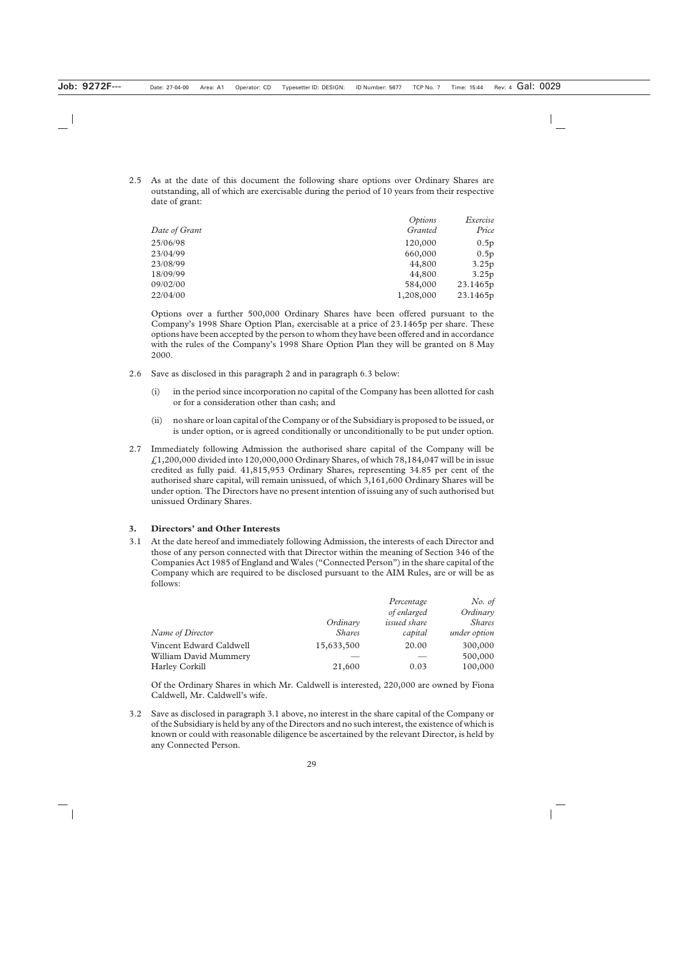2.5 As at the date of this document the following share options over Ordinary Shares are outstanding, all of which are exercisable during the period of 10 years from their respective date of grant:

|               | Options   | Exercise |
|---------------|-----------|----------|
| Date of Grant | Granted   | Price    |
| 25/06/98      | 120,000   | 0.5p     |
| 23/04/99      | 660,000   | 0.5p     |
| 23/08/99      | 44,800    | 3.25p    |
| 18/09/99      | 44,800    | 3.25p    |
| 09/02/00      | 584,000   | 23.1465p |
| 22/04/00      | 1,208,000 | 23.1465p |
|               |           |          |

Options over a further 500,000 Ordinary Shares have been offered pursuant to the Company's 1998 Share Option Plan, exercisable at a price of 23.1465p per share. These options have been accepted by the person to whom they have been offered and in accordance with the rules of the Company's 1998 Share Option Plan they will be granted on 8 May 2000.

- 2.6 Save as disclosed in this paragraph 2 and in paragraph 6.3 below:
	- (i) in the period since incorporation no capital of the Company has been allotted for cash or for a consideration other than cash; and
	- (ii) no share or loan capital of the Company or of the Subsidiary is proposed to be issued, or is under option, or is agreed conditionally or unconditionally to be put under option.
- 2.7 Immediately following Admission the authorised share capital of the Company will be £1,200,000 divided into 120,000,000 Ordinary Shares, of which 78,184,047 will be in issue credited as fully paid. 41,815,953 Ordinary Shares, representing 34.85 per cent of the authorised share capital, will remain unissued, of which 3,161,600 Ordinary Shares will be under option. The Directors have no present intention of issuing any of such authorised but unissued Ordinary Shares.

## **3. Directors' and Other Interests**

3.1 At the date hereof and immediately following Admission, the interests of each Director and those of any person connected with that Director within the meaning of Section 346 of the Companies Act 1985 of England and Wales ("Connected Person") in the share capital of the Company which are required to be disclosed pursuant to the AIM Rules, are or will be as follows:

|                         |               | Percentage          | No. of        |
|-------------------------|---------------|---------------------|---------------|
|                         |               | of enlarged         | Ordinary      |
|                         | Ordinary      | <i>issued share</i> | <i>Shares</i> |
| Name of Director        | <i>Shares</i> | capital             | under option  |
| Vincent Edward Caldwell | 15,633,500    | 20.00               | 300,000       |
| William David Mummery   |               |                     | 500,000       |
| <b>Harley Corkill</b>   | 21,600        | 0.03                | 100,000       |

Of the Ordinary Shares in which Mr. Caldwell is interested, 220,000 are owned by Fiona Caldwell, Mr. Caldwell's wife.

3.2 Save as disclosed in paragraph 3.1 above, no interest in the share capital of the Company or of the Subsidiary is held by any of the Directors and no such interest, the existence of which is known or could with reasonable diligence be ascertained by the relevant Director, is held by any Connected Person.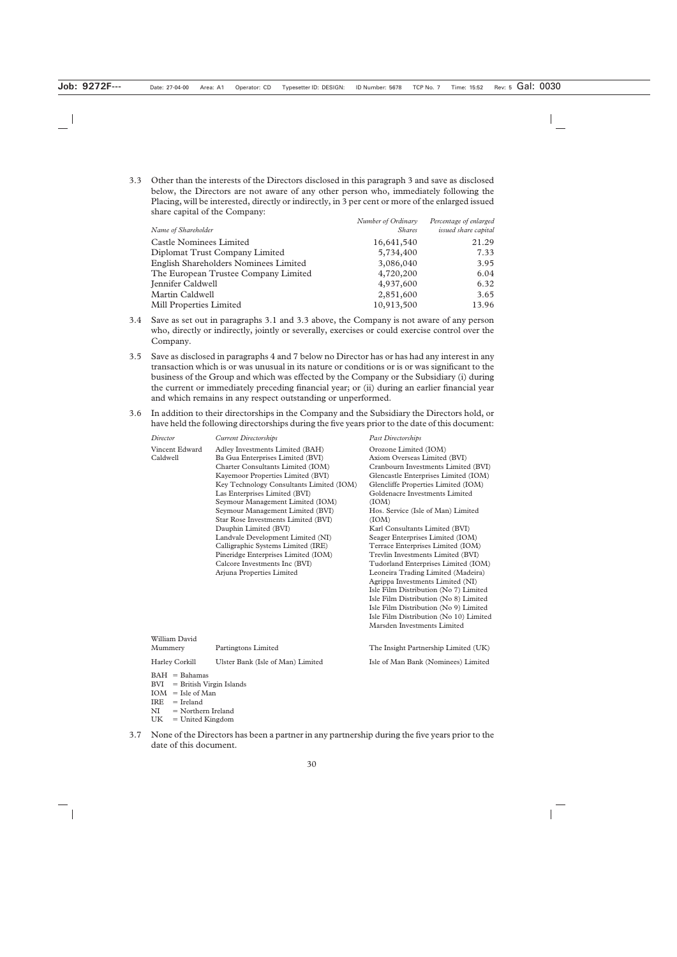3.3 Other than the interests of the Directors disclosed in this paragraph 3 and save as disclosed below, the Directors are not aware of any other person who, immediately following the Placing, will be interested, directly or indirectly, in 3 per cent or more of the enlarged issued share capital of the Company:

|                                              | Number of Ordinary | Percentage of enlarged |
|----------------------------------------------|--------------------|------------------------|
| Name of Shareholder                          | <i>Shares</i>      | issued share capital   |
| <b>Castle Nominees Limited</b>               | 16,641,540         | 21.29                  |
| Diplomat Trust Company Limited               | 5,734,400          | 7.33                   |
| <b>English Shareholders Nominees Limited</b> | 3,086,040          | 3.95                   |
| The European Trustee Company Limited         | 4,720,200          | 6.04                   |
| Jennifer Caldwell                            | 4,937,600          | 6.32                   |
| Martin Caldwell                              | 2,851,600          | 3.65                   |
| <b>Mill Properties Limited</b>               | 10,913,500         | 13.96                  |

- 3.4 Save as set out in paragraphs 3.1 and 3.3 above, the Company is not aware of any person who, directly or indirectly, jointly or severally, exercises or could exercise control over the Company.
- 3.5 Save as disclosed in paragraphs 4 and 7 below no Director has or has had any interest in any transaction which is or was unusual in its nature or conditions or is or was significant to the business of the Group and which was effected by the Company or the Subsidiary (i) during the current or immediately preceding financial year; or (ii) during an earlier financial year and which remains in any respect outstanding or unperformed.
- 3.6 In addition to their directorships in the Company and the Subsidiary the Directors hold, or have held the following directorships during the five years prior to the date of this document:

| Director                                                                     | <b>Current Directorships</b>                                                                                                                                                                                                                                                                                                                                                                                                                                                                                                                       | Past Directorships                                                                                                                                                                                                                                                                                                                                                                                                                                                                                                                                                                                                                                                                                                                         |
|------------------------------------------------------------------------------|----------------------------------------------------------------------------------------------------------------------------------------------------------------------------------------------------------------------------------------------------------------------------------------------------------------------------------------------------------------------------------------------------------------------------------------------------------------------------------------------------------------------------------------------------|--------------------------------------------------------------------------------------------------------------------------------------------------------------------------------------------------------------------------------------------------------------------------------------------------------------------------------------------------------------------------------------------------------------------------------------------------------------------------------------------------------------------------------------------------------------------------------------------------------------------------------------------------------------------------------------------------------------------------------------------|
| Vincent Edward<br>Caldwell                                                   | Adley Investments Limited (BAH)<br>Ba Gua Enterprises Limited (BVI)<br>Charter Consultants Limited (IOM)<br>Kayemoor Properties Limited (BVI)<br>Key Technology Consultants Limited (IOM)<br>Las Enterprises Limited (BVI)<br>Seymour Management Limited (IOM)<br>Seymour Management Limited (BVI)<br>Star Rose Investments Limited (BVI)<br>Dauphin Limited (BVI)<br>Landvale Development Limited (NI)<br>Calligraphic Systems Limited (IRE)<br>Pineridge Enterprises Limited (IOM)<br>Calcore Investments Inc (BVI)<br>Arjuna Properties Limited | Orozone Limited (IOM)<br>Axiom Overseas Limited (BVI)<br>Cranbourn Investments Limited (BVI)<br>Glencastle Enterprises Limited (IOM)<br>Glencliffe Properties Limited (IOM)<br>Goldenacre Investments Limited<br>(IOM)<br>Hos. Service (Isle of Man) Limited<br>(IOM)<br>Karl Consultants Limited (BVI)<br>Seager Enterprises Limited (IOM)<br>Terrace Enterprises Limited (IOM)<br>Trevlin Investments Limited (BVI)<br>Tudorland Enterprises Limited (IOM)<br>Leoneira Trading Limited (Madeira)<br>Agrippa Investments Limited (NI)<br>Isle Film Distribution (No 7) Limited<br>Isle Film Distribution (No 8) Limited<br>Isle Film Distribution (No 9) Limited<br>Isle Film Distribution (No 10) Limited<br>Marsden Investments Limited |
| William David<br>Mummery                                                     | Partingtons Limited                                                                                                                                                                                                                                                                                                                                                                                                                                                                                                                                | The Insight Partnership Limited (UK)                                                                                                                                                                                                                                                                                                                                                                                                                                                                                                                                                                                                                                                                                                       |
| Harley Corkill                                                               | Ulster Bank (Isle of Man) Limited                                                                                                                                                                                                                                                                                                                                                                                                                                                                                                                  | Isle of Man Bank (Nominees) Limited                                                                                                                                                                                                                                                                                                                                                                                                                                                                                                                                                                                                                                                                                                        |
| $BAH = Bahamas$<br>= British Virgin Islands<br>BVI<br>$TOM = L1_2 \circ FMa$ |                                                                                                                                                                                                                                                                                                                                                                                                                                                                                                                                                    |                                                                                                                                                                                                                                                                                                                                                                                                                                                                                                                                                                                                                                                                                                                                            |

- $IOM = I sle of Man$
- $IRE = Ireland$
- $NI$ Northern Ireland
- UK = United Kingdom
- 3.7 None of the Directors has been a partner in any partnership during the five years prior to the date of this document.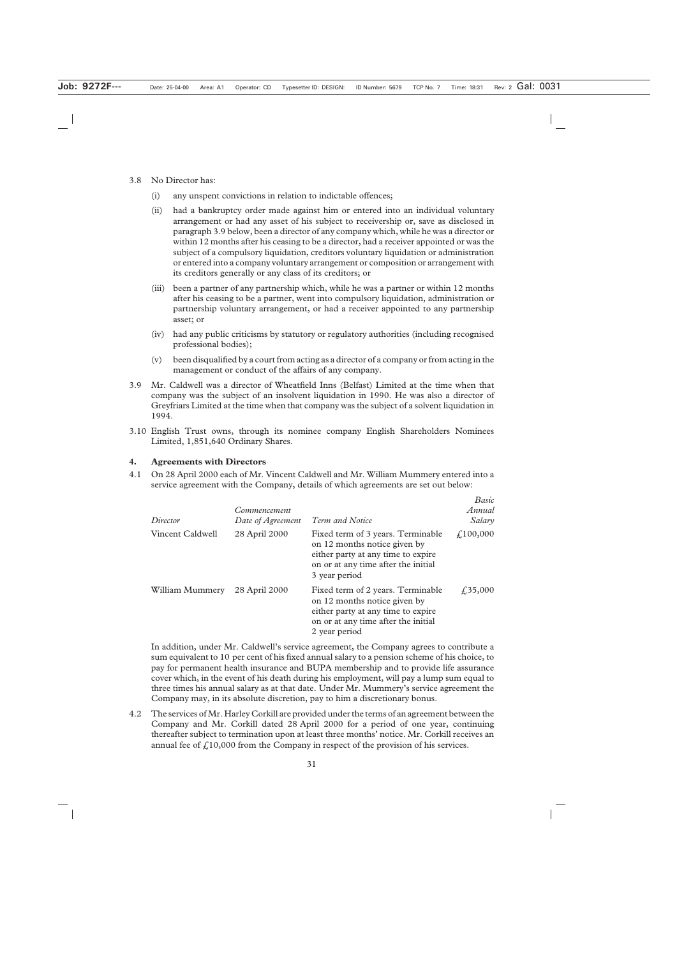- 3.8 No Director has:
	- (i) any unspent convictions in relation to indictable offences;
	- (ii) had a bankruptcy order made against him or entered into an individual voluntary arrangement or had any asset of his subject to receivership or, save as disclosed in paragraph 3.9 below, been a director of any company which, while he was a director or within 12 months after his ceasing to be a director, had a receiver appointed or was the subject of a compulsory liquidation, creditors voluntary liquidation or administration or entered into a company voluntary arrangement or composition or arrangement with its creditors generally or any class of its creditors; or
	- (iii) been a partner of any partnership which, while he was a partner or within 12 months after his ceasing to be a partner, went into compulsory liquidation, administration or partnership voluntary arrangement, or had a receiver appointed to any partnership asset; or
	- (iv) had any public criticisms by statutory or regulatory authorities (including recognised professional bodies);
	- (v) been disqualified by a court from acting as a director of a company or from acting in the management or conduct of the affairs of any company.
- 3.9 Mr. Caldwell was a director of Wheatfield Inns (Belfast) Limited at the time when that company was the subject of an insolvent liquidation in 1990. He was also a director of Greyfriars Limited at the time when that company was the subject of a solvent liquidation in 1994.
- 3.10 English Trust owns, through its nominee company English Shareholders Nominees Limited, 1,851,640 Ordinary Shares.

#### **4. Agreements with Directors**

4.1 On 28 April 2000 each of Mr. Vincent Caldwell and Mr. William Mummery entered into a service agreement with the Company, details of which agreements are set out below:

| Director         | <i>Commencement</i><br>Date of Agreement | Term and Notice                                                                                                                                                 | Basic<br>Annual<br>Salary |
|------------------|------------------------------------------|-----------------------------------------------------------------------------------------------------------------------------------------------------------------|---------------------------|
| Vincent Caldwell | 28 April 2000                            | Fixed term of 3 years. Terminable<br>on 12 months notice given by<br>either party at any time to expire<br>on or at any time after the initial<br>3 year period | £,100,000                 |
| William Mummery  | 28 April 2000                            | Fixed term of 2 years. Terminable<br>on 12 months notice given by<br>either party at any time to expire<br>on or at any time after the initial<br>2 year period | $\sqrt{.}35,000$          |

In addition, under Mr. Caldwell's service agreement, the Company agrees to contribute a sum equivalent to 10 per cent of his fixed annual salary to a pension scheme of his choice, to pay for permanent health insurance and BUPA membership and to provide life assurance cover which, in the event of his death during his employment, will pay a lump sum equal to three times his annual salary as at that date. Under Mr. Mummery's service agreement the Company may, in its absolute discretion, pay to him a discretionary bonus.

4.2 The services of Mr. Harley Corkill are provided under the terms of an agreement between the Company and Mr. Corkill dated 28 April 2000 for a period of one year, continuing thereafter subject to termination upon at least three months' notice. Mr. Corkill receives an annual fee of  $f<sub>i</sub>10,000$  from the Company in respect of the provision of his services.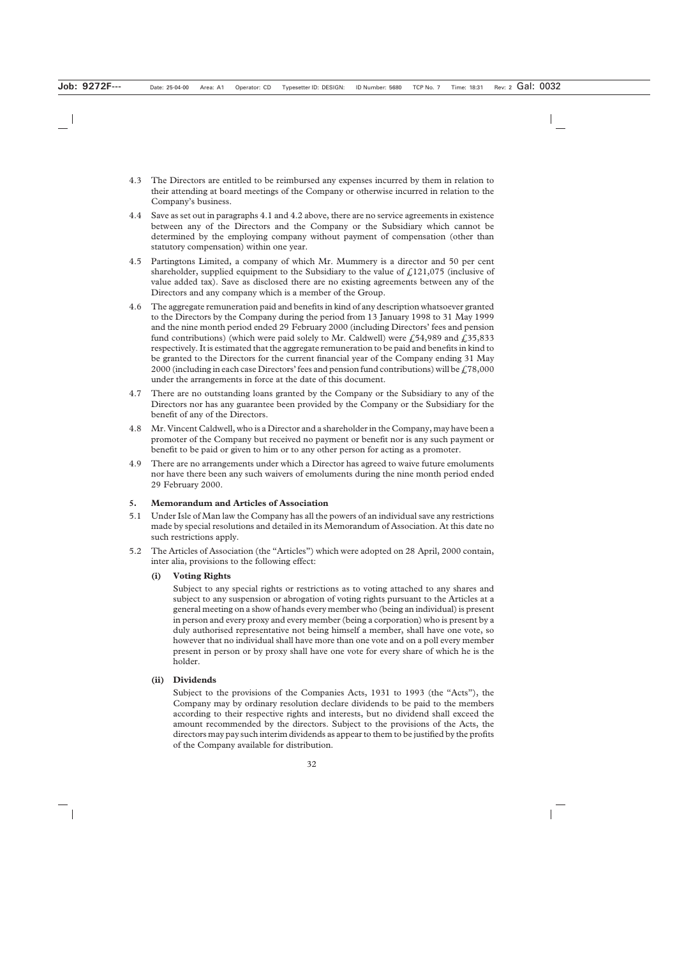- 4.3 The Directors are entitled to be reimbursed any expenses incurred by them in relation to their attending at board meetings of the Company or otherwise incurred in relation to the Company's business.
- 4.4 Save as set out in paragraphs 4.1 and 4.2 above, there are no service agreements in existence between any of the Directors and the Company or the Subsidiary which cannot be determined by the employing company without payment of compensation (other than statutory compensation) within one year.
- 4.5 Partingtons Limited, a company of which Mr. Mummery is a director and 50 per cent shareholder, supplied equipment to the Subsidiary to the value of  $f<sub>i</sub>121,075$  (inclusive of value added tax). Save as disclosed there are no existing agreements between any of the Directors and any company which is a member of the Group.
- 4.6 The aggregate remuneration paid and benefits in kind of any description whatsoever granted to the Directors by the Company during the period from 13 January 1998 to 31 May 1999 and the nine month period ended 29 February 2000 (including Directors' fees and pension fund contributions) (which were paid solely to Mr. Caldwell) were £54,989 and £35,833 respectively. It is estimated that the aggregate remuneration to be paid and benefits in kind to be granted to the Directors for the current financial year of the Company ending 31 May 2000 (including in each case Directors' fees and pension fund contributions) will be  $\angle 78,000$ under the arrangements in force at the date of this document.
- 4.7 There are no outstanding loans granted by the Company or the Subsidiary to any of the Directors nor has any guarantee been provided by the Company or the Subsidiary for the benefit of any of the Directors.
- 4.8 Mr. Vincent Caldwell, who is a Director and a shareholder in the Company, may have been a promoter of the Company but received no payment or benefit nor is any such payment or benefit to be paid or given to him or to any other person for acting as a promoter.
- 4.9 There are no arrangements under which a Director has agreed to waive future emoluments nor have there been any such waivers of emoluments during the nine month period ended 29 February 2000.

## **5. Memorandum and Articles of Association**

- 5.1 Under Isle of Man law the Company has all the powers of an individual save any restrictions made by special resolutions and detailed in its Memorandum of Association. At this date no such restrictions apply.
- 5.2 The Articles of Association (the "Articles") which were adopted on 28 April, 2000 contain, inter alia, provisions to the following effect:

## **(i) Voting Rights**

Subject to any special rights or restrictions as to voting attached to any shares and subject to any suspension or abrogation of voting rights pursuant to the Articles at a general meeting on a show of hands every member who (being an individual) is present in person and every proxy and every member (being a corporation) who is present by a duly authorised representative not being himself a member, shall have one vote, so however that no individual shall have more than one vote and on a poll every member present in person or by proxy shall have one vote for every share of which he is the holder.

## **(ii) Dividends**

Subject to the provisions of the Companies Acts, 1931 to 1993 (the "Acts"), the Company may by ordinary resolution declare dividends to be paid to the members according to their respective rights and interests, but no dividend shall exceed the amount recommended by the directors. Subject to the provisions of the Acts, the directors may pay such interim dividends as appear to them to be justified by the profits of the Company available for distribution.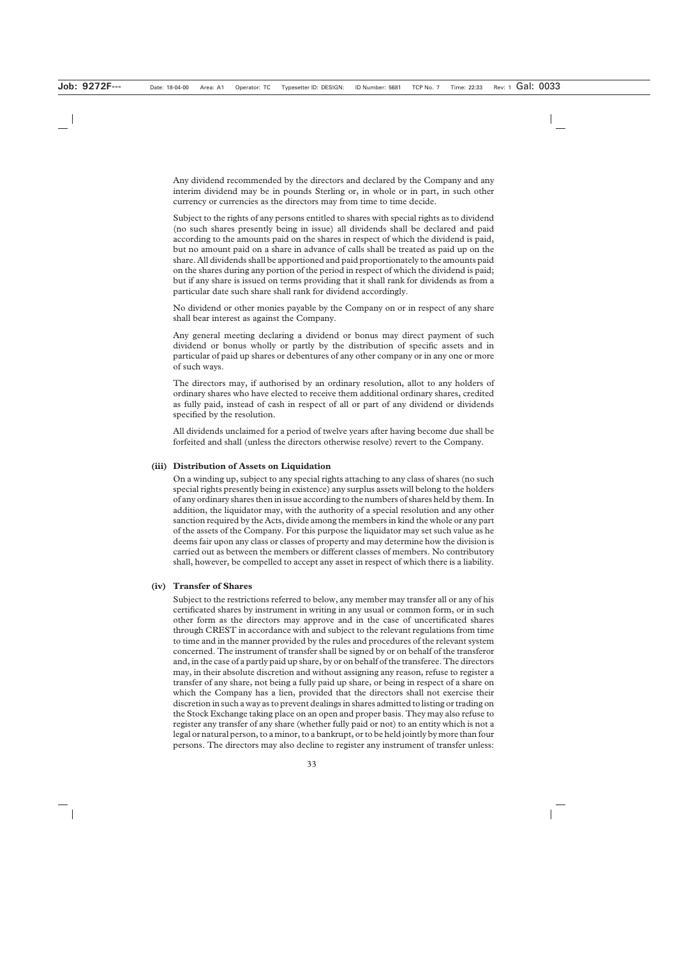Any dividend recommended by the directors and declared by the Company and any interim dividend may be in pounds Sterling or, in whole or in part, in such other currency or currencies as the directors may from time to time decide.

Subject to the rights of any persons entitled to shares with special rights as to dividend (no such shares presently being in issue) all dividends shall be declared and paid according to the amounts paid on the shares in respect of which the dividend is paid, but no amount paid on a share in advance of calls shall be treated as paid up on the share. All dividends shall be apportioned and paid proportionately to the amounts paid on the shares during any portion of the period in respect of which the dividend is paid; but if any share is issued on terms providing that it shall rank for dividends as from a particular date such share shall rank for dividend accordingly.

No dividend or other monies payable by the Company on or in respect of any share shall bear interest as against the Company.

Any general meeting declaring a dividend or bonus may direct payment of such dividend or bonus wholly or partly by the distribution of specific assets and in particular of paid up shares or debentures of any other company or in any one or more of such ways.

The directors may, if authorised by an ordinary resolution, allot to any holders of ordinary shares who have elected to receive them additional ordinary shares, credited as fully paid, instead of cash in respect of all or part of any dividend or dividends specified by the resolution.

All dividends unclaimed for a period of twelve years after having become due shall be forfeited and shall (unless the directors otherwise resolve) revert to the Company.

#### **(iii) Distribution of Assets on Liquidation**

On a winding up, subject to any special rights attaching to any class of shares (no such special rights presently being in existence) any surplus assets will belong to the holders of any ordinary shares then in issue according to the numbers of shares held by them. In addition, the liquidator may, with the authority of a special resolution and any other sanction required by the Acts, divide among the members in kind the whole or any part of the assets of the Company. For this purpose the liquidator may set such value as he deems fair upon any class or classes of property and may determine how the division is carried out as between the members or different classes of members. No contributory shall, however, be compelled to accept any asset in respect of which there is a liability.

#### **(iv) Transfer of Shares**

Subject to the restrictions referred to below, any member may transfer all or any of his certificated shares by instrument in writing in any usual or common form, or in such other form as the directors may approve and in the case of uncertificated shares through CREST in accordance with and subject to the relevant regulations from time to time and in the manner provided by the rules and procedures of the relevant system concerned. The instrument of transfer shall be signed by or on behalf of the transferor and, in the case of a partly paid up share, by or on behalf of the transferee. The directors may, in their absolute discretion and without assigning any reason, refuse to register a transfer of any share, not being a fully paid up share, or being in respect of a share on which the Company has a lien, provided that the directors shall not exercise their discretion in such a way as to prevent dealings in shares admitted to listing or trading on the Stock Exchange taking place on an open and proper basis. They may also refuse to register any transfer of any share (whether fully paid or not) to an entity which is not a legal or natural person, to a minor, to a bankrupt, or to be held jointly by more than four persons. The directors may also decline to register any instrument of transfer unless: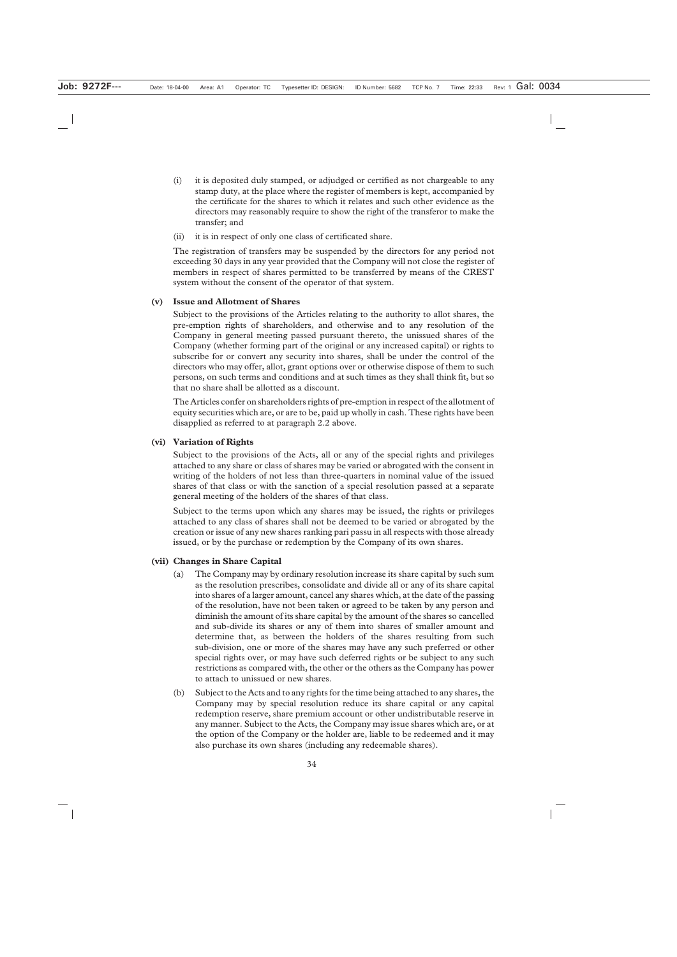- (i) it is deposited duly stamped, or adjudged or certified as not chargeable to any stamp duty, at the place where the register of members is kept, accompanied by the certificate for the shares to which it relates and such other evidence as the directors may reasonably require to show the right of the transferor to make the transfer; and
- (ii) it is in respect of only one class of certificated share.

The registration of transfers may be suspended by the directors for any period not exceeding 30 days in any year provided that the Company will not close the register of members in respect of shares permitted to be transferred by means of the CREST system without the consent of the operator of that system.

#### **(v) Issue and Allotment of Shares**

Subject to the provisions of the Articles relating to the authority to allot shares, the pre-emption rights of shareholders, and otherwise and to any resolution of the Company in general meeting passed pursuant thereto, the unissued shares of the Company (whether forming part of the original or any increased capital) or rights to subscribe for or convert any security into shares, shall be under the control of the directors who may offer, allot, grant options over or otherwise dispose of them to such persons, on such terms and conditions and at such times as they shall think fit, but so that no share shall be allotted as a discount.

The Articles confer on shareholders rights of pre-emption in respect of the allotment of equity securities which are, or are to be, paid up wholly in cash. These rights have been disapplied as referred to at paragraph 2.2 above.

#### **(vi) Variation of Rights**

Subject to the provisions of the Acts, all or any of the special rights and privileges attached to any share or class of shares may be varied or abrogated with the consent in writing of the holders of not less than three-quarters in nominal value of the issued shares of that class or with the sanction of a special resolution passed at a separate general meeting of the holders of the shares of that class.

Subject to the terms upon which any shares may be issued, the rights or privileges attached to any class of shares shall not be deemed to be varied or abrogated by the creation or issue of any new shares ranking pari passu in all respects with those already issued, or by the purchase or redemption by the Company of its own shares.

#### **(vii) Changes in Share Capital**

- (a) The Company may by ordinary resolution increase its share capital by such sum as the resolution prescribes, consolidate and divide all or any of its share capital into shares of a larger amount, cancel any shares which, at the date of the passing of the resolution, have not been taken or agreed to be taken by any person and diminish the amount of its share capital by the amount of the shares so cancelled and sub-divide its shares or any of them into shares of smaller amount and determine that, as between the holders of the shares resulting from such sub-division, one or more of the shares may have any such preferred or other special rights over, or may have such deferred rights or be subject to any such restrictions as compared with, the other or the others as the Company has power to attach to unissued or new shares.
- (b) Subject to the Acts and to any rights for the time being attached to any shares, the Company may by special resolution reduce its share capital or any capital redemption reserve, share premium account or other undistributable reserve in any manner. Subject to the Acts, the Company may issue shares which are, or at the option of the Company or the holder are, liable to be redeemed and it may also purchase its own shares (including any redeemable shares).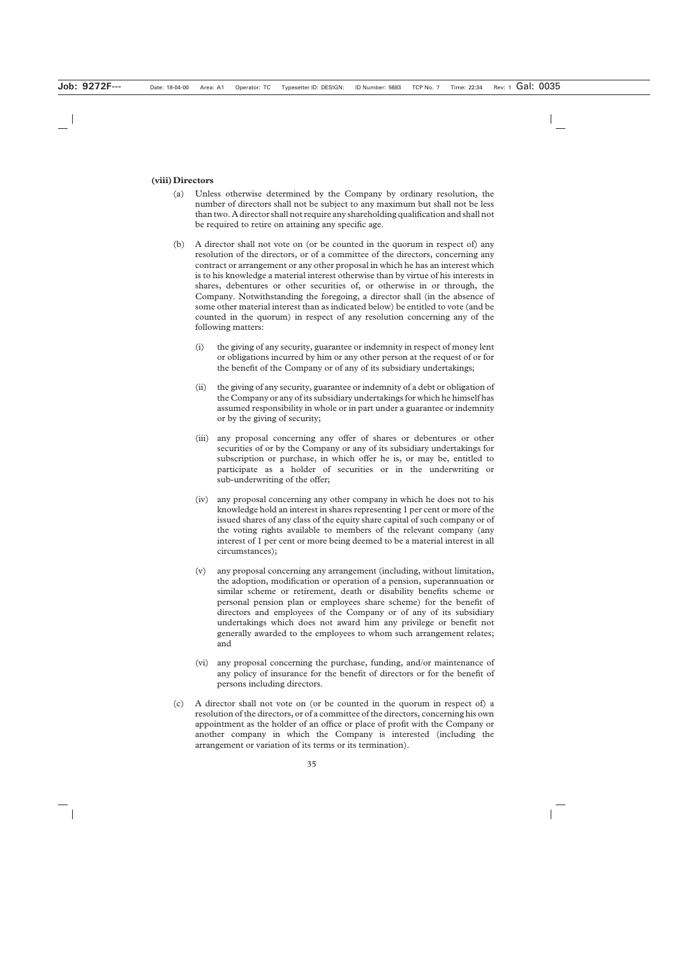#### **(viii)Directors**

- (a) Unless otherwise determined by the Company by ordinary resolution, the number of directors shall not be subject to any maximum but shall not be less than two. A director shall not require any shareholding qualification and shall not be required to retire on attaining any specific age.
- (b) A director shall not vote on (or be counted in the quorum in respect of) any resolution of the directors, or of a committee of the directors, concerning any contract or arrangement or any other proposal in which he has an interest which is to his knowledge a material interest otherwise than by virtue of his interests in shares, debentures or other securities of, or otherwise in or through, the Company. Notwithstanding the foregoing, a director shall (in the absence of some other material interest than as indicated below) be entitled to vote (and be counted in the quorum) in respect of any resolution concerning any of the following matters:
	- (i) the giving of any security, guarantee or indemnity in respect of money lent or obligations incurred by him or any other person at the request of or for the benefit of the Company or of any of its subsidiary undertakings;
	- (ii) the giving of any security, guarantee or indemnity of a debt or obligation of the Company or any of its subsidiary undertakings for which he himself has assumed responsibility in whole or in part under a guarantee or indemnity or by the giving of security;
	- (iii) any proposal concerning any offer of shares or debentures or other securities of or by the Company or any of its subsidiary undertakings for subscription or purchase, in which offer he is, or may be, entitled to participate as a holder of securities or in the underwriting or sub-underwriting of the offer;
	- (iv) any proposal concerning any other company in which he does not to his knowledge hold an interest in shares representing 1 per cent or more of the issued shares of any class of the equity share capital of such company or of the voting rights available to members of the relevant company (any interest of 1 per cent or more being deemed to be a material interest in all circumstances);
	- (v) any proposal concerning any arrangement (including, without limitation, the adoption, modification or operation of a pension, superannuation or similar scheme or retirement, death or disability benefits scheme or personal pension plan or employees share scheme) for the benefit of directors and employees of the Company or of any of its subsidiary undertakings which does not award him any privilege or benefit not generally awarded to the employees to whom such arrangement relates; and
	- (vi) any proposal concerning the purchase, funding, and/or maintenance of any policy of insurance for the benefit of directors or for the benefit of persons including directors.
- (c) A director shall not vote on (or be counted in the quorum in respect of) a resolution of the directors, or of a committee of the directors, concerning his own appointment as the holder of an office or place of profit with the Company or another company in which the Company is interested (including the arrangement or variation of its terms or its termination).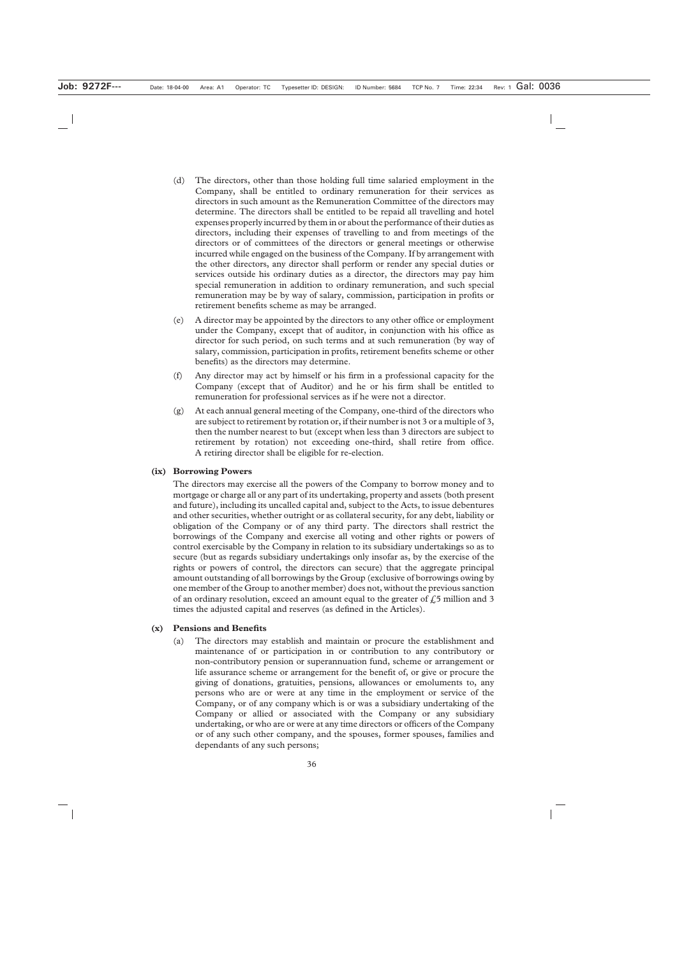- (d) The directors, other than those holding full time salaried employment in the Company, shall be entitled to ordinary remuneration for their services as directors in such amount as the Remuneration Committee of the directors may determine. The directors shall be entitled to be repaid all travelling and hotel expenses properly incurred by them in or about the performance of their duties as directors, including their expenses of travelling to and from meetings of the directors or of committees of the directors or general meetings or otherwise incurred while engaged on the business of the Company. If by arrangement with the other directors, any director shall perform or render any special duties or services outside his ordinary duties as a director, the directors may pay him special remuneration in addition to ordinary remuneration, and such special remuneration may be by way of salary, commission, participation in profits or retirement benefits scheme as may be arranged.
- (e) A director may be appointed by the directors to any other office or employment under the Company, except that of auditor, in conjunction with his office as director for such period, on such terms and at such remuneration (by way of salary, commission, participation in profits, retirement benefits scheme or other benefits) as the directors may determine.
- (f) Any director may act by himself or his firm in a professional capacity for the Company (except that of Auditor) and he or his firm shall be entitled to remuneration for professional services as if he were not a director.
- (g) At each annual general meeting of the Company, one-third of the directors who are subject to retirement by rotation or, if their number is not 3 or a multiple of 3, then the number nearest to but (except when less than 3 directors are subject to retirement by rotation) not exceeding one-third, shall retire from office. A retiring director shall be eligible for re-election.

#### **(ix) Borrowing Powers**

The directors may exercise all the powers of the Company to borrow money and to mortgage or charge all or any part of its undertaking, property and assets (both present and future), including its uncalled capital and, subject to the Acts, to issue debentures and other securities, whether outright or as collateral security, for any debt, liability or obligation of the Company or of any third party. The directors shall restrict the borrowings of the Company and exercise all voting and other rights or powers of control exercisable by the Company in relation to its subsidiary undertakings so as to secure (but as regards subsidiary undertakings only insofar as, by the exercise of the rights or powers of control, the directors can secure) that the aggregate principal amount outstanding of all borrowings by the Group (exclusive of borrowings owing by one member of the Group to another member) does not, without the previous sanction of an ordinary resolution, exceed an amount equal to the greater of  $\ell$ , 5 million and 3 times the adjusted capital and reserves (as defined in the Articles).

#### **(x) Pensions and Benefits**

(a) The directors may establish and maintain or procure the establishment and maintenance of or participation in or contribution to any contributory or non-contributory pension or superannuation fund, scheme or arrangement or life assurance scheme or arrangement for the benefit of, or give or procure the giving of donations, gratuities, pensions, allowances or emoluments to, any persons who are or were at any time in the employment or service of the Company, or of any company which is or was a subsidiary undertaking of the Company or allied or associated with the Company or any subsidiary undertaking, or who are or were at any time directors or officers of the Company or of any such other company, and the spouses, former spouses, families and dependants of any such persons;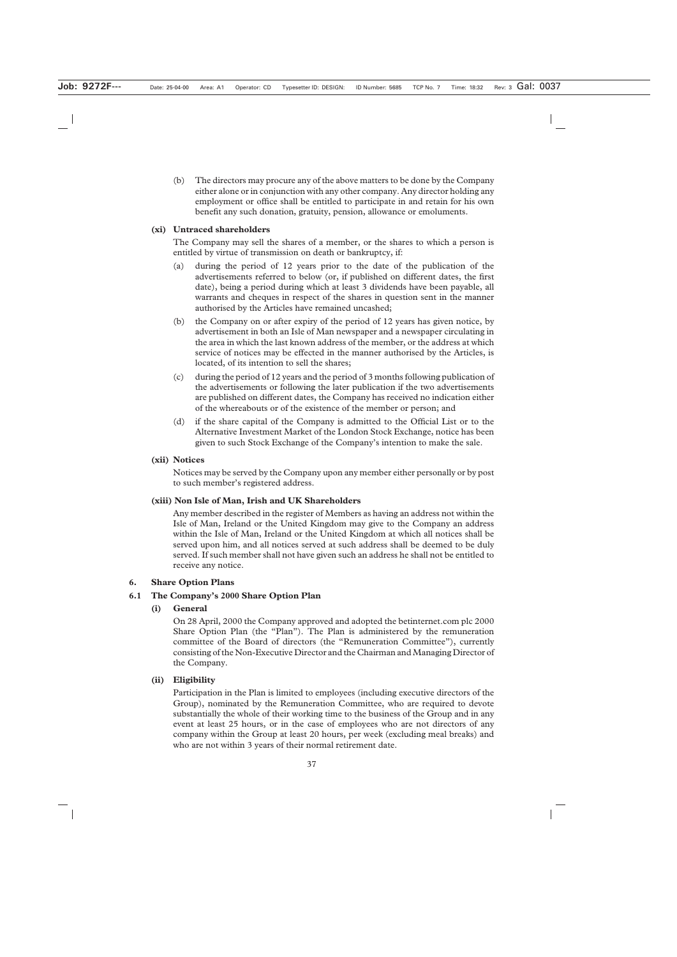(b) The directors may procure any of the above matters to be done by the Company either alone or in conjunction with any other company. Any director holding any employment or office shall be entitled to participate in and retain for his own benefit any such donation, gratuity, pension, allowance or emoluments.

#### **(xi) Untraced shareholders**

The Company may sell the shares of a member, or the shares to which a person is entitled by virtue of transmission on death or bankruptcy, if:

- (a) during the period of 12 years prior to the date of the publication of the advertisements referred to below (or, if published on different dates, the first date), being a period during which at least 3 dividends have been payable, all warrants and cheques in respect of the shares in question sent in the manner authorised by the Articles have remained uncashed;
- (b) the Company on or after expiry of the period of 12 years has given notice, by advertisement in both an Isle of Man newspaper and a newspaper circulating in the area in which the last known address of the member, or the address at which service of notices may be effected in the manner authorised by the Articles, is located, of its intention to sell the shares;
- (c) during the period of 12 years and the period of 3 months following publication of the advertisements or following the later publication if the two advertisements are published on different dates, the Company has received no indication either of the whereabouts or of the existence of the member or person; and
- (d) if the share capital of the Company is admitted to the Official List or to the Alternative Investment Market of the London Stock Exchange, notice has been given to such Stock Exchange of the Company's intention to make the sale.

#### **(xii) Notices**

Notices may be served by the Company upon any member either personally or by post to such member's registered address.

#### **(xiii) Non Isle of Man, Irish and UK Shareholders**

Any member described in the register of Members as having an address not within the Isle of Man, Ireland or the United Kingdom may give to the Company an address within the Isle of Man, Ireland or the United Kingdom at which all notices shall be served upon him, and all notices served at such address shall be deemed to be duly served. If such member shall not have given such an address he shall not be entitled to receive any notice.

## **6. Share Option Plans**

## **6.1 The Company's 2000 Share Option Plan**

## **(i) General**

On 28 April, 2000 the Company approved and adopted the betinternet.com plc 2000 Share Option Plan (the "Plan"). The Plan is administered by the remuneration committee of the Board of directors (the "Remuneration Committee"), currently consisting of the Non-Executive Director and the Chairman and Managing Director of the Company.

#### **(ii) Eligibility**

Participation in the Plan is limited to employees (including executive directors of the Group), nominated by the Remuneration Committee, who are required to devote substantially the whole of their working time to the business of the Group and in any event at least 25 hours, or in the case of employees who are not directors of any company within the Group at least 20 hours, per week (excluding meal breaks) and who are not within 3 years of their normal retirement date.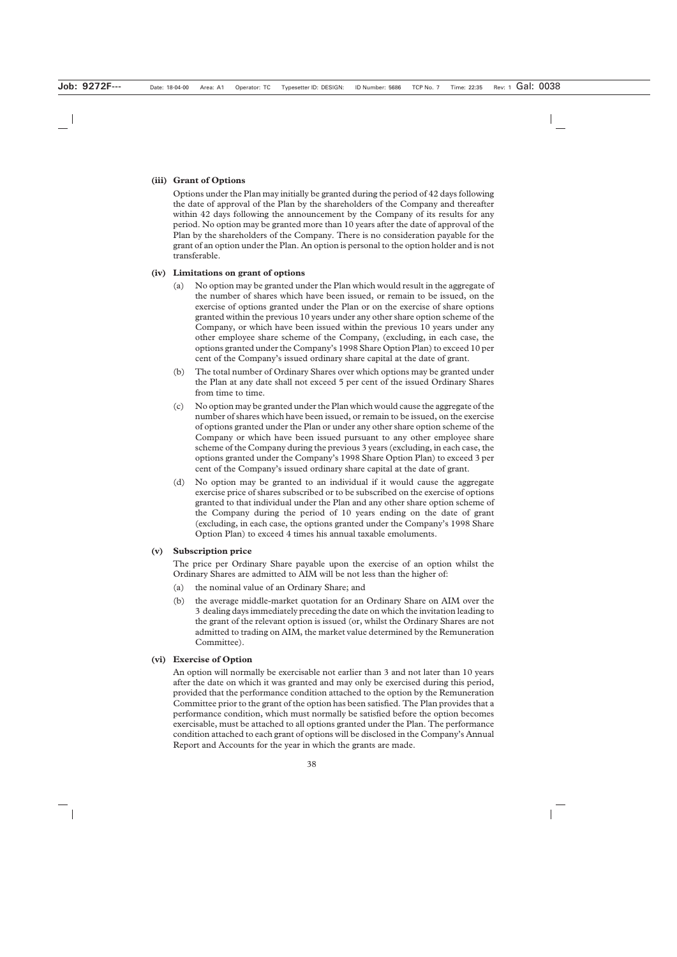#### **(iii) Grant of Options**

Options under the Plan may initially be granted during the period of 42 days following the date of approval of the Plan by the shareholders of the Company and thereafter within 42 days following the announcement by the Company of its results for any period. No option may be granted more than 10 years after the date of approval of the Plan by the shareholders of the Company. There is no consideration payable for the grant of an option under the Plan. An option is personal to the option holder and is not transferable.

#### **(iv) Limitations on grant of options**

- (a) No option may be granted under the Plan which would result in the aggregate of the number of shares which have been issued, or remain to be issued, on the exercise of options granted under the Plan or on the exercise of share options granted within the previous 10 years under any other share option scheme of the Company, or which have been issued within the previous 10 years under any other employee share scheme of the Company, (excluding, in each case, the options granted under the Company's 1998 Share Option Plan) to exceed 10 per cent of the Company's issued ordinary share capital at the date of grant.
- (b) The total number of Ordinary Shares over which options may be granted under the Plan at any date shall not exceed 5 per cent of the issued Ordinary Shares from time to time.
- (c) No option may be granted under the Plan which would cause the aggregate of the number of shares which have been issued, or remain to be issued, on the exercise of options granted under the Plan or under any other share option scheme of the Company or which have been issued pursuant to any other employee share scheme of the Company during the previous 3 years (excluding, in each case, the options granted under the Company's 1998 Share Option Plan) to exceed 3 per cent of the Company's issued ordinary share capital at the date of grant.
- (d) No option may be granted to an individual if it would cause the aggregate exercise price of shares subscribed or to be subscribed on the exercise of options granted to that individual under the Plan and any other share option scheme of the Company during the period of 10 years ending on the date of grant (excluding, in each case, the options granted under the Company's 1998 Share Option Plan) to exceed 4 times his annual taxable emoluments.

#### **(v) Subscription price**

The price per Ordinary Share payable upon the exercise of an option whilst the Ordinary Shares are admitted to AIM will be not less than the higher of:

- (a) the nominal value of an Ordinary Share; and
- (b) the average middle-market quotation for an Ordinary Share on AIM over the 3 dealing days immediately preceding the date on which the invitation leading to the grant of the relevant option is issued (or, whilst the Ordinary Shares are not admitted to trading on AIM, the market value determined by the Remuneration Committee).

#### **(vi) Exercise of Option**

An option will normally be exercisable not earlier than 3 and not later than 10 years after the date on which it was granted and may only be exercised during this period, provided that the performance condition attached to the option by the Remuneration Committee prior to the grant of the option has been satisfied. The Plan provides that a performance condition, which must normally be satisfied before the option becomes exercisable, must be attached to all options granted under the Plan. The performance condition attached to each grant of options will be disclosed in the Company's Annual Report and Accounts for the year in which the grants are made.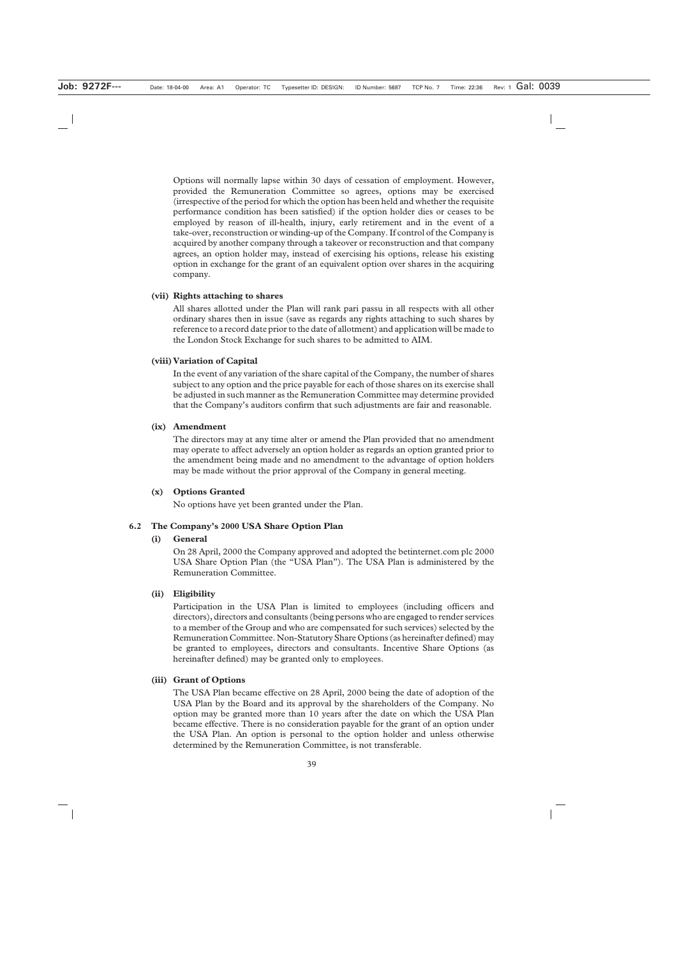Options will normally lapse within 30 days of cessation of employment. However, provided the Remuneration Committee so agrees, options may be exercised (irrespective of the period for which the option has been held and whether the requisite performance condition has been satisfied) if the option holder dies or ceases to be employed by reason of ill-health, injury, early retirement and in the event of a take-over, reconstruction or winding-up of the Company. If control of the Company is acquired by another company through a takeover or reconstruction and that company agrees, an option holder may, instead of exercising his options, release his existing option in exchange for the grant of an equivalent option over shares in the acquiring company.

#### **(vii) Rights attaching to shares**

All shares allotted under the Plan will rank pari passu in all respects with all other ordinary shares then in issue (save as regards any rights attaching to such shares by reference to a record date prior to the date of allotment) and application will be made to the London Stock Exchange for such shares to be admitted to AIM.

#### **(viii)Variation of Capital**

In the event of any variation of the share capital of the Company, the number of shares subject to any option and the price payable for each of those shares on its exercise shall be adjusted in such manner as the Remuneration Committee may determine provided that the Company's auditors confirm that such adjustments are fair and reasonable.

#### **(ix) Amendment**

The directors may at any time alter or amend the Plan provided that no amendment may operate to affect adversely an option holder as regards an option granted prior to the amendment being made and no amendment to the advantage of option holders may be made without the prior approval of the Company in general meeting.

#### **(x) Options Granted**

No options have yet been granted under the Plan.

#### **6.2 The Company's 2000 USA Share Option Plan**

#### **(i) General**

On 28 April, 2000 the Company approved and adopted the betinternet.com plc 2000 USA Share Option Plan (the "USA Plan"). The USA Plan is administered by the Remuneration Committee.

#### **(ii) Eligibility**

Participation in the USA Plan is limited to employees (including officers and directors), directors and consultants (being persons who are engaged to render services to a member of the Group and who are compensated for such services) selected by the Remuneration Committee. Non-Statutory Share Options (as hereinafter defined) may be granted to employees, directors and consultants. Incentive Share Options (as hereinafter defined) may be granted only to employees.

#### **(iii) Grant of Options**

The USA Plan became effective on 28 April, 2000 being the date of adoption of the USA Plan by the Board and its approval by the shareholders of the Company. No option may be granted more than 10 years after the date on which the USA Plan became effective. There is no consideration payable for the grant of an option under the USA Plan. An option is personal to the option holder and unless otherwise determined by the Remuneration Committee, is not transferable.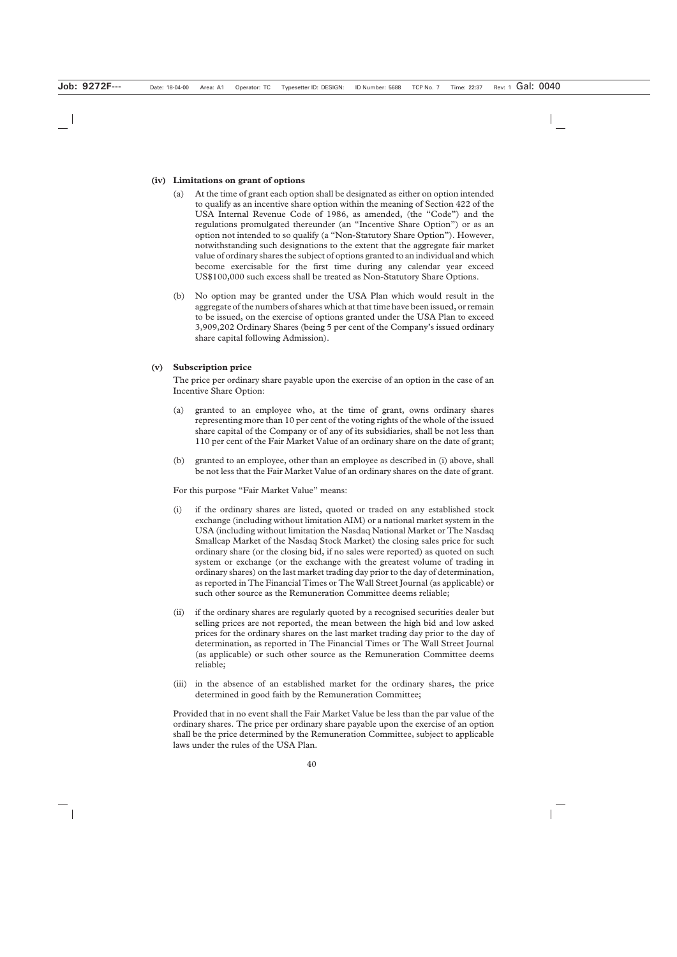#### **(iv) Limitations on grant of options**

- (a) At the time of grant each option shall be designated as either on option intended to qualify as an incentive share option within the meaning of Section 422 of the USA Internal Revenue Code of 1986, as amended, (the "Code") and the regulations promulgated thereunder (an "Incentive Share Option") or as an option not intended to so qualify (a "Non-Statutory Share Option"). However, notwithstanding such designations to the extent that the aggregate fair market value of ordinary shares the subject of options granted to an individual and which become exercisable for the first time during any calendar year exceed US\$100,000 such excess shall be treated as Non-Statutory Share Options.
- (b) No option may be granted under the USA Plan which would result in the aggregate of the numbers of shares which at that time have been issued, or remain to be issued, on the exercise of options granted under the USA Plan to exceed 3,909,202 Ordinary Shares (being 5 per cent of the Company's issued ordinary share capital following Admission).

#### **(v) Subscription price**

The price per ordinary share payable upon the exercise of an option in the case of an Incentive Share Option:

- (a) granted to an employee who, at the time of grant, owns ordinary shares representing more than 10 per cent of the voting rights of the whole of the issued share capital of the Company or of any of its subsidiaries, shall be not less than 110 per cent of the Fair Market Value of an ordinary share on the date of grant;
- (b) granted to an employee, other than an employee as described in (i) above, shall be not less that the Fair Market Value of an ordinary shares on the date of grant.

For this purpose "Fair Market Value" means:

- (i) if the ordinary shares are listed, quoted or traded on any established stock exchange (including without limitation AIM) or a national market system in the USA (including without limitation the Nasdaq National Market or The Nasdaq Smallcap Market of the Nasdaq Stock Market) the closing sales price for such ordinary share (or the closing bid, if no sales were reported) as quoted on such system or exchange (or the exchange with the greatest volume of trading in ordinary shares) on the last market trading day prior to the day of determination, as reported in The Financial Times or The Wall Street Journal (as applicable) or such other source as the Remuneration Committee deems reliable;
- (ii) if the ordinary shares are regularly quoted by a recognised securities dealer but selling prices are not reported, the mean between the high bid and low asked prices for the ordinary shares on the last market trading day prior to the day of determination, as reported in The Financial Times or The Wall Street Journal (as applicable) or such other source as the Remuneration Committee deems reliable;
- (iii) in the absence of an established market for the ordinary shares, the price determined in good faith by the Remuneration Committee;

Provided that in no event shall the Fair Market Value be less than the par value of the ordinary shares. The price per ordinary share payable upon the exercise of an option shall be the price determined by the Remuneration Committee, subject to applicable laws under the rules of the USA Plan.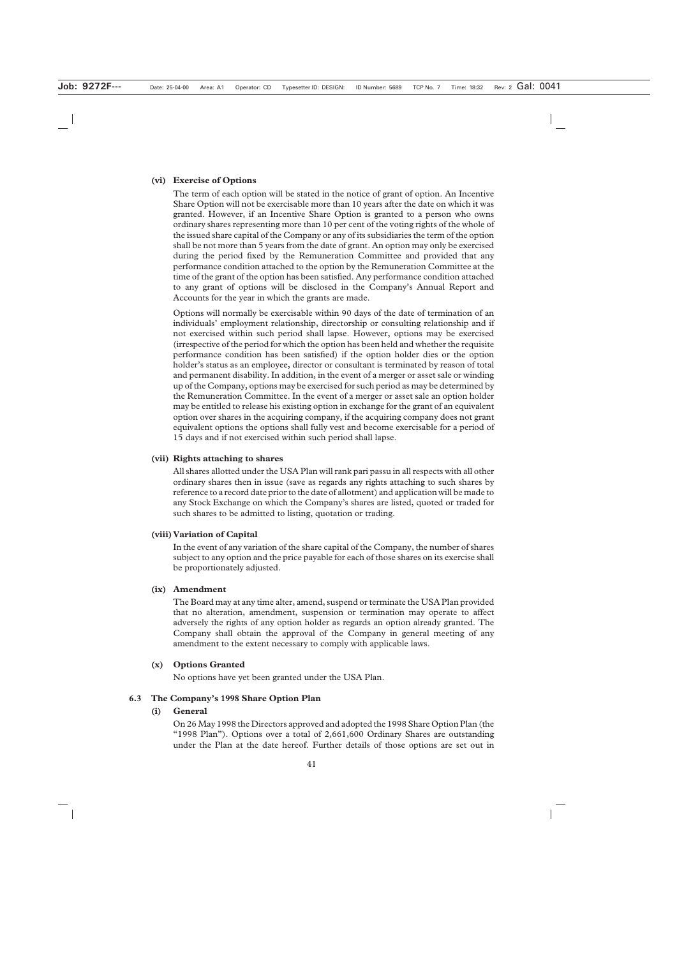#### **(vi) Exercise of Options**

The term of each option will be stated in the notice of grant of option. An Incentive Share Option will not be exercisable more than 10 years after the date on which it was granted. However, if an Incentive Share Option is granted to a person who owns ordinary shares representing more than 10 per cent of the voting rights of the whole of the issued share capital of the Company or any of its subsidiaries the term of the option shall be not more than 5 years from the date of grant. An option may only be exercised during the period fixed by the Remuneration Committee and provided that any performance condition attached to the option by the Remuneration Committee at the time of the grant of the option has been satisfied. Any performance condition attached to any grant of options will be disclosed in the Company's Annual Report and Accounts for the year in which the grants are made.

Options will normally be exercisable within 90 days of the date of termination of an individuals' employment relationship, directorship or consulting relationship and if not exercised within such period shall lapse. However, options may be exercised (irrespective of the period for which the option has been held and whether the requisite performance condition has been satisfied) if the option holder dies or the option holder's status as an employee, director or consultant is terminated by reason of total and permanent disability. In addition, in the event of a merger or asset sale or winding up of the Company, options may be exercised for such period as may be determined by the Remuneration Committee. In the event of a merger or asset sale an option holder may be entitled to release his existing option in exchange for the grant of an equivalent option over shares in the acquiring company, if the acquiring company does not grant equivalent options the options shall fully vest and become exercisable for a period of 15 days and if not exercised within such period shall lapse.

#### **(vii) Rights attaching to shares**

All shares allotted under the USA Plan will rank pari passu in all respects with all other ordinary shares then in issue (save as regards any rights attaching to such shares by reference to a record date prior to the date of allotment) and application will be made to any Stock Exchange on which the Company's shares are listed, quoted or traded for such shares to be admitted to listing, quotation or trading.

#### **(viii)Variation of Capital**

In the event of any variation of the share capital of the Company, the number of shares subject to any option and the price payable for each of those shares on its exercise shall be proportionately adjusted.

#### **(ix) Amendment**

The Board may at any time alter, amend, suspend or terminate the USA Plan provided that no alteration, amendment, suspension or termination may operate to affect adversely the rights of any option holder as regards an option already granted. The Company shall obtain the approval of the Company in general meeting of any amendment to the extent necessary to comply with applicable laws.

#### **(x) Options Granted**

No options have yet been granted under the USA Plan.

#### **6.3 The Company's 1998 Share Option Plan**

#### **(i) General**

On 26 May 1998 the Directors approved and adopted the 1998 Share Option Plan (the "1998 Plan"). Options over a total of 2,661,600 Ordinary Shares are outstanding under the Plan at the date hereof. Further details of those options are set out in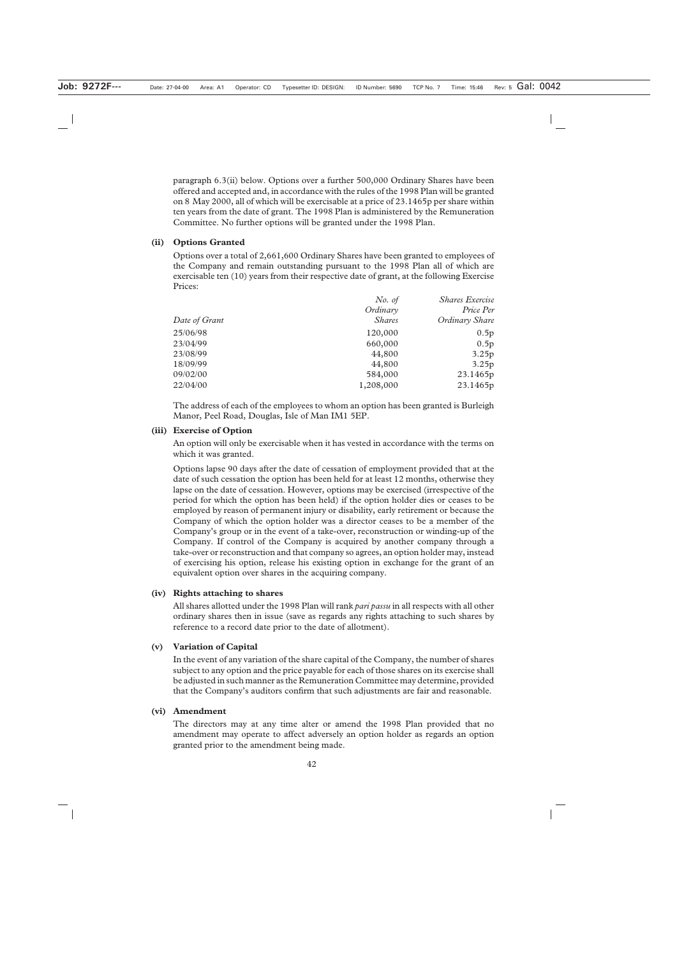paragraph 6.3(ii) below. Options over a further 500,000 Ordinary Shares have been offered and accepted and, in accordance with the rules of the 1998 Plan will be granted on 8 May 2000, all of which will be exercisable at a price of 23.1465p per share within ten years from the date of grant. The 1998 Plan is administered by the Remuneration Committee. No further options will be granted under the 1998 Plan.

#### **(ii) Options Granted**

Options over a total of 2,661,600 Ordinary Shares have been granted to employees of the Company and remain outstanding pursuant to the 1998 Plan all of which are exercisable ten (10) years from their respective date of grant, at the following Exercise Prices:

|               | No. of        | <b>Shares Exercise</b> |
|---------------|---------------|------------------------|
|               | Ordinary      | Price Per              |
| Date of Grant | <i>Shares</i> | Ordinary Share         |
| 25/06/98      | 120,000       | 0.5p                   |
| 23/04/99      | 660,000       | 0.5p                   |
| 23/08/99      | 44,800        | 3.25p                  |
| 18/09/99      | 44,800        | 3.25p                  |
| 09/02/00      | 584,000       | 23.1465p               |
| 22/04/00      | 1,208,000     | 23.1465p               |
|               |               |                        |

The address of each of the employees to whom an option has been granted is Burleigh Manor, Peel Road, Douglas, Isle of Man IM1 5EP.

#### **(iii) Exercise of Option**

An option will only be exercisable when it has vested in accordance with the terms on which it was granted.

Options lapse 90 days after the date of cessation of employment provided that at the date of such cessation the option has been held for at least 12 months, otherwise they lapse on the date of cessation. However, options may be exercised (irrespective of the period for which the option has been held) if the option holder dies or ceases to be employed by reason of permanent injury or disability, early retirement or because the Company of which the option holder was a director ceases to be a member of the Company's group or in the event of a take-over, reconstruction or winding-up of the Company. If control of the Company is acquired by another company through a take-over or reconstruction and that company so agrees, an option holder may, instead of exercising his option, release his existing option in exchange for the grant of an equivalent option over shares in the acquiring company.

#### **(iv) Rights attaching to shares**

All shares allotted under the 1998 Plan will rank *pari passu* in all respects with all other ordinary shares then in issue (save as regards any rights attaching to such shares by reference to a record date prior to the date of allotment).

#### **(v) Variation of Capital**

In the event of any variation of the share capital of the Company, the number of shares subject to any option and the price payable for each of those shares on its exercise shall be adjusted in such manner as the Remuneration Committee may determine, provided that the Company's auditors confirm that such adjustments are fair and reasonable.

#### **(vi) Amendment**

The directors may at any time alter or amend the 1998 Plan provided that no amendment may operate to affect adversely an option holder as regards an option granted prior to the amendment being made.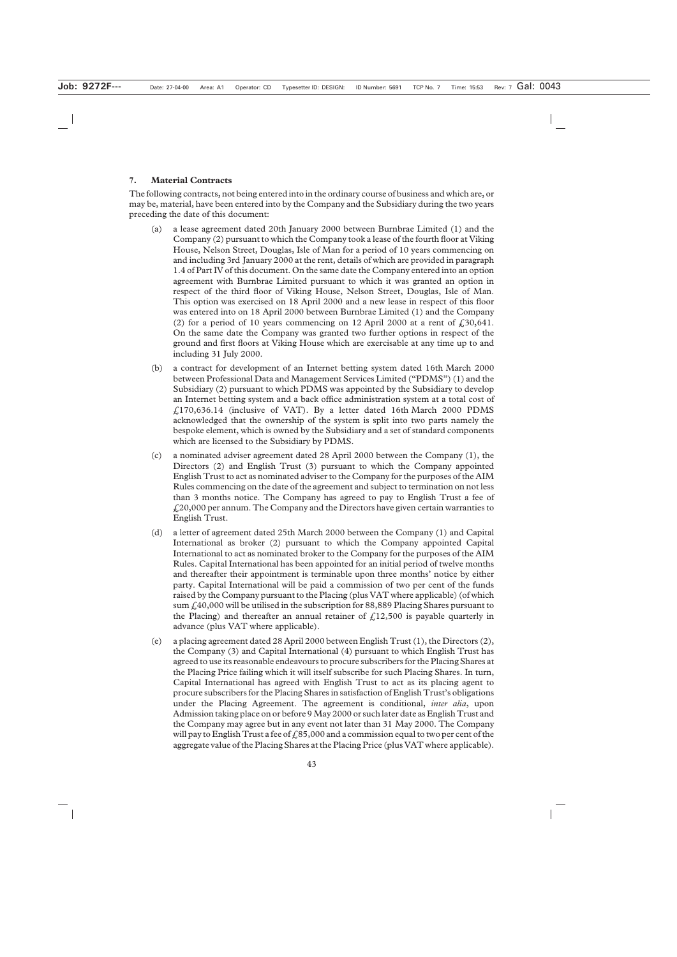## **7. Material Contracts**

The following contracts, not being entered into in the ordinary course of business and which are, or may be, material, have been entered into by the Company and the Subsidiary during the two years preceding the date of this document:

- (a) a lease agreement dated 20th January 2000 between Burnbrae Limited (1) and the Company (2) pursuant to which the Company took a lease of the fourth floor at Viking House, Nelson Street, Douglas, Isle of Man for a period of 10 years commencing on and including 3rd January 2000 at the rent, details of which are provided in paragraph 1.4 of Part IV of this document. On the same date the Company entered into an option agreement with Burnbrae Limited pursuant to which it was granted an option in respect of the third floor of Viking House, Nelson Street, Douglas, Isle of Man. This option was exercised on 18 April 2000 and a new lease in respect of this floor was entered into on 18 April 2000 between Burnbrae Limited (1) and the Company (2) for a period of 10 years commencing on 12 April 2000 at a rent of  $\text{\textsterling}30,641$ . On the same date the Company was granted two further options in respect of the ground and first floors at Viking House which are exercisable at any time up to and including 31 July 2000.
- (b) a contract for development of an Internet betting system dated 16th March 2000 between Professional Data and Management Services Limited ("PDMS") (1) and the Subsidiary (2) pursuant to which PDMS was appointed by the Subsidiary to develop an Internet betting system and a back office administration system at a total cost of  $£170,636.14$  (inclusive of VAT). By a letter dated 16th March 2000 PDMS acknowledged that the ownership of the system is split into two parts namely the bespoke element, which is owned by the Subsidiary and a set of standard components which are licensed to the Subsidiary by PDMS.
- (c) a nominated adviser agreement dated 28 April 2000 between the Company (1), the Directors (2) and English Trust (3) pursuant to which the Company appointed English Trust to act as nominated adviser to the Company for the purposes of the AIM Rules commencing on the date of the agreement and subject to termination on not less than 3 months notice. The Company has agreed to pay to English Trust a fee of  $\text{\emph{£}}20,000$  per annum. The Company and the Directors have given certain warranties to English Trust.
- (d) a letter of agreement dated 25th March 2000 between the Company (1) and Capital International as broker (2) pursuant to which the Company appointed Capital International to act as nominated broker to the Company for the purposes of the AIM Rules. Capital International has been appointed for an initial period of twelve months and thereafter their appointment is terminable upon three months' notice by either party. Capital International will be paid a commission of two per cent of the funds raised by the Company pursuant to the Placing (plus VAT where applicable) (of which sum  $\text{\textsterling}40,000$  will be utilised in the subscription for 88,889 Placing Shares pursuant to the Placing) and thereafter an annual retainer of  $\ell$ 12,500 is payable quarterly in advance (plus VAT where applicable).
- (e) a placing agreement dated 28 April 2000 between English Trust (1), the Directors (2), the Company (3) and Capital International (4) pursuant to which English Trust has agreed to use its reasonable endeavours to procure subscribers for the Placing Shares at the Placing Price failing which it will itself subscribe for such Placing Shares. In turn, Capital International has agreed with English Trust to act as its placing agent to procure subscribers for the Placing Shares in satisfaction of English Trust's obligations under the Placing Agreement. The agreement is conditional, *inter alia*, upon Admission taking place on or before 9 May 2000 or such later date as English Trust and the Company may agree but in any event not later than 31 May 2000. The Company will pay to English Trust a fee of  $£85,000$  and a commission equal to two per cent of the aggregate value of the Placing Shares at the Placing Price (plus VAT where applicable).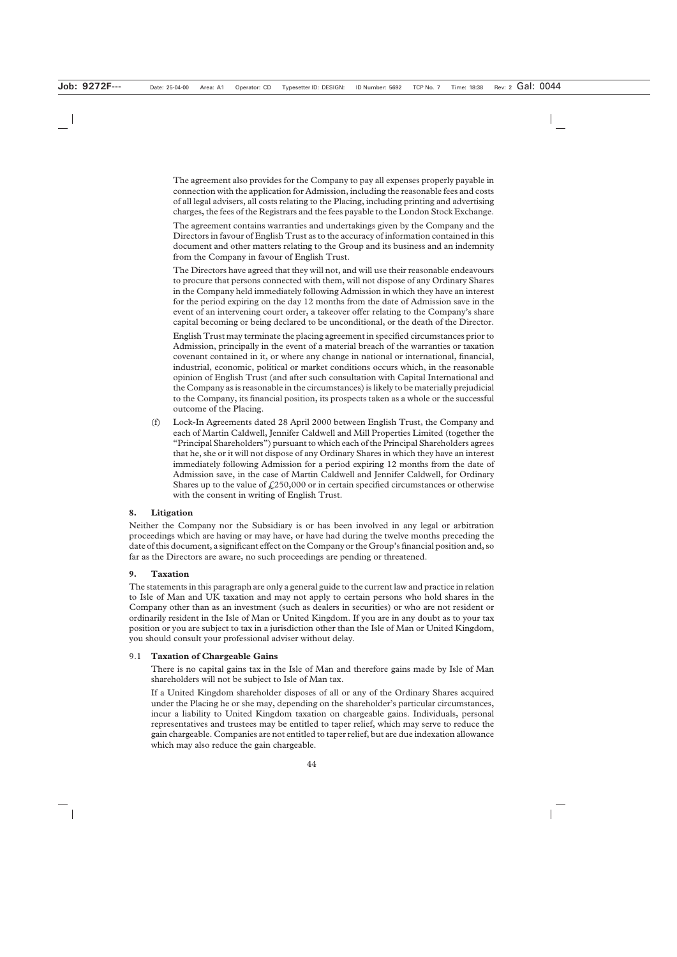The agreement also provides for the Company to pay all expenses properly payable in connection with the application for Admission, including the reasonable fees and costs of all legal advisers, all costs relating to the Placing, including printing and advertising charges, the fees of the Registrars and the fees payable to the London Stock Exchange.

The agreement contains warranties and undertakings given by the Company and the Directors in favour of English Trust as to the accuracy of information contained in this document and other matters relating to the Group and its business and an indemnity from the Company in favour of English Trust.

The Directors have agreed that they will not, and will use their reasonable endeavours to procure that persons connected with them, will not dispose of any Ordinary Shares in the Company held immediately following Admission in which they have an interest for the period expiring on the day 12 months from the date of Admission save in the event of an intervening court order, a takeover offer relating to the Company's share capital becoming or being declared to be unconditional, or the death of the Director.

English Trust may terminate the placing agreement in specified circumstances prior to Admission, principally in the event of a material breach of the warranties or taxation covenant contained in it, or where any change in national or international, financial, industrial, economic, political or market conditions occurs which, in the reasonable opinion of English Trust (and after such consultation with Capital International and the Company as is reasonable in the circumstances) is likely to be materially prejudicial to the Company, its financial position, its prospects taken as a whole or the successful outcome of the Placing.

(f) Lock-In Agreements dated 28 April 2000 between English Trust, the Company and each of Martin Caldwell, Jennifer Caldwell and Mill Properties Limited (together the "Principal Shareholders") pursuant to which each of the Principal Shareholders agrees that he, she or it will not dispose of any Ordinary Shares in which they have an interest immediately following Admission for a period expiring 12 months from the date of Admission save, in the case of Martin Caldwell and Jennifer Caldwell, for Ordinary Shares up to the value of  $\text{\textsterling}250,000$  or in certain specified circumstances or otherwise with the consent in writing of English Trust.

## **8. Litigation**

Neither the Company nor the Subsidiary is or has been involved in any legal or arbitration proceedings which are having or may have, or have had during the twelve months preceding the date of this document, a significant effect on the Company or the Group's financial position and, so far as the Directors are aware, no such proceedings are pending or threatened.

#### **9. Taxation**

The statements in this paragraph are only a general guide to the current law and practice in relation to Isle of Man and UK taxation and may not apply to certain persons who hold shares in the Company other than as an investment (such as dealers in securities) or who are not resident or ordinarily resident in the Isle of Man or United Kingdom. If you are in any doubt as to your tax position or you are subject to tax in a jurisdiction other than the Isle of Man or United Kingdom, you should consult your professional adviser without delay.

#### 9.1 **Taxation of Chargeable Gains**

There is no capital gains tax in the Isle of Man and therefore gains made by Isle of Man shareholders will not be subject to Isle of Man tax.

If a United Kingdom shareholder disposes of all or any of the Ordinary Shares acquired under the Placing he or she may, depending on the shareholder's particular circumstances, incur a liability to United Kingdom taxation on chargeable gains. Individuals, personal representatives and trustees may be entitled to taper relief, which may serve to reduce the gain chargeable. Companies are not entitled to taper relief, but are due indexation allowance which may also reduce the gain chargeable.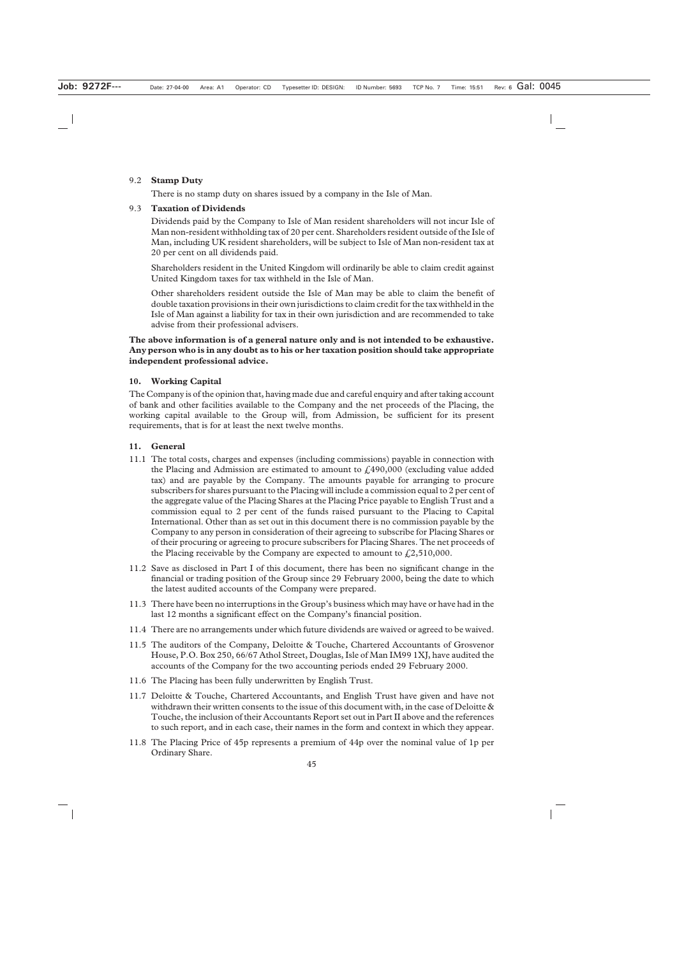#### 9.2 **Stamp Duty**

There is no stamp duty on shares issued by a company in the Isle of Man.

#### 9.3 **Taxation of Dividends**

Dividends paid by the Company to Isle of Man resident shareholders will not incur Isle of Man non-resident withholding tax of 20 per cent. Shareholders resident outside of the Isle of Man, including UK resident shareholders, will be subject to Isle of Man non-resident tax at 20 per cent on all dividends paid.

Shareholders resident in the United Kingdom will ordinarily be able to claim credit against United Kingdom taxes for tax withheld in the Isle of Man.

Other shareholders resident outside the Isle of Man may be able to claim the benefit of double taxation provisions in their own jurisdictions to claim credit for the tax withheld in the Isle of Man against a liability for tax in their own jurisdiction and are recommended to take advise from their professional advisers.

**The above information is of a general nature only and is not intended to be exhaustive. Any person who is in any doubt as to his or her taxation position should take appropriate independent professional advice.**

## **10. Working Capital**

The Company is of the opinion that, having made due and careful enquiry and after taking account of bank and other facilities available to the Company and the net proceeds of the Placing, the working capital available to the Group will, from Admission, be sufficient for its present requirements, that is for at least the next twelve months.

#### **11. General**

- 11.1 The total costs, charges and expenses (including commissions) payable in connection with the Placing and Admission are estimated to amount to  $f<sub>1</sub>490,000$  (excluding value added tax) and are payable by the Company. The amounts payable for arranging to procure subscribers for shares pursuant to the Placing will include a commission equal to 2 per cent of the aggregate value of the Placing Shares at the Placing Price payable to English Trust and a commission equal to 2 per cent of the funds raised pursuant to the Placing to Capital International. Other than as set out in this document there is no commission payable by the Company to any person in consideration of their agreeing to subscribe for Placing Shares or of their procuring or agreeing to procure subscribers for Placing Shares. The net proceeds of the Placing receivable by the Company are expected to amount to  $\text{\textsterling}2,510,000$ .
- 11.2 Save as disclosed in Part I of this document, there has been no significant change in the financial or trading position of the Group since 29 February 2000, being the date to which the latest audited accounts of the Company were prepared.
- 11.3 There have been no interruptions in the Group's business which may have or have had in the last 12 months a significant effect on the Company's financial position.
- 11.4 There are no arrangements under which future dividends are waived or agreed to be waived.
- 11.5 The auditors of the Company, Deloitte & Touche, Chartered Accountants of Grosvenor House, P.O. Box 250, 66/67 Athol Street, Douglas, Isle of Man IM99 1XJ, have audited the accounts of the Company for the two accounting periods ended 29 February 2000.
- 11.6 The Placing has been fully underwritten by English Trust.
- 11.7 Deloitte & Touche, Chartered Accountants, and English Trust have given and have not withdrawn their written consents to the issue of this document with, in the case of Deloitte  $\&$ Touche, the inclusion of their Accountants Report set out in Part II above and the references to such report, and in each case, their names in the form and context in which they appear.
- 11.8 The Placing Price of 45p represents a premium of 44p over the nominal value of 1p per Ordinary Share.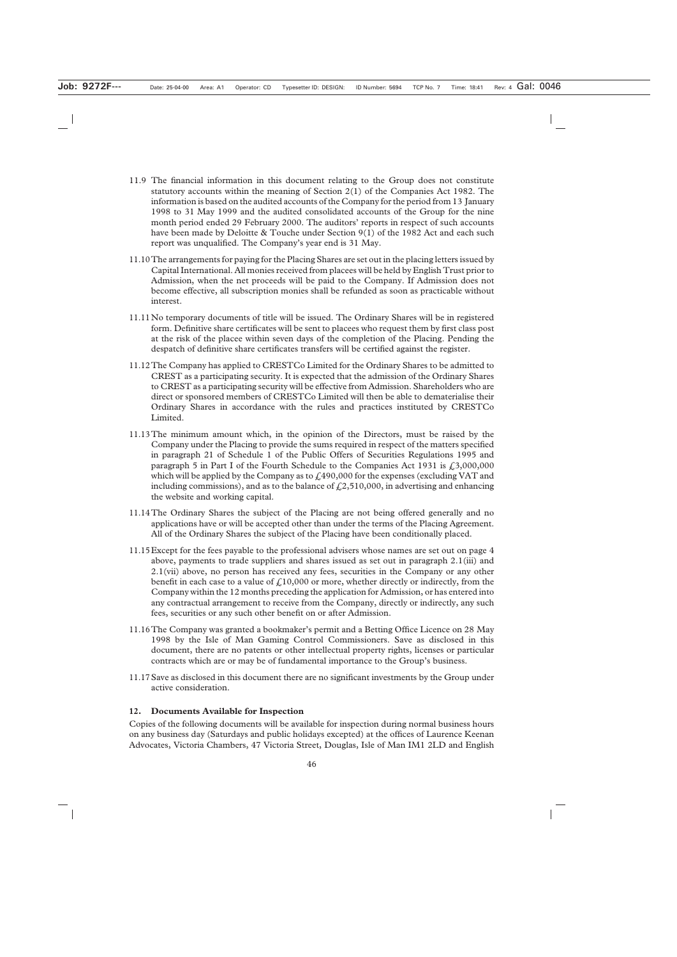- 11.9 The financial information in this document relating to the Group does not constitute statutory accounts within the meaning of Section 2(1) of the Companies Act 1982. The information is based on the audited accounts of the Company for the period from 13 January 1998 to 31 May 1999 and the audited consolidated accounts of the Group for the nine month period ended 29 February 2000. The auditors' reports in respect of such accounts have been made by Deloitte & Touche under Section 9(1) of the 1982 Act and each such report was unqualified. The Company's year end is 31 May.
- 11.10The arrangements for paying for the Placing Shares are set out in the placing letters issued by Capital International. All monies received from placees will be held by English Trust prior to Admission, when the net proceeds will be paid to the Company. If Admission does not become effective, all subscription monies shall be refunded as soon as practicable without interest.
- 11.11No temporary documents of title will be issued. The Ordinary Shares will be in registered form. Definitive share certificates will be sent to placees who request them by first class post at the risk of the placee within seven days of the completion of the Placing. Pending the despatch of definitive share certificates transfers will be certified against the register.
- 11.12The Company has applied to CRESTCo Limited for the Ordinary Shares to be admitted to CREST as a participating security. It is expected that the admission of the Ordinary Shares to CREST as a participating security will be effective from Admission. Shareholders who are direct or sponsored members of CRESTCo Limited will then be able to dematerialise their Ordinary Shares in accordance with the rules and practices instituted by CRESTCo Limited.
- 11.13The minimum amount which, in the opinion of the Directors, must be raised by the Company under the Placing to provide the sums required in respect of the matters specified in paragraph 21 of Schedule 1 of the Public Offers of Securities Regulations 1995 and paragraph 5 in Part I of the Fourth Schedule to the Companies Act 1931 is  $\ell$ , 3,000,000 which will be applied by the Company as to  $\text{\textsterling}490,000$  for the expenses (excluding VAT and including commissions), and as to the balance of  $f(2,510,000)$ , in advertising and enhancing the website and working capital.
- 11.14The Ordinary Shares the subject of the Placing are not being offered generally and no applications have or will be accepted other than under the terms of the Placing Agreement. All of the Ordinary Shares the subject of the Placing have been conditionally placed.
- 11.15Except for the fees payable to the professional advisers whose names are set out on page 4 above, payments to trade suppliers and shares issued as set out in paragraph 2.1(iii) and 2.1(vii) above, no person has received any fees, securities in the Company or any other benefit in each case to a value of  $\ell$ , 10,000 or more, whether directly or indirectly, from the Company within the 12 months preceding the application for Admission, or has entered into any contractual arrangement to receive from the Company, directly or indirectly, any such fees, securities or any such other benefit on or after Admission.
- 11.16The Company was granted a bookmaker's permit and a Betting Office Licence on 28 May 1998 by the Isle of Man Gaming Control Commissioners. Save as disclosed in this document, there are no patents or other intellectual property rights, licenses or particular contracts which are or may be of fundamental importance to the Group's business.
- 11.17Save as disclosed in this document there are no significant investments by the Group under active consideration.

## **12. Documents Available for Inspection**

Copies of the following documents will be available for inspection during normal business hours on any business day (Saturdays and public holidays excepted) at the offices of Laurence Keenan Advocates, Victoria Chambers, 47 Victoria Street, Douglas, Isle of Man IM1 2LD and English